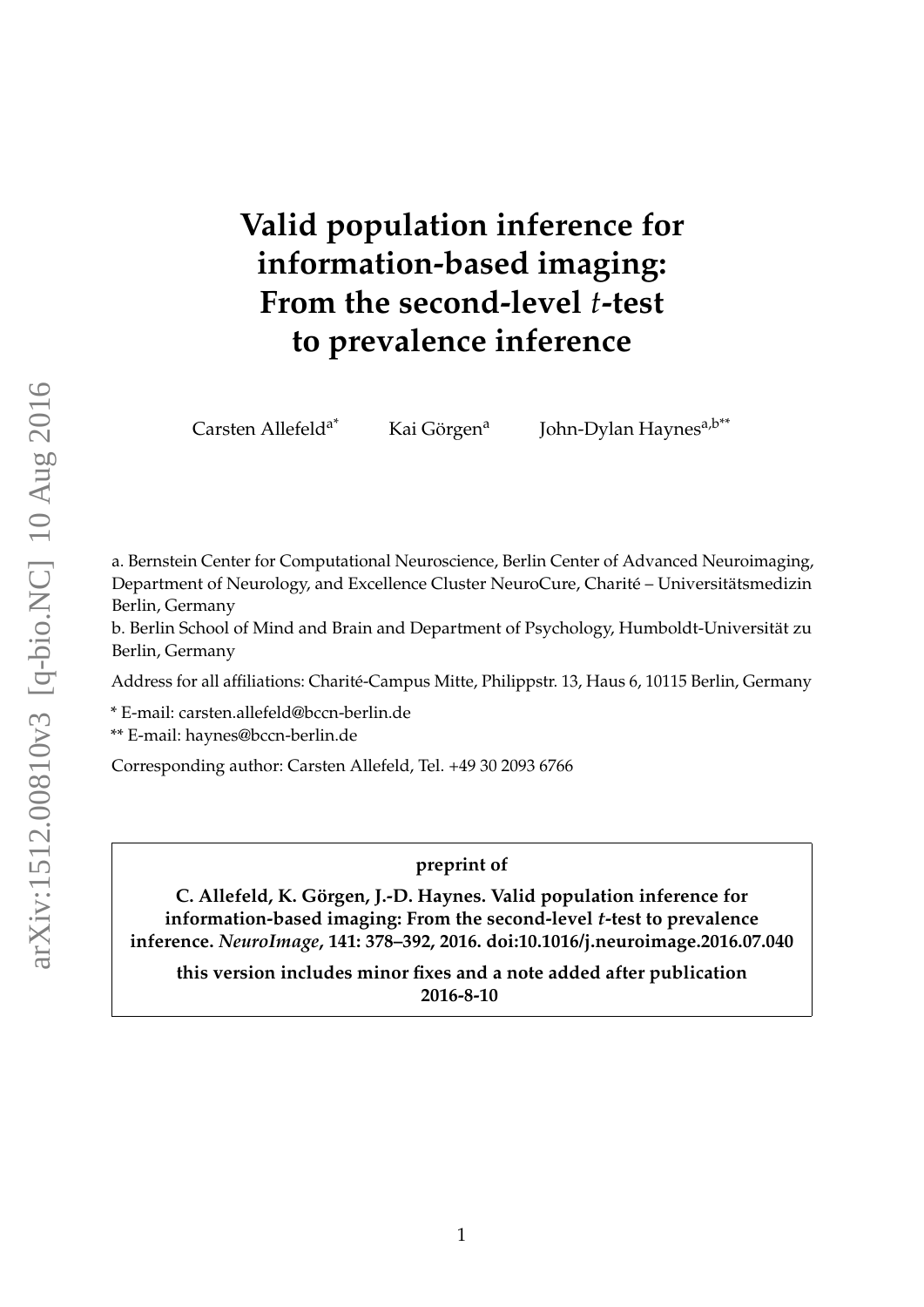# <span id="page-0-0"></span>**Valid population inference for information-based imaging: From the second-level** *t***-test to prevalence inference**

Carsten Allefeld<sup>a\*</sup> Kai Görgen<sup>a</sup>

John-Dylan Haynes<sup>a,b\*\*</sup>

a. Bernstein Center for Computational Neuroscience, Berlin Center of Advanced Neuroimaging, Department of Neurology, and Excellence Cluster NeuroCure, Charité – Universitätsmedizin Berlin, Germany

b. Berlin School of Mind and Brain and Department of Psychology, Humboldt-Universität zu Berlin, Germany

Address for all affiliations: Charité-Campus Mitte, Philippstr. 13, Haus 6, 10115 Berlin, Germany

\* E-mail: carsten.allefeld@bccn-berlin.de \*\* E-mail: haynes@bccn-berlin.de

Corresponding author: Carsten Allefeld, Tel. +49 30 2093 6766

#### **preprint of**

**C. Allefeld, K. Görgen, J.-D. Haynes. Valid population inference for information-based imaging: From the second-level** *t***-test to prevalence inference.** *NeuroImage***, 141: 378–392, 2016. doi:10.1016/j.neuroimage.2016.07.040**

**this version includes minor fixes and a note added after publication 2016-8-10**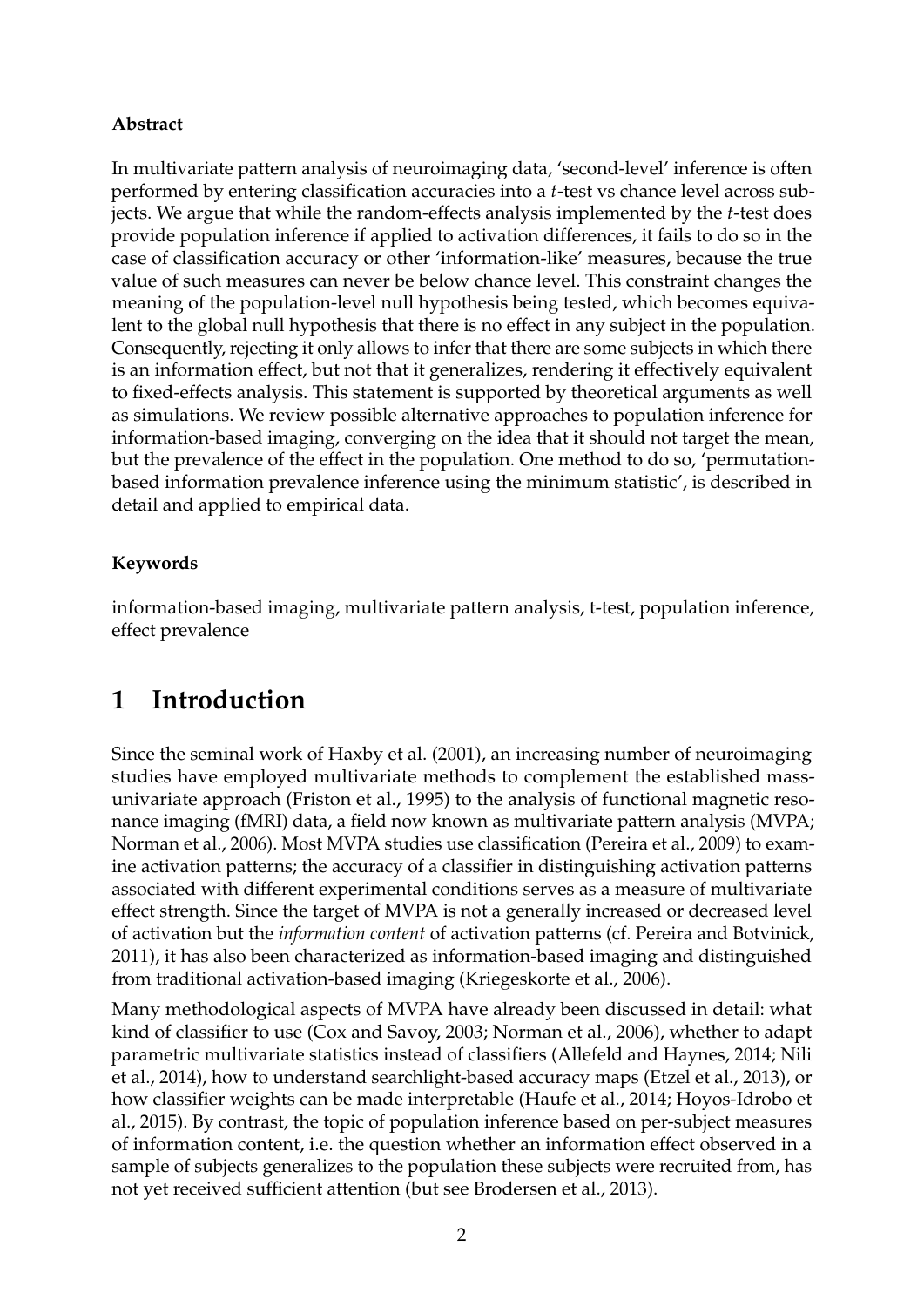### **Abstract**

In multivariate pattern analysis of neuroimaging data, 'second-level' inference is often performed by entering classification accuracies into a *t*-test vs chance level across subjects. We argue that while the random-effects analysis implemented by the *t*-test does provide population inference if applied to activation differences, it fails to do so in the case of classification accuracy or other 'information-like' measures, because the true value of such measures can never be below chance level. This constraint changes the meaning of the population-level null hypothesis being tested, which becomes equivalent to the global null hypothesis that there is no effect in any subject in the population. Consequently, rejecting it only allows to infer that there are some subjects in which there is an information effect, but not that it generalizes, rendering it effectively equivalent to fixed-effects analysis. This statement is supported by theoretical arguments as well as simulations. We review possible alternative approaches to population inference for information-based imaging, converging on the idea that it should not target the mean, but the prevalence of the effect in the population. One method to do so, 'permutationbased information prevalence inference using the minimum statistic', is described in detail and applied to empirical data.

## **Keywords**

information-based imaging, multivariate pattern analysis, t-test, population inference, effect prevalence

## **1 Introduction**

Since the seminal work of Haxby et al. (2001), an increasing number of neuroimaging studies have employed multivariate methods to complement the established massunivariate approach (Friston et al., 1995) to the analysis of functional magnetic resonance imaging (fMRI) data, a field now known as multivariate pattern analysis (MVPA; Norman et al., 2006). Most MVPA studies use classification (Pereira et al., 2009) to examine activation patterns; the accuracy of a classifier in distinguishing activation patterns associated with different experimental conditions serves as a measure of multivariate effect strength. Since the target of MVPA is not a generally increased or decreased level of activation but the *information content* of activation patterns (cf. Pereira and Botvinick, 2011), it has also been characterized as information-based imaging and distinguished from traditional activation-based imaging (Kriegeskorte et al., 2006).

Many methodological aspects of MVPA have already been discussed in detail: what kind of classifier to use (Cox and Savoy, 2003; Norman et al., 2006), whether to adapt parametric multivariate statistics instead of classifiers (Allefeld and Haynes, 2014; Nili et al., 2014), how to understand searchlight-based accuracy maps (Etzel et al., 2013), or how classifier weights can be made interpretable (Haufe et al., 2014; Hoyos-Idrobo et al., 2015). By contrast, the topic of population inference based on per-subject measures of information content, i.e. the question whether an information effect observed in a sample of subjects generalizes to the population these subjects were recruited from, has not yet received sufficient attention (but see Brodersen et al., 2013).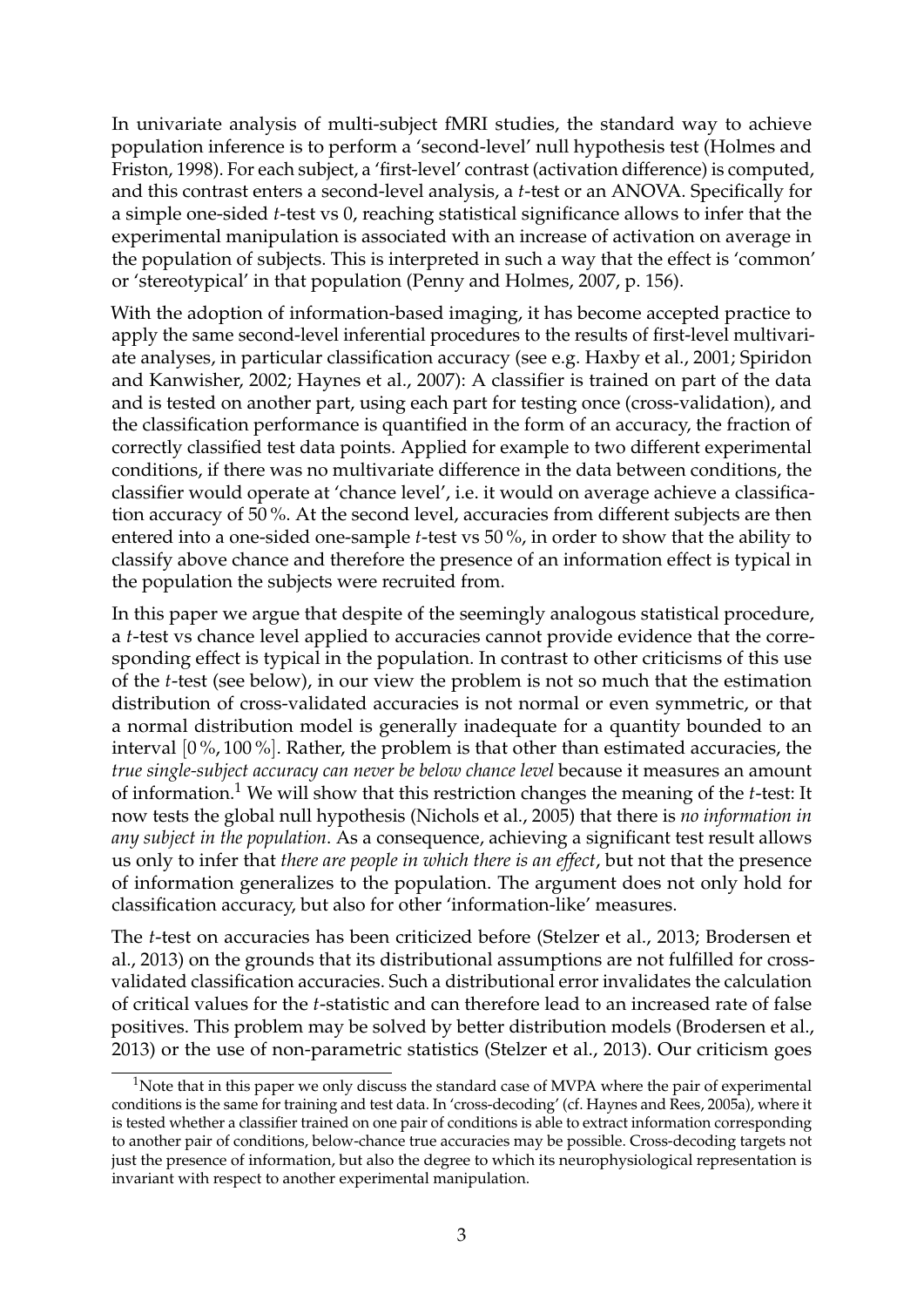In univariate analysis of multi-subject fMRI studies, the standard way to achieve population inference is to perform a 'second-level' null hypothesis test (Holmes and Friston, 1998). For each subject, a 'first-level' contrast (activation difference) is computed, and this contrast enters a second-level analysis, a *t*-test or an ANOVA. Specifically for a simple one-sided *t*-test vs 0, reaching statistical significance allows to infer that the experimental manipulation is associated with an increase of activation on average in the population of subjects. This is interpreted in such a way that the effect is 'common' or 'stereotypical' in that population (Penny and Holmes, 2007, p. 156).

With the adoption of information-based imaging, it has become accepted practice to apply the same second-level inferential procedures to the results of first-level multivariate analyses, in particular classification accuracy (see e.g. Haxby et al., 2001; Spiridon and Kanwisher, 2002; Haynes et al., 2007): A classifier is trained on part of the data and is tested on another part, using each part for testing once (cross-validation), and the classification performance is quantified in the form of an accuracy, the fraction of correctly classified test data points. Applied for example to two different experimental conditions, if there was no multivariate difference in the data between conditions, the classifier would operate at 'chance level', i.e. it would on average achieve a classification accuracy of 50 %. At the second level, accuracies from different subjects are then entered into a one-sided one-sample *t*-test vs 50 %, in order to show that the ability to classify above chance and therefore the presence of an information effect is typical in the population the subjects were recruited from.

In this paper we argue that despite of the seemingly analogous statistical procedure, a *t*-test vs chance level applied to accuracies cannot provide evidence that the corresponding effect is typical in the population. In contrast to other criticisms of this use of the *t*-test (see below), in our view the problem is not so much that the estimation distribution of cross-validated accuracies is not normal or even symmetric, or that a normal distribution model is generally inadequate for a quantity bounded to an interval [0 %, 100 %]. Rather, the problem is that other than estimated accuracies, the *true single-subject accuracy can never be below chance level* because it measures an amount of information.[1](#page-0-0) We will show that this restriction changes the meaning of the *t*-test: It now tests the global null hypothesis (Nichols et al., 2005) that there is *no information in any subject in the population*. As a consequence, achieving a significant test result allows us only to infer that *there are people in which there is an effect*, but not that the presence of information generalizes to the population. The argument does not only hold for classification accuracy, but also for other 'information-like' measures.

The *t*-test on accuracies has been criticized before (Stelzer et al., 2013; Brodersen et al., 2013) on the grounds that its distributional assumptions are not fulfilled for crossvalidated classification accuracies. Such a distributional error invalidates the calculation of critical values for the *t*-statistic and can therefore lead to an increased rate of false positives. This problem may be solved by better distribution models (Brodersen et al., 2013) or the use of non-parametric statistics (Stelzer et al., 2013). Our criticism goes

 $1$ Note that in this paper we only discuss the standard case of MVPA where the pair of experimental conditions is the same for training and test data. In 'cross-decoding' (cf. Haynes and Rees, 2005a), where it is tested whether a classifier trained on one pair of conditions is able to extract information corresponding to another pair of conditions, below-chance true accuracies may be possible. Cross-decoding targets not just the presence of information, but also the degree to which its neurophysiological representation is invariant with respect to another experimental manipulation.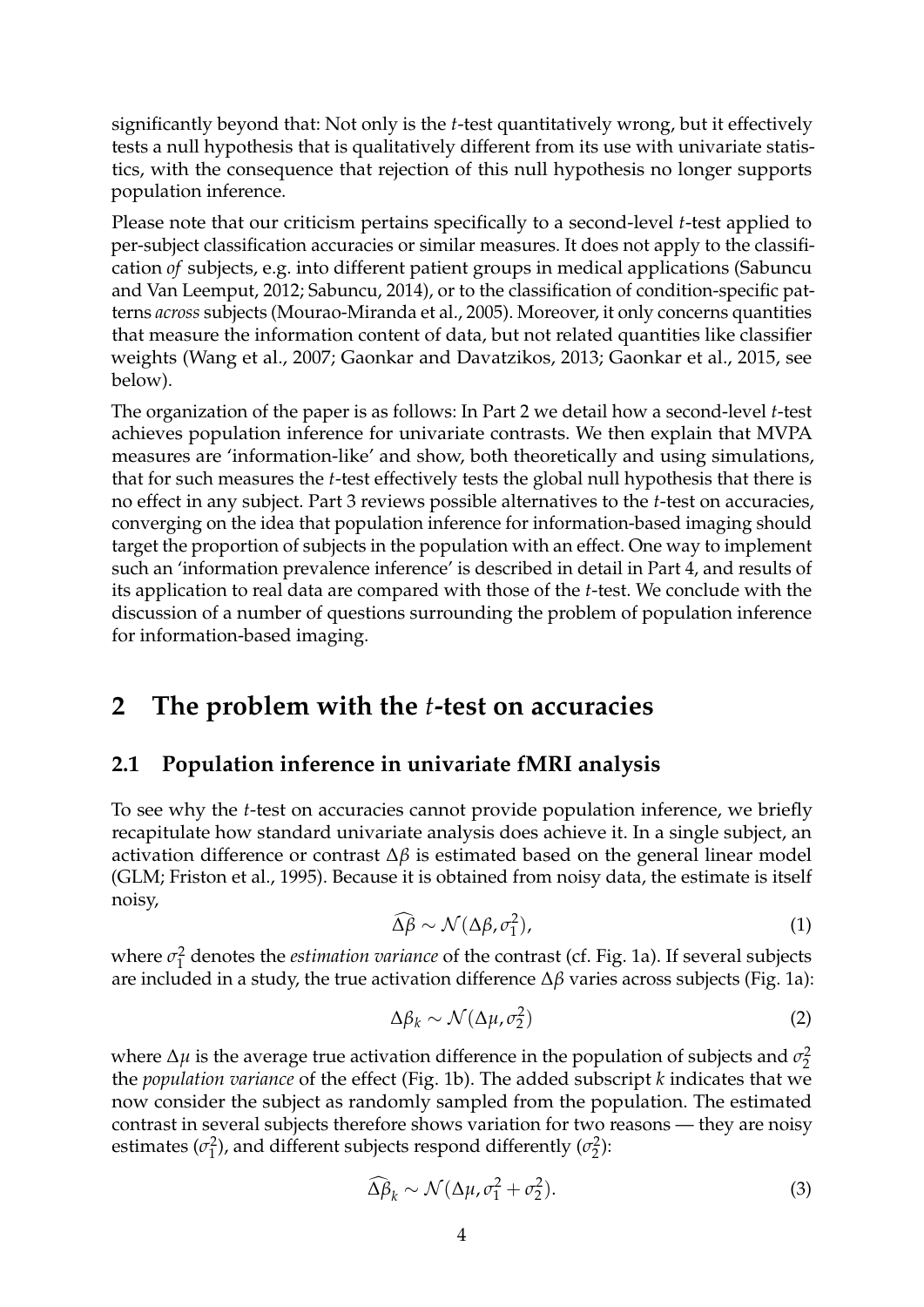significantly beyond that: Not only is the *t*-test quantitatively wrong, but it effectively tests a null hypothesis that is qualitatively different from its use with univariate statistics, with the consequence that rejection of this null hypothesis no longer supports population inference.

Please note that our criticism pertains specifically to a second-level *t*-test applied to per-subject classification accuracies or similar measures. It does not apply to the classification *of* subjects, e.g. into different patient groups in medical applications (Sabuncu and Van Leemput, 2012; Sabuncu, 2014), or to the classification of condition-specific patterns *across* subjects (Mourao-Miranda et al., 2005). Moreover, it only concerns quantities that measure the information content of data, but not related quantities like classifier weights (Wang et al., 2007; Gaonkar and Davatzikos, 2013; Gaonkar et al., 2015, see below).

The organization of the paper is as follows: In Part [2](#page-3-0) we detail how a second-level *t*-test achieves population inference for univariate contrasts. We then explain that MVPA measures are 'information-like' and show, both theoretically and using simulations, that for such measures the *t*-test effectively tests the global null hypothesis that there is no effect in any subject. Part [3](#page-12-0) reviews possible alternatives to the *t*-test on accuracies, converging on the idea that population inference for information-based imaging should target the proportion of subjects in the population with an effect. One way to implement such an 'information prevalence inference' is described in detail in Part [4,](#page-14-0) and results of its application to real data are compared with those of the *t*-test. We conclude with the discussion of a number of questions surrounding the problem of population inference for information-based imaging.

## <span id="page-3-0"></span>**2 The problem with the** *t***-test on accuracies**

### **2.1 Population inference in univariate fMRI analysis**

To see why the *t*-test on accuracies cannot provide population inference, we briefly recapitulate how standard univariate analysis does achieve it. In a single subject, an activation difference or contrast ∆*β* is estimated based on the general linear model (GLM; Friston et al., 1995). Because it is obtained from noisy data, the estimate is itself noisy,

<span id="page-3-2"></span>
$$
\widehat{\Delta\beta} \sim \mathcal{N}(\Delta\beta, \sigma_1^2),\tag{1}
$$

where  $\sigma_1^2$ <sup>2</sup> denotes the *estimation variance* of the contrast (cf. Fig. 1a). If several subjects are included in a study, the true activation difference ∆*β* varies across subjects (Fig. 1a):

<span id="page-3-1"></span>
$$
\Delta \beta_k \sim \mathcal{N}(\Delta \mu, \sigma_2^2) \tag{2}
$$

where ∆*µ* is the average true activation difference in the population of subjects and *σ* 2 2 the *population variance* of the effect (Fig. 1b). The added subscript *k* indicates that we now consider the subject as randomly sampled from the population. The estimated contrast in several subjects therefore shows variation for two reasons — they are noisy estimates (*σ*<sup>2</sup><sub>1</sub>  $\binom{2}{1}$ , and different subjects respond differently ( $\sigma_2^2$  $\binom{2}{2}$ :

<span id="page-3-3"></span>
$$
\widehat{\Delta\beta}_k \sim \mathcal{N}(\Delta\mu, \sigma_1^2 + \sigma_2^2). \tag{3}
$$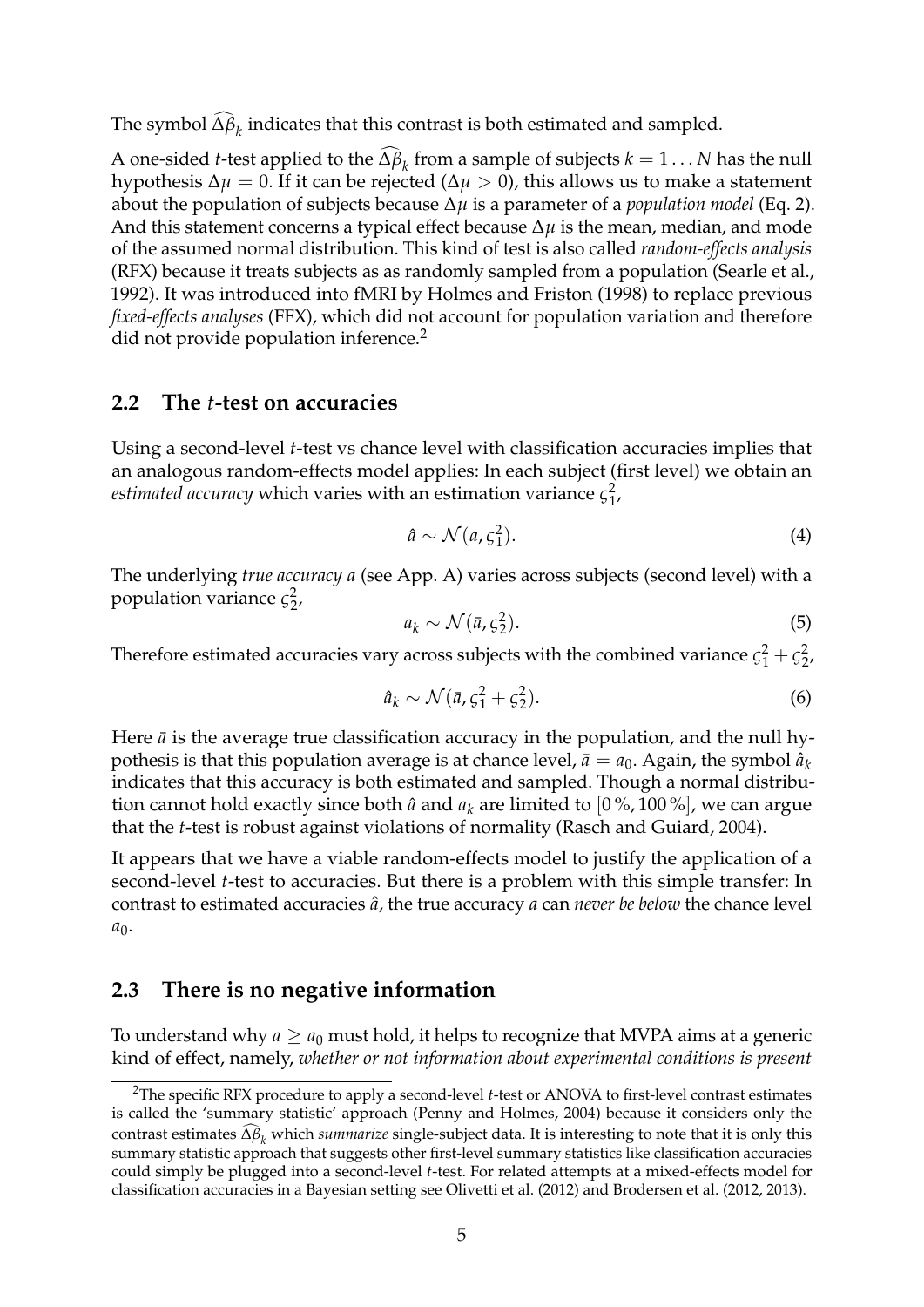The symbol  $\Delta\beta_k$  indicates that this contrast is both estimated and sampled.

A one-sided *t*-test applied to the  $\Delta\beta_k$  from a sample of subjects  $k = 1 \dots N$  has the null hypothesis  $\Delta \mu = 0$ . If it can be rejected ( $\Delta \mu > 0$ ), this allows us to make a statement about the population of subjects because ∆*µ* is a parameter of a *population model* (Eq. [2\)](#page-3-1). And this statement concerns a typical effect because ∆*µ* is the mean, median, and mode of the assumed normal distribution. This kind of test is also called *random-effects analysis* (RFX) because it treats subjects as as randomly sampled from a population (Searle et al., 1992). It was introduced into fMRI by Holmes and Friston (1998) to replace previous *fixed-effects analyses* (FFX), which did not account for population variation and therefore did not provide population inference.<sup>[2](#page-0-0)</sup>

### **2.2 The** *t***-test on accuracies**

Using a second-level *t*-test vs chance level with classification accuracies implies that an analogous random-effects model applies: In each subject (first level) we obtain an *estimated accuracy* which varies with an estimation variance *ς* 2  $\frac{2}{1}$ ,

<span id="page-4-0"></span>
$$
\hat{a} \sim \mathcal{N}(a, \zeta_1^2). \tag{4}
$$

The underlying *true accuracy a* (see App. [A\)](#page-23-0) varies across subjects (second level) with a population variance *ς* 2  $\frac{2}{2}$ ,

<span id="page-4-1"></span>
$$
a_k \sim \mathcal{N}(\bar{a}, \zeta_2^2). \tag{5}
$$

Therefore estimated accuracies vary across subjects with the combined variance  $\zeta_1^2 + \zeta_2^2$  $rac{2}{2}$ 

<span id="page-4-2"></span>
$$
\hat{a}_k \sim \mathcal{N}(\bar{a}, \zeta_1^2 + \zeta_2^2). \tag{6}
$$

Here  $\bar{a}$  is the average true classification accuracy in the population, and the null hypothesis is that this population average is at chance level,  $\bar{a} = a_0$ . Again, the symbol  $\hat{a}_k$ indicates that this accuracy is both estimated and sampled. Though a normal distribution cannot hold exactly since both  $\hat{a}$  and  $a_k$  are limited to  $[0\%, 100\%]$ , we can argue that the *t*-test is robust against violations of normality (Rasch and Guiard, 2004).

It appears that we have a viable random-effects model to justify the application of a second-level *t*-test to accuracies. But there is a problem with this simple transfer: In contrast to estimated accuracies *a*ˆ, the true accuracy *a* can *never be below* the chance level  $a_0$ .

## **2.3 There is no negative information**

To understand why  $a \ge a_0$  must hold, it helps to recognize that MVPA aims at a generic kind of effect, namely, *whether or not information about experimental conditions is present*

<sup>2</sup>The specific RFX procedure to apply a second-level *t*-test or ANOVA to first-level contrast estimates is called the 'summary statistic' approach (Penny and Holmes, 2004) because it considers only the contrast estimates  $\Delta \beta_k$  which *summarize* single-subject data. It is interesting to note that it is only this summary statistic approach that suggests other first-level summary statistics like classification accuracies could simply be plugged into a second-level *t*-test. For related attempts at a mixed-effects model for classification accuracies in a Bayesian setting see Olivetti et al. (2012) and Brodersen et al. (2012, 2013).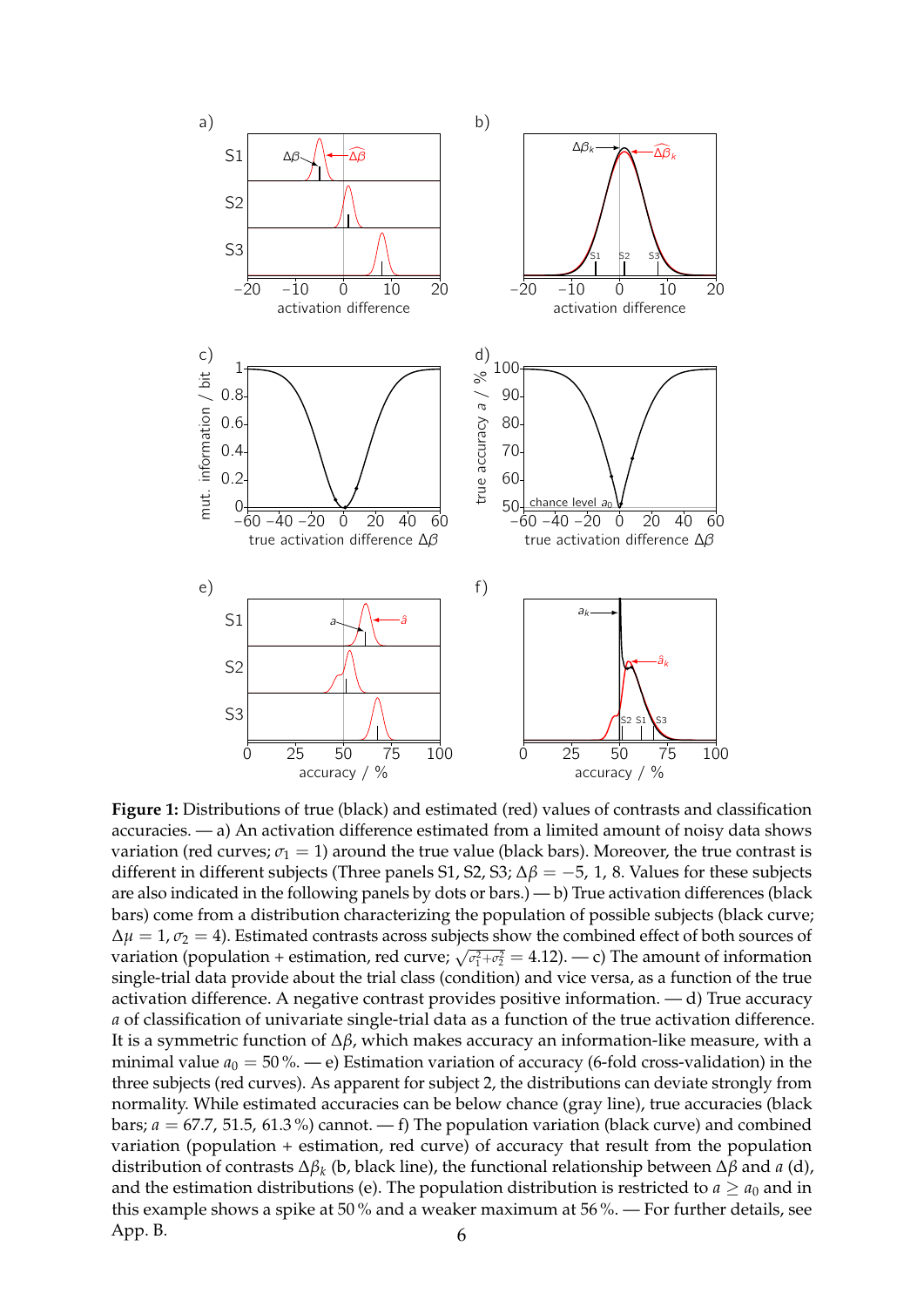

**Figure 1:** Distributions of true (black) and estimated (red) values of contrasts and classification accuracies. — a) An activation difference estimated from a limited amount of noisy data shows variation (red curves;  $\sigma_1 = 1$ ) around the true value (black bars). Moreover, the true contrast is different in different subjects (Three panels S1, S2, S3; ∆*β* = −5, 1, 8. Values for these subjects are also indicated in the following panels by dots or bars.) — b) True activation differences (black bars) come from a distribution characterizing the population of possible subjects (black curve;  $\Delta \mu = 1, \sigma_2 = 4$ ). Estimated contrasts across subjects show the combined effect of both sources of  $\Delta \mu = 1, \sigma_2 = 4$ . Estimated collects stoss subjects show the combined effect of both sources of variation (population + estimation, red curve;  $\sqrt{\sigma_1^2 + \sigma_2^2} = 4.12$ ). — c) The amount of information single-trial data provide about the trial class (condition) and vice versa, as a function of the true activation difference. A negative contrast provides positive information. — d) True accuracy *a* of classification of univariate single-trial data as a function of the true activation difference. It is a symmetric function of ∆*β*, which makes accuracy an information-like measure, with a minimal value  $a_0 = 50\%$ . — e) Estimation variation of accuracy (6-fold cross-validation) in the three subjects (red curves). As apparent for subject 2, the distributions can deviate strongly from normality. While estimated accuracies can be below chance (gray line), true accuracies (black bars;  $a = 67.7, 51.5, 61.3\%$ ) cannot.  $- f$ ) The population variation (black curve) and combined variation (population + estimation, red curve) of accuracy that result from the population distribution of contrasts ∆*β<sup>k</sup>* (b, black line), the functional relationship between ∆*β* and *a* (d), and the estimation distributions (e). The population distribution is restricted to  $a \ge a_0$  and in this example shows a spike at 50 % and a weaker maximum at 56 %. — For further details, see App. [B.](#page-24-0)  $6<sub>6</sub>$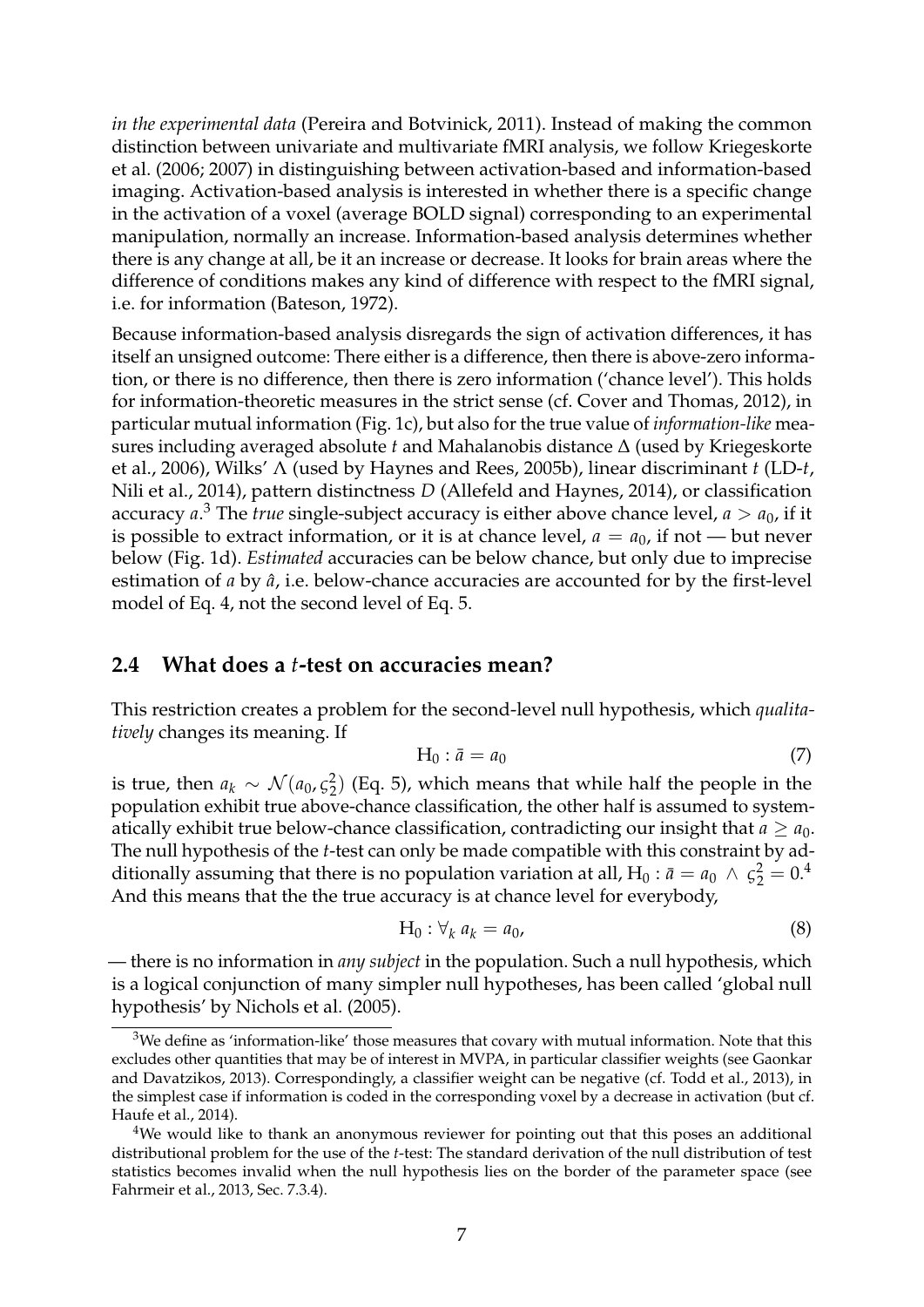*in the experimental data* (Pereira and Botvinick, 2011). Instead of making the common distinction between univariate and multivariate fMRI analysis, we follow Kriegeskorte et al. (2006; 2007) in distinguishing between activation-based and information-based imaging. Activation-based analysis is interested in whether there is a specific change in the activation of a voxel (average BOLD signal) corresponding to an experimental manipulation, normally an increase. Information-based analysis determines whether there is any change at all, be it an increase or decrease. It looks for brain areas where the difference of conditions makes any kind of difference with respect to the fMRI signal, i.e. for information (Bateson, 1972).

Because information-based analysis disregards the sign of activation differences, it has itself an unsigned outcome: There either is a difference, then there is above-zero information, or there is no difference, then there is zero information ('chance level'). This holds for information-theoretic measures in the strict sense (cf. Cover and Thomas, 2012), in particular mutual information (Fig. 1c), but also for the true value of *information-like* measures including averaged absolute *t* and Mahalanobis distance ∆ (used by Kriegeskorte et al., 2006), Wilks' Λ (used by Haynes and Rees, 2005b), linear discriminant *t* (LD-*t*, Nili et al., 2014), pattern distinctness *D* (Allefeld and Haynes, 2014), or classification accuracy *a*. [3](#page-0-0) The *true* single-subject accuracy is either above chance level, *a* > *a*0, if it is possible to extract information, or it is at chance level,  $a = a_0$ , if not — but never below (Fig. 1d). *Estimated* accuracies can be below chance, but only due to imprecise estimation of *a* by  $\hat{a}$ , i.e. below-chance accuracies are accounted for by the first-level model of Eq. [4,](#page-4-0) not the second level of Eq. [5.](#page-4-1)

### <span id="page-6-2"></span>**2.4 What does a** *t***-test on accuracies mean?**

This restriction creates a problem for the second-level null hypothesis, which *qualitatively* changes its meaning. If

<span id="page-6-0"></span>
$$
H_0: \bar{a} = a_0 \tag{7}
$$

is true, then  $a_k \sim \mathcal{N}(a_0, c_2^2)$  $2<sup>2</sup>$ ) (Eq. [5\)](#page-4-1), which means that while half the people in the population exhibit true above-chance classification, the other half is assumed to systematically exhibit true below-chance classification, contradicting our insight that  $a > a_0$ . The null hypothesis of the *t*-test can only be made compatible with this constraint by additionally assuming that there is no population variation at all, H<sub>0</sub> :  $\bar{a} = a_0 \wedge \zeta_2^2 = 0.4$  $\bar{a} = a_0 \wedge \zeta_2^2 = 0.4$ And this means that the the true accuracy is at chance level for everybody,

<span id="page-6-1"></span>
$$
H_0: \forall_k a_k = a_0,\tag{8}
$$

— there is no information in *any subject* in the population. Such a null hypothesis, which is a logical conjunction of many simpler null hypotheses, has been called 'global null hypothesis' by Nichols et al. (2005).

 $3$ We define as 'information-like' those measures that covary with mutual information. Note that this excludes other quantities that may be of interest in MVPA, in particular classifier weights (see Gaonkar and Davatzikos, 2013). Correspondingly, a classifier weight can be negative (cf. Todd et al., 2013), in the simplest case if information is coded in the corresponding voxel by a decrease in activation (but cf. Haufe et al., 2014).

<sup>&</sup>lt;sup>4</sup>We would like to thank an anonymous reviewer for pointing out that this poses an additional distributional problem for the use of the *t*-test: The standard derivation of the null distribution of test statistics becomes invalid when the null hypothesis lies on the border of the parameter space (see Fahrmeir et al., 2013, Sec. 7.3.4).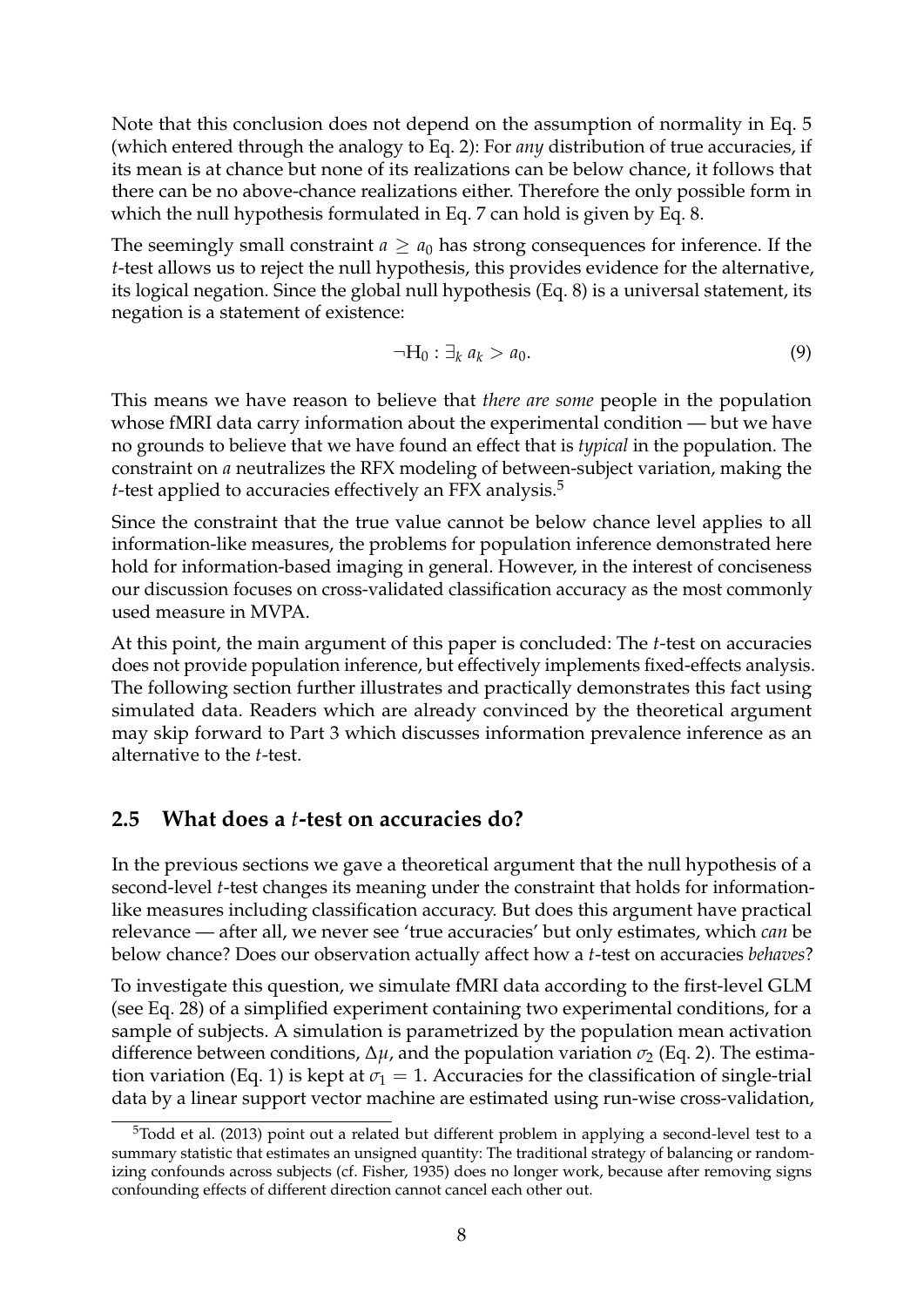Note that this conclusion does not depend on the assumption of normality in Eq. [5](#page-4-1) (which entered through the analogy to Eq. [2\)](#page-3-1): For *any* distribution of true accuracies, if its mean is at chance but none of its realizations can be below chance, it follows that there can be no above-chance realizations either. Therefore the only possible form in which the null hypothesis formulated in Eq. [7](#page-6-0) can hold is given by Eq. [8.](#page-6-1)

The seemingly small constraint  $a \ge a_0$  has strong consequences for inference. If the *t*-test allows us to reject the null hypothesis, this provides evidence for the alternative, its logical negation. Since the global null hypothesis (Eq. [8\)](#page-6-1) is a universal statement, its negation is a statement of existence:

$$
\neg H_0: \exists_k a_k > a_0. \tag{9}
$$

This means we have reason to believe that *there are some* people in the population whose fMRI data carry information about the experimental condition — but we have no grounds to believe that we have found an effect that is *typical* in the population. The constraint on *a* neutralizes the RFX modeling of between-subject variation, making the *t*-test applied to accuracies effectively an FFX analysis.[5](#page-0-0)

Since the constraint that the true value cannot be below chance level applies to all information-like measures, the problems for population inference demonstrated here hold for information-based imaging in general. However, in the interest of conciseness our discussion focuses on cross-validated classification accuracy as the most commonly used measure in MVPA.

At this point, the main argument of this paper is concluded: The *t*-test on accuracies does not provide population inference, but effectively implements fixed-effects analysis. The following section further illustrates and practically demonstrates this fact using simulated data. Readers which are already convinced by the theoretical argument may skip forward to Part [3](#page-12-0) which discusses information prevalence inference as an alternative to the *t*-test.

### <span id="page-7-0"></span>**2.5 What does a** *t***-test on accuracies do?**

In the previous sections we gave a theoretical argument that the null hypothesis of a second-level *t*-test changes its meaning under the constraint that holds for informationlike measures including classification accuracy. But does this argument have practical relevance — after all, we never see 'true accuracies' but only estimates, which *can* be below chance? Does our observation actually affect how a *t*-test on accuracies *behaves*?

To investigate this question, we simulate fMRI data according to the first-level GLM (see Eq. [28\)](#page-23-1) of a simplified experiment containing two experimental conditions, for a sample of subjects. A simulation is parametrized by the population mean activation difference between conditions,  $\Delta \mu$ , and the population variation  $\sigma_2$  (Eq. [2\)](#page-3-1). The estima-tion variation (Eq. [1\)](#page-3-2) is kept at  $\sigma_1 = 1$ . Accuracies for the classification of single-trial data by a linear support vector machine are estimated using run-wise cross-validation,

<sup>&</sup>lt;sup>5</sup>Todd et al. (2013) point out a related but different problem in applying a second-level test to a summary statistic that estimates an unsigned quantity: The traditional strategy of balancing or randomizing confounds across subjects (cf. Fisher, 1935) does no longer work, because after removing signs confounding effects of different direction cannot cancel each other out.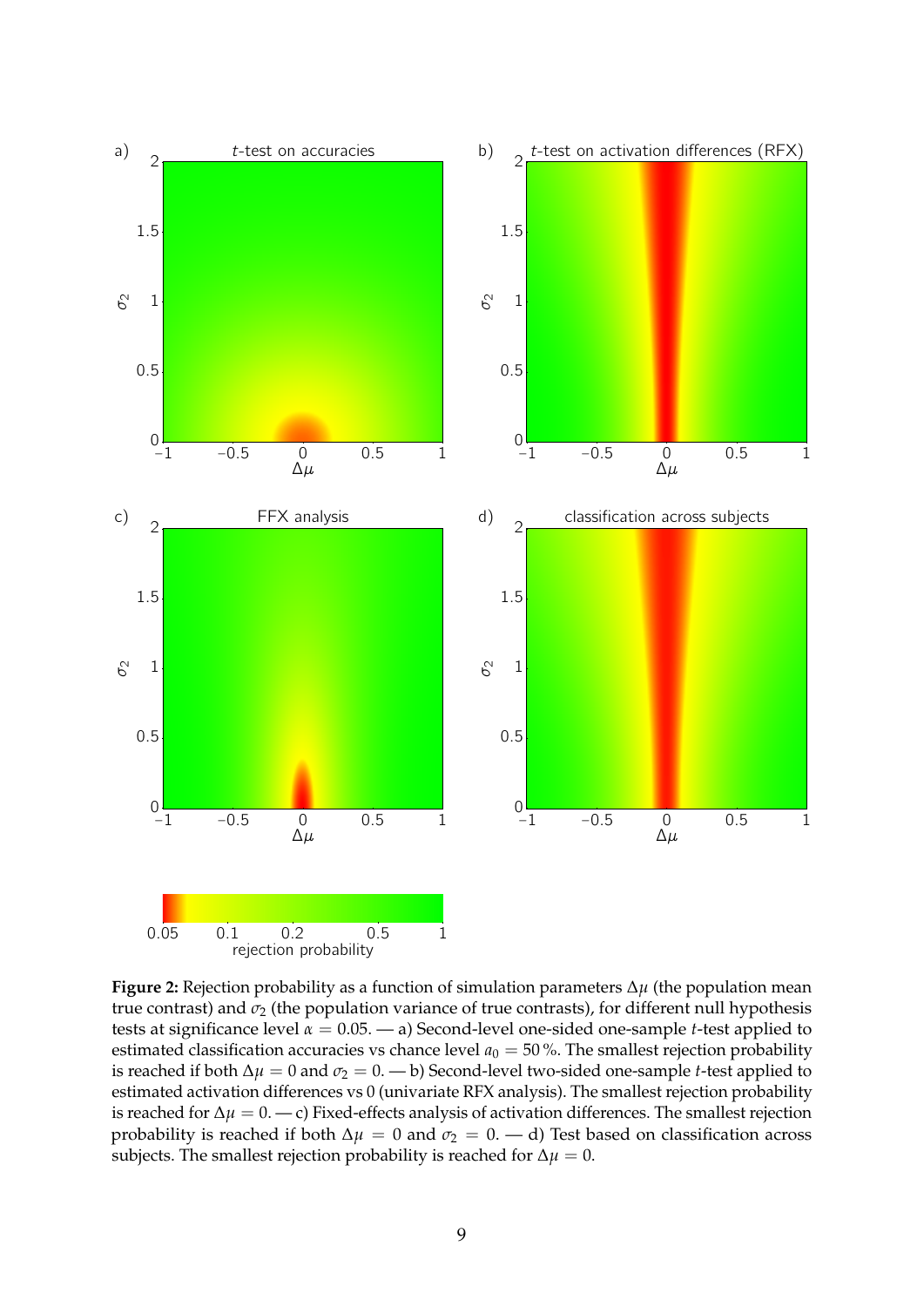

**Figure 2:** Rejection probability as a function of simulation parameters ∆*µ* (the population mean true contrast) and  $\sigma_2$  (the population variance of true contrasts), for different null hypothesis tests at significance level *α* = 0.05. — a) Second-level one-sided one-sample *t*-test applied to estimated classification accuracies vs chance level  $a_0 = 50$ %. The smallest rejection probability is reached if both  $\Delta \mu = 0$  and  $\sigma_2 = 0.$  — b) Second-level two-sided one-sample *t*-test applied to estimated activation differences vs 0 (univariate RFX analysis). The smallest rejection probability is reached for ∆*µ* = 0. — c) Fixed-effects analysis of activation differences. The smallest rejection probability is reached if both  $\Delta \mu = 0$  and  $\sigma_2 = 0$ . — d) Test based on classification across subjects. The smallest rejection probability is reached for  $\Delta \mu = 0$ .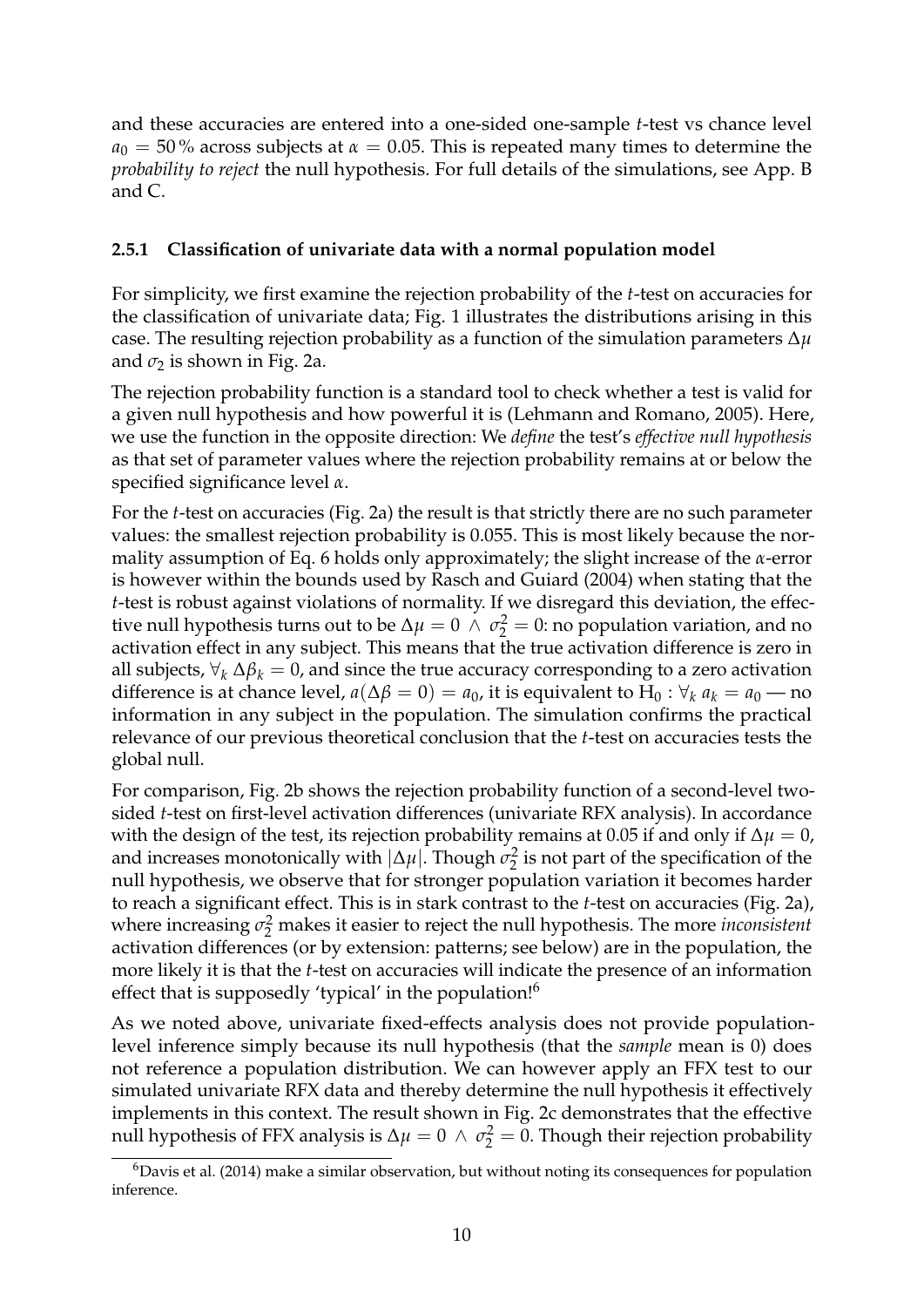and these accuracies are entered into a one-sided one-sample *t*-test vs chance level  $a_0 = 50\%$  across subjects at  $\alpha = 0.05$ . This is repeated many times to determine the *probability to reject* the null hypothesis. For full details of the simulations, see App. [B](#page-24-0) and [C.](#page-25-0)

#### **2.5.1 Classification of univariate data with a normal population model**

For simplicity, we first examine the rejection probability of the *t*-test on accuracies for the classification of univariate data; Fig. 1 illustrates the distributions arising in this case. The resulting rejection probability as a function of the simulation parameters ∆*µ* and  $\sigma_2$  is shown in Fig. 2a.

The rejection probability function is a standard tool to check whether a test is valid for a given null hypothesis and how powerful it is (Lehmann and Romano, 2005). Here, we use the function in the opposite direction: We *define* the test's *effective null hypothesis* as that set of parameter values where the rejection probability remains at or below the specified significance level *α*.

For the *t*-test on accuracies (Fig. 2a) the result is that strictly there are no such parameter values: the smallest rejection probability is 0.055. This is most likely because the normality assumption of Eq. [6](#page-4-2) holds only approximately; the slight increase of the *α*-error is however within the bounds used by Rasch and Guiard (2004) when stating that the *t*-test is robust against violations of normality. If we disregard this deviation, the effective null hypothesis turns out to be  $\Delta \mu = 0 \land \sigma_2^2 = 0$ : no population variation, and no activation effect in any subject. This means that the true activation difference is zero in all subjects,  $\forall_k \Delta \beta_k = 0$ , and since the true accuracy corresponding to a zero activation difference is at chance level,  $a(\Delta \beta = 0) = a_0$ , it is equivalent to H<sub>0</sub> :  $\forall_k a_k = a_0$  — no information in any subject in the population. The simulation confirms the practical relevance of our previous theoretical conclusion that the *t*-test on accuracies tests the global null.

For comparison, Fig. 2b shows the rejection probability function of a second-level twosided *t*-test on first-level activation differences (univariate RFX analysis). In accordance with the design of the test, its rejection probability remains at 0.05 if and only if ∆*µ* = 0, and increases monotonically with |∆*µ*|. Though *σ* 2  $\frac{1}{2}$  is not part of the specification of the null hypothesis, we observe that for stronger population variation it becomes harder to reach a significant effect. This is in stark contrast to the *t*-test on accuracies (Fig. 2a), where increasing *σ* 2 <sup>2</sup> makes it easier to reject the null hypothesis. The more *inconsistent* activation differences (or by extension: patterns; see below) are in the population, the more likely it is that the *t*-test on accuracies will indicate the presence of an information effect that is supposedly 'typical' in the population!<sup>[6](#page-0-0)</sup>

As we noted above, univariate fixed-effects analysis does not provide populationlevel inference simply because its null hypothesis (that the *sample* mean is 0) does not reference a population distribution. We can however apply an FFX test to our simulated univariate RFX data and thereby determine the null hypothesis it effectively implements in this context. The result shown in Fig. 2c demonstrates that the effective null hypothesis of FFX analysis is  $\Delta \mu = 0 \, \wedge \, \sigma_2^2 = 0.$  Though their rejection probability

 $6$ Davis et al. (2014) make a similar observation, but without noting its consequences for population inference.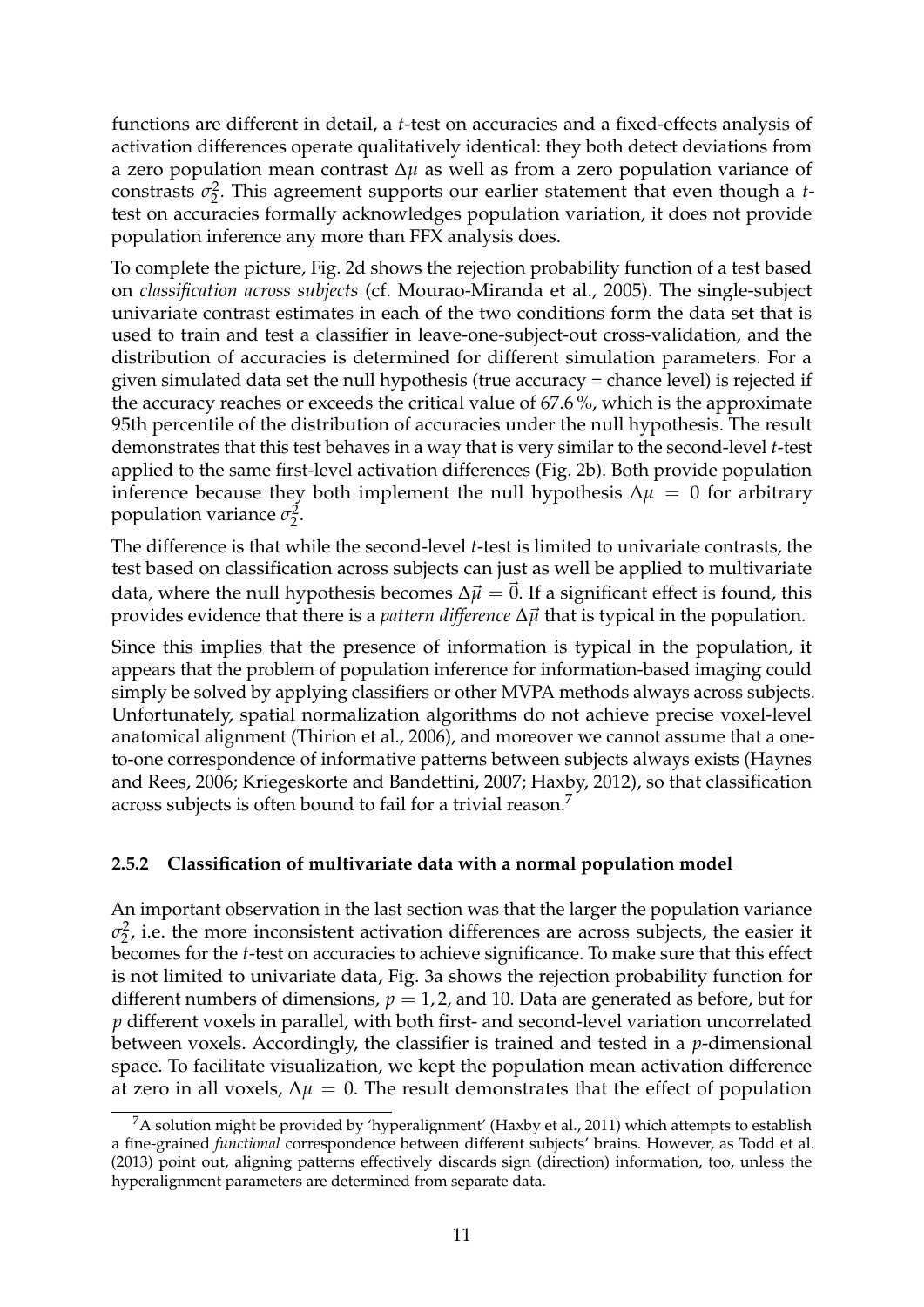functions are different in detail, a *t*-test on accuracies and a fixed-effects analysis of activation differences operate qualitatively identical: they both detect deviations from a zero population mean contrast ∆*µ* as well as from a zero population variance of constrasts *σ* 2 2 . This agreement supports our earlier statement that even though a *t*test on accuracies formally acknowledges population variation, it does not provide population inference any more than FFX analysis does.

To complete the picture, Fig. 2d shows the rejection probability function of a test based on *classification across subjects* (cf. Mourao-Miranda et al., 2005). The single-subject univariate contrast estimates in each of the two conditions form the data set that is used to train and test a classifier in leave-one-subject-out cross-validation, and the distribution of accuracies is determined for different simulation parameters. For a given simulated data set the null hypothesis (true accuracy = chance level) is rejected if the accuracy reaches or exceeds the critical value of 67.6 %, which is the approximate 95th percentile of the distribution of accuracies under the null hypothesis. The result demonstrates that this test behaves in a way that is very similar to the second-level *t*-test applied to the same first-level activation differences (Fig. 2b). Both provide population inference because they both implement the null hypothesis  $\Delta \mu = 0$  for arbitrary population variance *σ* 2  $\frac{2}{2}$ .

The difference is that while the second-level *t*-test is limited to univariate contrasts, the test based on classification across subjects can just as well be applied to multivariate data, where the null hypothesis becomes  $\Delta \vec{\mu} = \vec{0}$ . If a significant effect is found, this provides evidence that there is a *pattern difference*  $\Delta \vec{\mu}$  that is typical in the population.

Since this implies that the presence of information is typical in the population, it appears that the problem of population inference for information-based imaging could simply be solved by applying classifiers or other MVPA methods always across subjects. Unfortunately, spatial normalization algorithms do not achieve precise voxel-level anatomical alignment (Thirion et al., 2006), and moreover we cannot assume that a oneto-one correspondence of informative patterns between subjects always exists (Haynes and Rees, 2006; Kriegeskorte and Bandettini, 2007; Haxby, 2012), so that classification across subjects is often bound to fail for a trivial reason.<sup>[7](#page-0-0)</sup>

### **2.5.2 Classification of multivariate data with a normal population model**

An important observation in the last section was that the larger the population variance *σ* 2  $\frac{2}{2}$ , i.e. the more inconsistent activation differences are across subjects, the easier it becomes for the *t*-test on accuracies to achieve significance. To make sure that this effect is not limited to univariate data, Fig. 3a shows the rejection probability function for different numbers of dimensions,  $p = 1, 2$ , and 10. Data are generated as before, but for *p* different voxels in parallel, with both first- and second-level variation uncorrelated between voxels. Accordingly, the classifier is trained and tested in a *p*-dimensional space. To facilitate visualization, we kept the population mean activation difference at zero in all voxels,  $\Delta \mu = 0$ . The result demonstrates that the effect of population

 ${}^{7}$ A solution might be provided by 'hyperalignment' (Haxby et al., 2011) which attempts to establish a fine-grained *functional* correspondence between different subjects' brains. However, as Todd et al. (2013) point out, aligning patterns effectively discards sign (direction) information, too, unless the hyperalignment parameters are determined from separate data.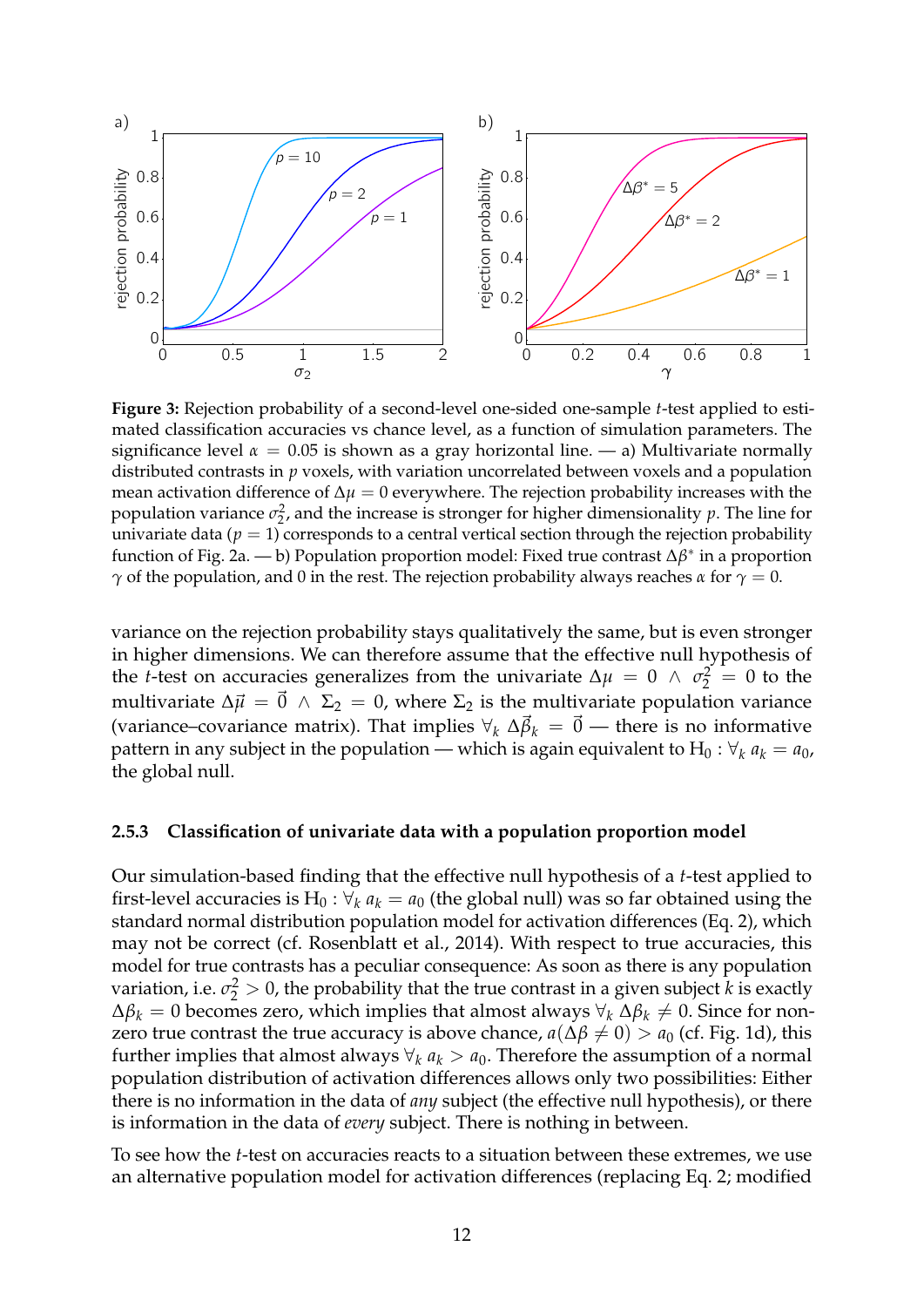

**Figure 3:** Rejection probability of a second-level one-sided one-sample *t*-test applied to estimated classification accuracies vs chance level, as a function of simulation parameters. The significance level  $\alpha = 0.05$  is shown as a gray horizontal line. — a) Multivariate normally distributed contrasts in *p* voxels, with variation uncorrelated between voxels and a population mean activation difference of ∆*µ* = 0 everywhere. The rejection probability increases with the population variance  $\sigma_2^2$ , and the increase is stronger for higher dimensionality  $p$ . The line for univariate data ( $p = 1$ ) corresponds to a central vertical section through the rejection probability function of Fig. 2a. — b) Population proportion model: Fixed true contrast Δ $β$ <sup>\*</sup> in a proportion *γ* of the population, and 0 in the rest. The rejection probability always reaches *α* for  $γ = 0$ .

variance on the rejection probability stays qualitatively the same, but is even stronger in higher dimensions. We can therefore assume that the effective null hypothesis of the *t*-test on accuracies generalizes from the univariate  $\Delta \mu = 0$  ∧  $\sigma_2^2 = 0$  to the multivariate  $\Delta \vec{\mu} = \vec{0} \wedge \Sigma_2 = 0$ , where  $\Sigma_2$  is the multivariate population variance (variance–covariance matrix). That implies  $\forall_k \Delta \vec{\beta}_k = \vec{0}$  — there is no informative pattern in any subject in the population — which is again equivalent to H<sub>0</sub> :  $\forall_k a_k = a_0$ , the global null.

#### **2.5.3 Classification of univariate data with a population proportion model**

Our simulation-based finding that the effective null hypothesis of a *t*-test applied to first-level accuracies is  $H_0$  :  $\forall_k a_k = a_0$  (the global null) was so far obtained using the standard normal distribution population model for activation differences (Eq. [2\)](#page-3-1), which may not be correct (cf. Rosenblatt et al., 2014). With respect to true accuracies, this model for true contrasts has a peculiar consequence: As soon as there is any population variation, i.e.  $\sigma_2^2 > 0$ , the probability that the true contrast in a given subject *k* is exactly  $\Delta\beta_k = 0$  becomes zero, which implies that almost always  $\forall_k \Delta\beta_k \neq 0$ . Since for nonzero true contrast the true accuracy is above chance,  $a(\Delta \beta \neq 0) > a_0$  (cf. Fig. 1d), this further implies that almost always  $\forall_k a_k > a_0$ . Therefore the assumption of a normal population distribution of activation differences allows only two possibilities: Either there is no information in the data of *any* subject (the effective null hypothesis), or there is information in the data of *every* subject. There is nothing in between.

To see how the *t*-test on accuracies reacts to a situation between these extremes, we use an alternative population model for activation differences (replacing Eq. [2;](#page-3-1) modified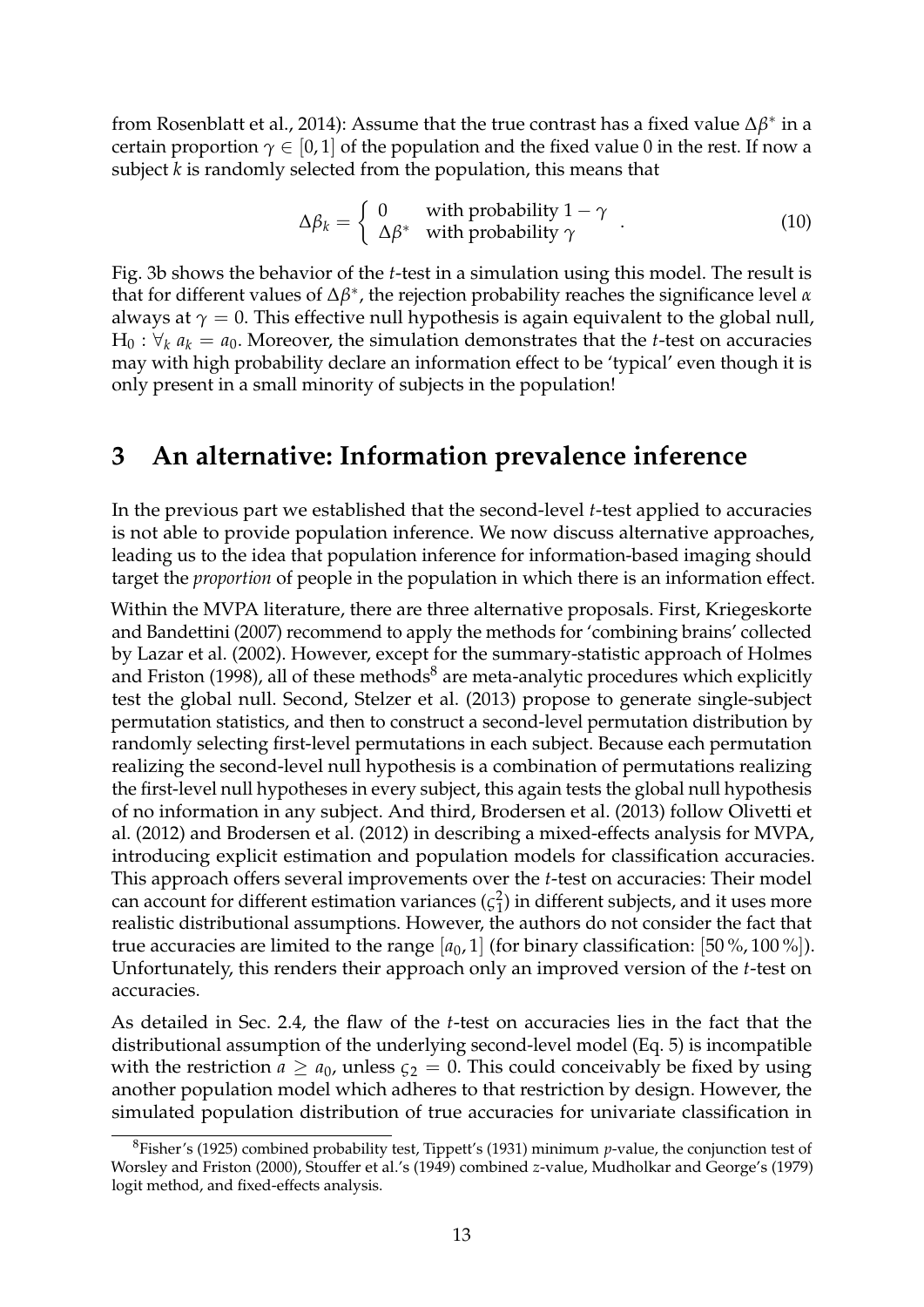from Rosenblatt et al., 2014): Assume that the true contrast has a fixed value Δβ<sup>\*</sup> in a certain proportion  $\gamma \in [0,1]$  of the population and the fixed value 0 in the rest. If now a subject *k* is randomly selected from the population, this means that

<span id="page-12-1"></span>
$$
\Delta \beta_k = \begin{cases} 0 & \text{with probability } 1 - \gamma \\ \Delta \beta^* & \text{with probability } \gamma \end{cases} \tag{10}
$$

Fig. 3b shows the behavior of the *t*-test in a simulation using this model. The result is that for different values of ∆*β* ∗ , the rejection probability reaches the significance level *α* always at  $\gamma = 0$ . This effective null hypothesis is again equivalent to the global null,  $H_0$ :  $\forall_k a_k = a_0$ . Moreover, the simulation demonstrates that the *t*-test on accuracies may with high probability declare an information effect to be 'typical' even though it is only present in a small minority of subjects in the population!

## <span id="page-12-0"></span>**3 An alternative: Information prevalence inference**

In the previous part we established that the second-level *t*-test applied to accuracies is not able to provide population inference. We now discuss alternative approaches, leading us to the idea that population inference for information-based imaging should target the *proportion* of people in the population in which there is an information effect.

Within the MVPA literature, there are three alternative proposals. First, Kriegeskorte and Bandettini (2007) recommend to apply the methods for 'combining brains' collected by Lazar et al. (2002). However, except for the summary-statistic approach of Holmes and Friston (199[8](#page-0-0)), all of these methods<sup>8</sup> are meta-analytic procedures which explicitly test the global null. Second, Stelzer et al. (2013) propose to generate single-subject permutation statistics, and then to construct a second-level permutation distribution by randomly selecting first-level permutations in each subject. Because each permutation realizing the second-level null hypothesis is a combination of permutations realizing the first-level null hypotheses in every subject, this again tests the global null hypothesis of no information in any subject. And third, Brodersen et al. (2013) follow Olivetti et al. (2012) and Brodersen et al. (2012) in describing a mixed-effects analysis for MVPA, introducing explicit estimation and population models for classification accuracies. This approach offers several improvements over the *t*-test on accuracies: Their model can account for different estimation variances (*ς* 2  $\frac{2}{1}$ ) in different subjects, and it uses more realistic distributional assumptions. However, the authors do not consider the fact that true accuracies are limited to the range  $[a_0, 1]$  (for binary classification:  $[50\%, 100\%]$ ). Unfortunately, this renders their approach only an improved version of the *t*-test on accuracies.

As detailed in Sec. [2.4,](#page-6-2) the flaw of the *t*-test on accuracies lies in the fact that the distributional assumption of the underlying second-level model (Eq. [5\)](#page-4-1) is incompatible with the restriction  $a \ge a_0$ , unless  $\zeta_2 = 0$ . This could conceivably be fixed by using another population model which adheres to that restriction by design. However, the simulated population distribution of true accuracies for univariate classification in

<sup>8</sup>Fisher's (1925) combined probability test, Tippett's (1931) minimum *p*-value, the conjunction test of Worsley and Friston (2000), Stouffer et al.'s (1949) combined *z*-value, Mudholkar and George's (1979) logit method, and fixed-effects analysis.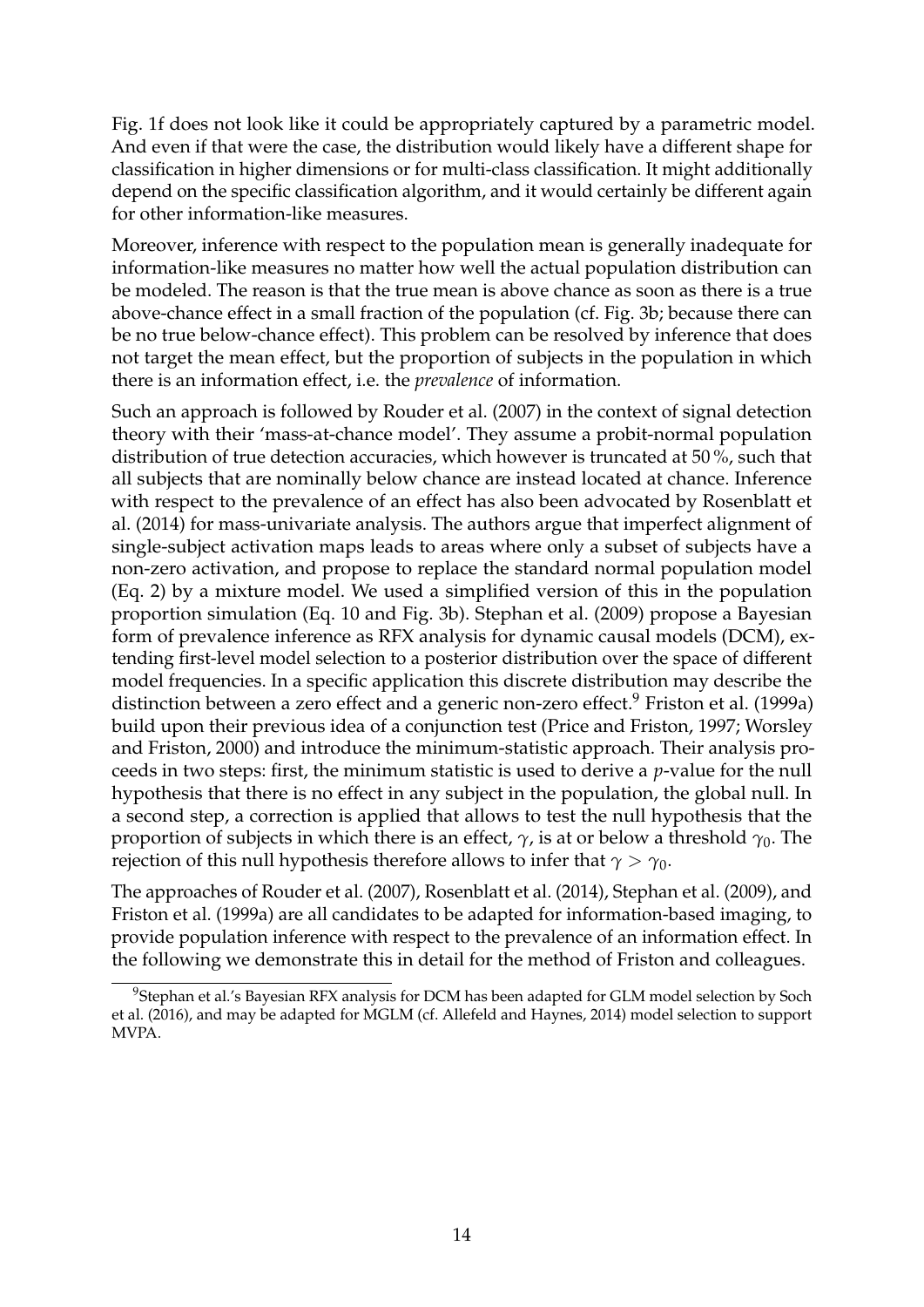Fig. 1f does not look like it could be appropriately captured by a parametric model. And even if that were the case, the distribution would likely have a different shape for classification in higher dimensions or for multi-class classification. It might additionally depend on the specific classification algorithm, and it would certainly be different again for other information-like measures.

Moreover, inference with respect to the population mean is generally inadequate for information-like measures no matter how well the actual population distribution can be modeled. The reason is that the true mean is above chance as soon as there is a true above-chance effect in a small fraction of the population (cf. Fig. 3b; because there can be no true below-chance effect). This problem can be resolved by inference that does not target the mean effect, but the proportion of subjects in the population in which there is an information effect, i.e. the *prevalence* of information.

Such an approach is followed by Rouder et al. (2007) in the context of signal detection theory with their 'mass-at-chance model'. They assume a probit-normal population distribution of true detection accuracies, which however is truncated at 50 %, such that all subjects that are nominally below chance are instead located at chance. Inference with respect to the prevalence of an effect has also been advocated by Rosenblatt et al. (2014) for mass-univariate analysis. The authors argue that imperfect alignment of single-subject activation maps leads to areas where only a subset of subjects have a non-zero activation, and propose to replace the standard normal population model (Eq. [2\)](#page-3-1) by a mixture model. We used a simplified version of this in the population proportion simulation (Eq. [10](#page-12-1) and Fig. 3b). Stephan et al. (2009) propose a Bayesian form of prevalence inference as RFX analysis for dynamic causal models (DCM), extending first-level model selection to a posterior distribution over the space of different model frequencies. In a specific application this discrete distribution may describe the distinction between a zero effect and a generic non-zero effect.<sup>[9](#page-0-0)</sup> Friston et al. (1999a) build upon their previous idea of a conjunction test (Price and Friston, 1997; Worsley and Friston, 2000) and introduce the minimum-statistic approach. Their analysis proceeds in two steps: first, the minimum statistic is used to derive a *p*-value for the null hypothesis that there is no effect in any subject in the population, the global null. In a second step, a correction is applied that allows to test the null hypothesis that the proportion of subjects in which there is an effect, *γ*, is at or below a threshold *γ*0. The rejection of this null hypothesis therefore allows to infer that  $\gamma > \gamma_0$ .

The approaches of Rouder et al. (2007), Rosenblatt et al. (2014), Stephan et al. (2009), and Friston et al. (1999a) are all candidates to be adapted for information-based imaging, to provide population inference with respect to the prevalence of an information effect. In the following we demonstrate this in detail for the method of Friston and colleagues.

<sup>&</sup>lt;sup>9</sup>Stephan et al.'s Bayesian RFX analysis for DCM has been adapted for GLM model selection by Soch et al. (2016), and may be adapted for MGLM (cf. Allefeld and Haynes, 2014) model selection to support MVPA.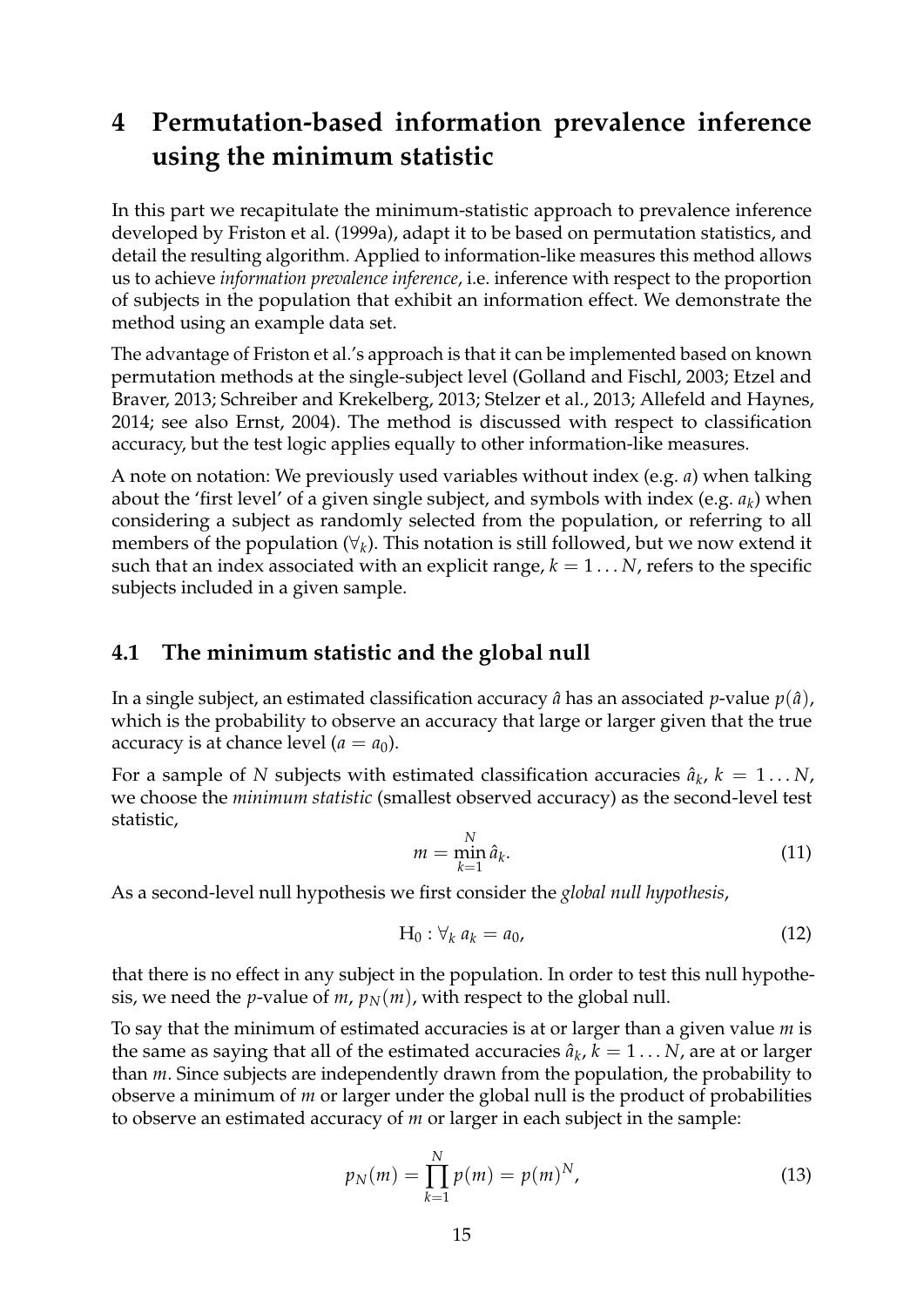## <span id="page-14-0"></span>**4 Permutation-based information prevalence inference using the minimum statistic**

In this part we recapitulate the minimum-statistic approach to prevalence inference developed by Friston et al. (1999a), adapt it to be based on permutation statistics, and detail the resulting algorithm. Applied to information-like measures this method allows us to achieve *information prevalence inference*, i.e. inference with respect to the proportion of subjects in the population that exhibit an information effect. We demonstrate the method using an example data set.

The advantage of Friston et al.'s approach is that it can be implemented based on known permutation methods at the single-subject level (Golland and Fischl, 2003; Etzel and Braver, 2013; Schreiber and Krekelberg, 2013; Stelzer et al., 2013; Allefeld and Haynes, 2014; see also Ernst, 2004). The method is discussed with respect to classification accuracy, but the test logic applies equally to other information-like measures.

A note on notation: We previously used variables without index (e.g. *a*) when talking about the 'first level' of a given single subject, and symbols with index (e.g. *a<sup>k</sup>* ) when considering a subject as randomly selected from the population, or referring to all members of the population  $(\forall_k)$ . This notation is still followed, but we now extend it such that an index associated with an explicit range,  $k = 1 \dots N$ , refers to the specific subjects included in a given sample.

## **4.1 The minimum statistic and the global null**

In a single subject, an estimated classification accuracy  $\hat{a}$  has an associated *p*-value  $p(\hat{a})$ , which is the probability to observe an accuracy that large or larger given that the true accuracy is at chance level  $(a = a_0)$ .

For a sample of *N* subjects with estimated classification accuracies  $\hat{a}_k$ ,  $k = 1...N$ , we choose the *minimum statistic* (smallest observed accuracy) as the second-level test statistic,

<span id="page-14-3"></span>
$$
m = \min_{k=1}^{N} \hat{a}_k.
$$
 (11)

As a second-level null hypothesis we first consider the *global null hypothesis*,

<span id="page-14-1"></span>
$$
H_0: \forall_k a_k = a_0,\tag{12}
$$

that there is no effect in any subject in the population. In order to test this null hypothesis, we need the *p*-value of *m*,  $p_N(m)$ , with respect to the global null.

To say that the minimum of estimated accuracies is at or larger than a given value *m* is the same as saying that all of the estimated accuracies  $\hat{a}_k$ ,  $k = 1...N$ , are at or larger than *m*. Since subjects are independently drawn from the population, the probability to observe a minimum of *m* or larger under the global null is the product of probabilities to observe an estimated accuracy of *m* or larger in each subject in the sample:

<span id="page-14-2"></span>
$$
p_N(m) = \prod_{k=1}^{N} p(m) = p(m)^N,
$$
\n(13)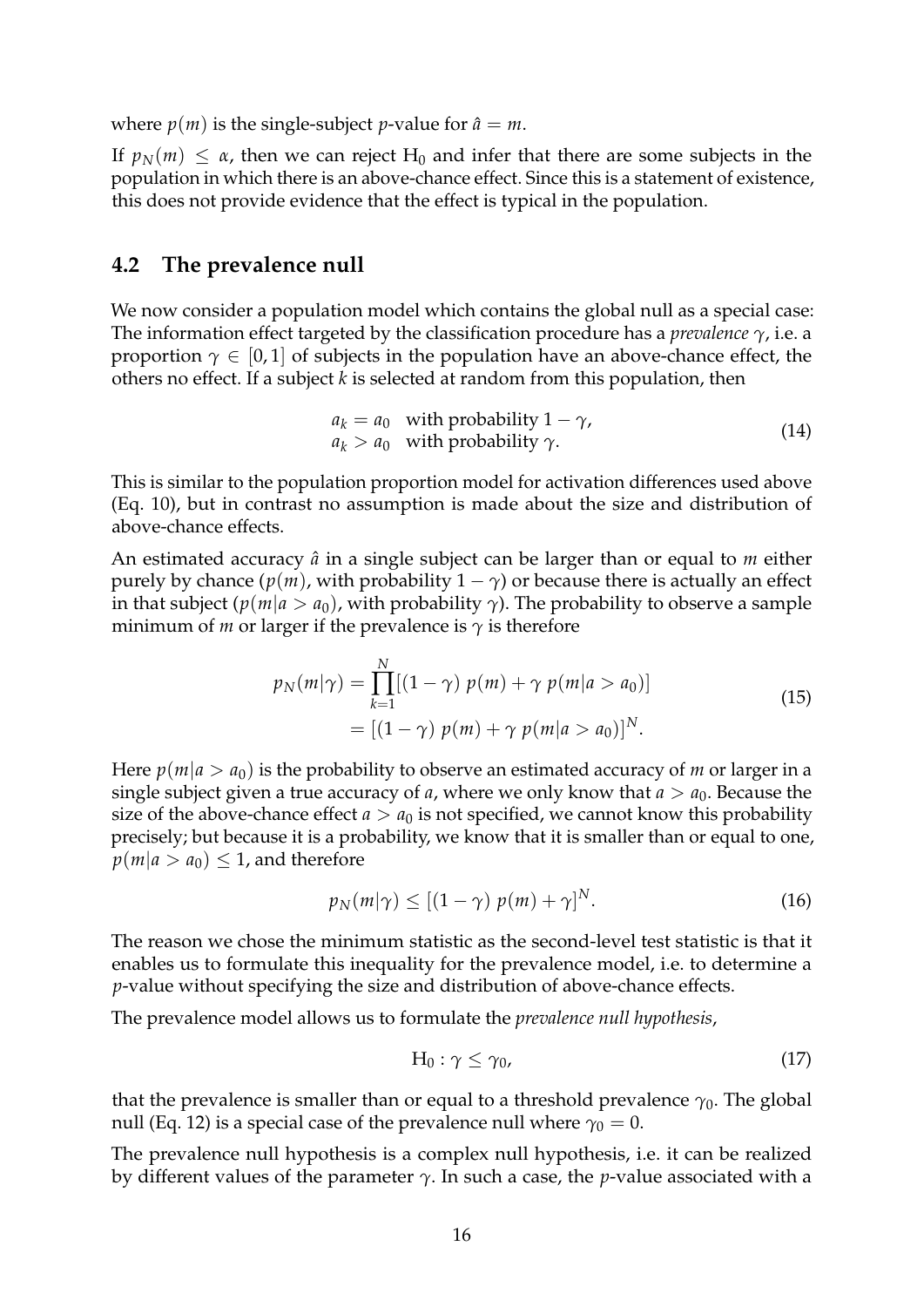where  $p(m)$  is the single-subject *p*-value for  $\hat{a} = m$ .

If  $p_N(m) \leq \alpha$ , then we can reject H<sub>0</sub> and infer that there are some subjects in the population in which there is an above-chance effect. Since this is a statement of existence, this does not provide evidence that the effect is typical in the population.

#### **4.2 The prevalence null**

We now consider a population model which contains the global null as a special case: The information effect targeted by the classification procedure has a *prevalence γ*, i.e. a proportion  $\gamma \in [0, 1]$  of subjects in the population have an above-chance effect, the others no effect. If a subject *k* is selected at random from this population, then

$$
a_k = a_0 \text{ with probability } 1 - \gamma,
$$
  
\n
$$
a_k > a_0 \text{ with probability } \gamma.
$$
\n(14)

This is similar to the population proportion model for activation differences used above (Eq. [10\)](#page-12-1), but in contrast no assumption is made about the size and distribution of above-chance effects.

An estimated accuracy  $\hat{a}$  in a single subject can be larger than or equal to *m* either purely by chance ( $p(m)$ , with probability  $1 - \gamma$ ) or because there is actually an effect in that subject  $(p(m|a > a_0))$ , with probability  $\gamma$ ). The probability to observe a sample minimum of *m* or larger if the prevalence is  $\gamma$  is therefore

$$
p_N(m|\gamma) = \prod_{k=1}^N [(1-\gamma) p(m) + \gamma p(m|a > a_0)]
$$
  
= [(1-\gamma) p(m) + \gamma p(m|a > a\_0)]<sup>N</sup>. (15)

Here  $p(m|a > a_0)$  is the probability to observe an estimated accuracy of *m* or larger in a single subject given a true accuracy of *a*, where we only know that  $a > a_0$ . Because the size of the above-chance effect  $a > a_0$  is not specified, we cannot know this probability precisely; but because it is a probability, we know that it is smaller than or equal to one,  $p(m|a > a_0) \leq 1$ , and therefore

<span id="page-15-0"></span>
$$
p_N(m|\gamma) \le [(1-\gamma) p(m) + \gamma]^N. \tag{16}
$$

The reason we chose the minimum statistic as the second-level test statistic is that it enables us to formulate this inequality for the prevalence model, i.e. to determine a *p*-value without specifying the size and distribution of above-chance effects.

The prevalence model allows us to formulate the *prevalence null hypothesis*,

$$
H_0: \gamma \le \gamma_0,\tag{17}
$$

that the prevalence is smaller than or equal to a threshold prevalence  $\gamma_0$ . The global null (Eq. [12\)](#page-14-1) is a special case of the prevalence null where  $\gamma_0 = 0$ .

The prevalence null hypothesis is a complex null hypothesis, i.e. it can be realized by different values of the parameter *γ*. In such a case, the *p*-value associated with a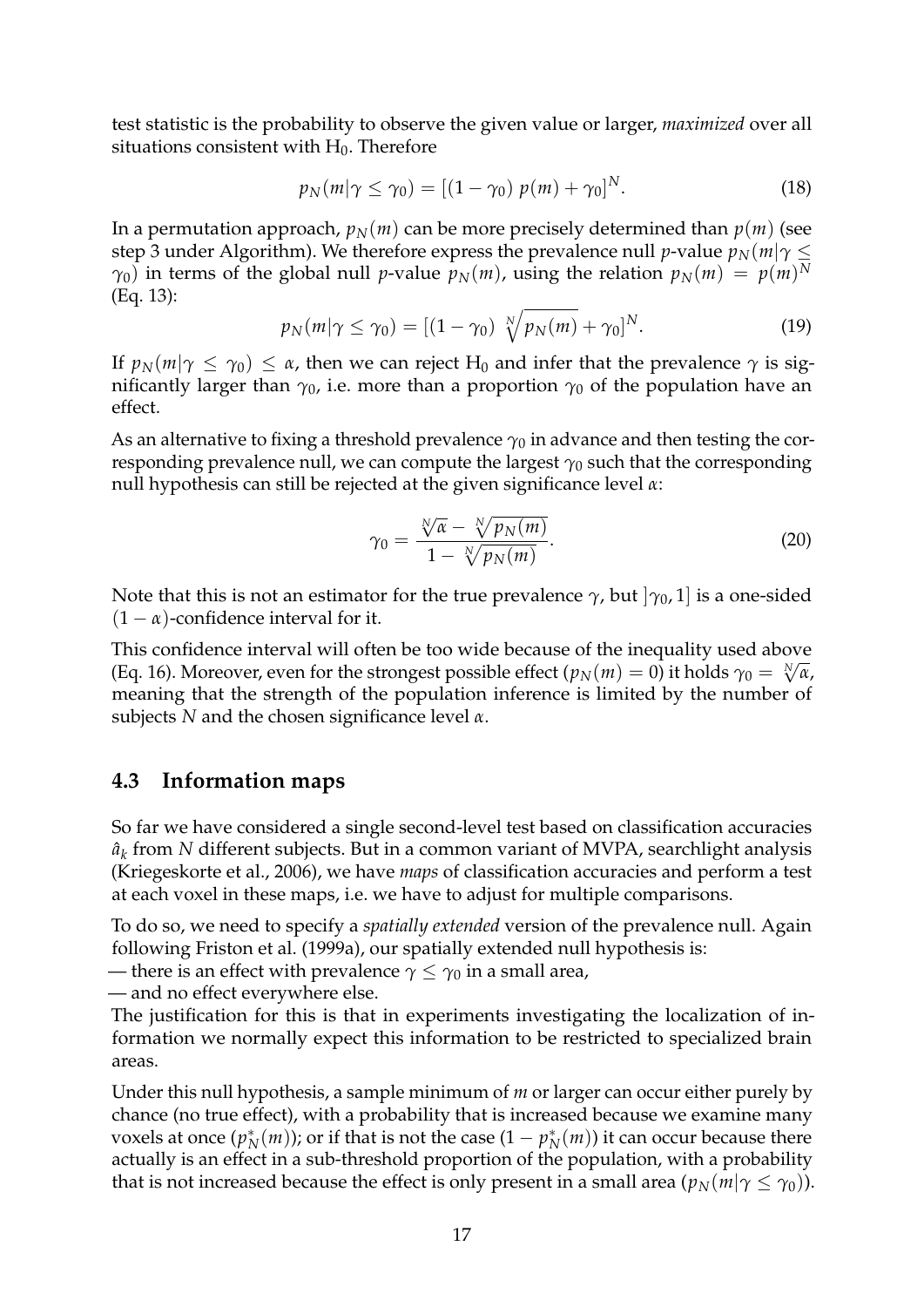test statistic is the probability to observe the given value or larger, *maximized* over all situations consistent with  $H_0$ . Therefore

$$
p_N(m|\gamma \le \gamma_0) = [(1 - \gamma_0) p(m) + \gamma_0]^N. \tag{18}
$$

In a permutation approach,  $p_N(m)$  can be more precisely determined than  $p(m)$  (see step 3 under Algorithm). We therefore express the prevalence null *p*-value  $p_N(m|\gamma \leq 1)$ *γ*<sub>0</sub>) in terms of the global null *p*-value  $p_N(m)$ , using the relation  $p_N(m) = p(m)^N$ (Eq. [13\)](#page-14-2):

<span id="page-16-0"></span>
$$
p_N(m|\gamma \le \gamma_0) = [(1 - \gamma_0) \sqrt[N]{p_N(m)} + \gamma_0]^N. \tag{19}
$$

If  $p_N(m|\gamma \leq \gamma_0) \leq \alpha$ , then we can reject H<sub>0</sub> and infer that the prevalence  $\gamma$  is significantly larger than  $\gamma_0$ , i.e. more than a proportion  $\gamma_0$  of the population have an effect.

As an alternative to fixing a threshold prevalence  $\gamma_0$  in advance and then testing the corresponding prevalence null, we can compute the largest  $\gamma_0$  such that the corresponding null hypothesis can still be rejected at the given significance level *α*:

$$
\gamma_0 = \frac{\sqrt[N]{\alpha} - \sqrt[N]{p_N(m)}}{1 - \sqrt[N]{p_N(m)}}.
$$
\n(20)

Note that this is not an estimator for the true prevalence  $\gamma$ , but  $[\gamma_0, 1]$  is a one-sided  $(1 - \alpha)$ -confidence interval for it.

This confidence interval will often be too wide because of the inequality used above This confidence interval will often be too wide because of the inequality used above (Eq. [16\)](#page-15-0). Moreover, even for the strongest possible effect  $(p_N(m) = 0)$  it holds  $\gamma_0 = \sqrt[N]{\alpha}$ , meaning that the strength of the population inference is limited by the number of subjects *N* and the chosen significance level *α*.

### **4.3 Information maps**

So far we have considered a single second-level test based on classification accuracies  $\hat{a}_k$  from  $N$  different subjects. But in a common variant of MVPA, searchlight analysis (Kriegeskorte et al., 2006), we have *maps* of classification accuracies and perform a test at each voxel in these maps, i.e. we have to adjust for multiple comparisons.

To do so, we need to specify a *spatially extended* version of the prevalence null. Again following Friston et al. (1999a), our spatially extended null hypothesis is:

— there is an effect with prevalence  $\gamma \leq \gamma_0$  in a small area,

— and no effect everywhere else.

The justification for this is that in experiments investigating the localization of information we normally expect this information to be restricted to specialized brain areas.

Under this null hypothesis, a sample minimum of *m* or larger can occur either purely by chance (no true effect), with a probability that is increased because we examine many voxels at once (*p* ∗  $N(N)$ ); or if that is not the case (1 – *p*<sup>\*</sup><sub>)</sub>  $N(N)$ ) it can occur because there actually is an effect in a sub-threshold proportion of the population, with a probability that is not increased because the effect is only present in a small area  $(p_N(m|\gamma \leq \gamma_0))$ .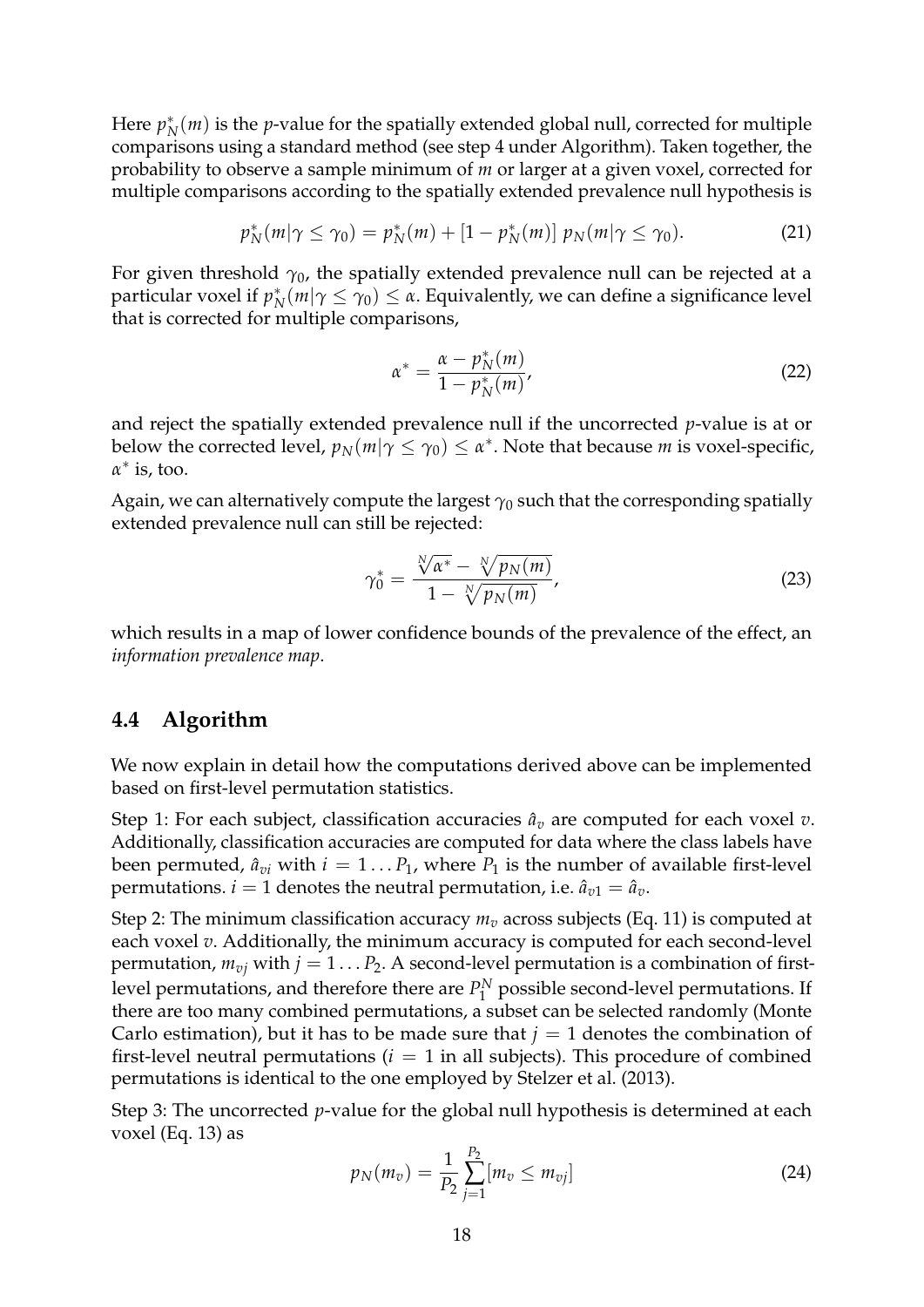Here *p* ∗  $N\choose N(m)$  is the *p*-value for the spatially extended global null, corrected for multiple comparisons using a standard method (see step 4 under Algorithm). Taken together, the probability to observe a sample minimum of *m* or larger at a given voxel, corrected for multiple comparisons according to the spatially extended prevalence null hypothesis is

<span id="page-17-0"></span>
$$
p_N^*(m|\gamma \le \gamma_0) = p_N^*(m) + [1 - p_N^*(m)] \ p_N(m|\gamma \le \gamma_0). \tag{21}
$$

For given threshold  $\gamma_0$ , the spatially extended prevalence null can be rejected at a particular voxel if *p* ∗  $N\choose N$ <sup>(*m*</sup>| $\gamma \leq \gamma_0$ )  $\leq$  *α*. Equivalently, we can define a significance level that is corrected for multiple comparisons,

<span id="page-17-1"></span>
$$
\alpha^* = \frac{\alpha - p_N^*(m)}{1 - p_N^*(m)},
$$
\n(22)

and reject the spatially extended prevalence null if the uncorrected *p*-value is at or below the corrected level,  $p_N(m|\gamma \leq \gamma_0) \leq \alpha^*$ . Note that because *m* is voxel-specific, *α* ∗ is, too.

Again, we can alternatively compute the largest  $\gamma_0$  such that the corresponding spatially extended prevalence null can still be rejected:

<span id="page-17-2"></span>
$$
\gamma_0^* = \frac{\sqrt[N]{\alpha^*} - \sqrt[N]{p_N(m)}}{1 - \sqrt[N]{p_N(m)}},
$$
\n(23)

which results in a map of lower confidence bounds of the prevalence of the effect, an *information prevalence map*.

### **4.4 Algorithm**

We now explain in detail how the computations derived above can be implemented based on first-level permutation statistics.

Step 1: For each subject, classification accuracies  $\hat{a}_v$  are computed for each voxel  $v$ . Additionally, classification accuracies are computed for data where the class labels have been permuted,  $\hat{a}_{vi}$  with  $i = 1 \dots P_1$ , where  $P_1$  is the number of available first-level permutations.  $i = 1$  denotes the neutral permutation, i.e.  $\hat{a}_{v1} = \hat{a}_v$ .

Step 2: The minimum classification accuracy *m<sup>v</sup>* across subjects (Eq. [11\)](#page-14-3) is computed at each voxel *v*. Additionally, the minimum accuracy is computed for each second-level permutation,  $m_{vi}$  with  $j = 1 \dots P_2$ . A second-level permutation is a combination of firstlevel permutations, and therefore there are  $P_1^N$  $_1^N$  possible second-level permutations. If there are too many combined permutations, a subset can be selected randomly (Monte Carlo estimation), but it has to be made sure that  $j = 1$  denotes the combination of first-level neutral permutations  $(i = 1$  in all subjects). This procedure of combined permutations is identical to the one employed by Stelzer et al. (2013).

Step 3: The uncorrected *p*-value for the global null hypothesis is determined at each voxel (Eq. [13\)](#page-14-2) as

$$
p_N(m_v) = \frac{1}{P_2} \sum_{j=1}^{P_2} [m_v \le m_{vj}]
$$
 (24)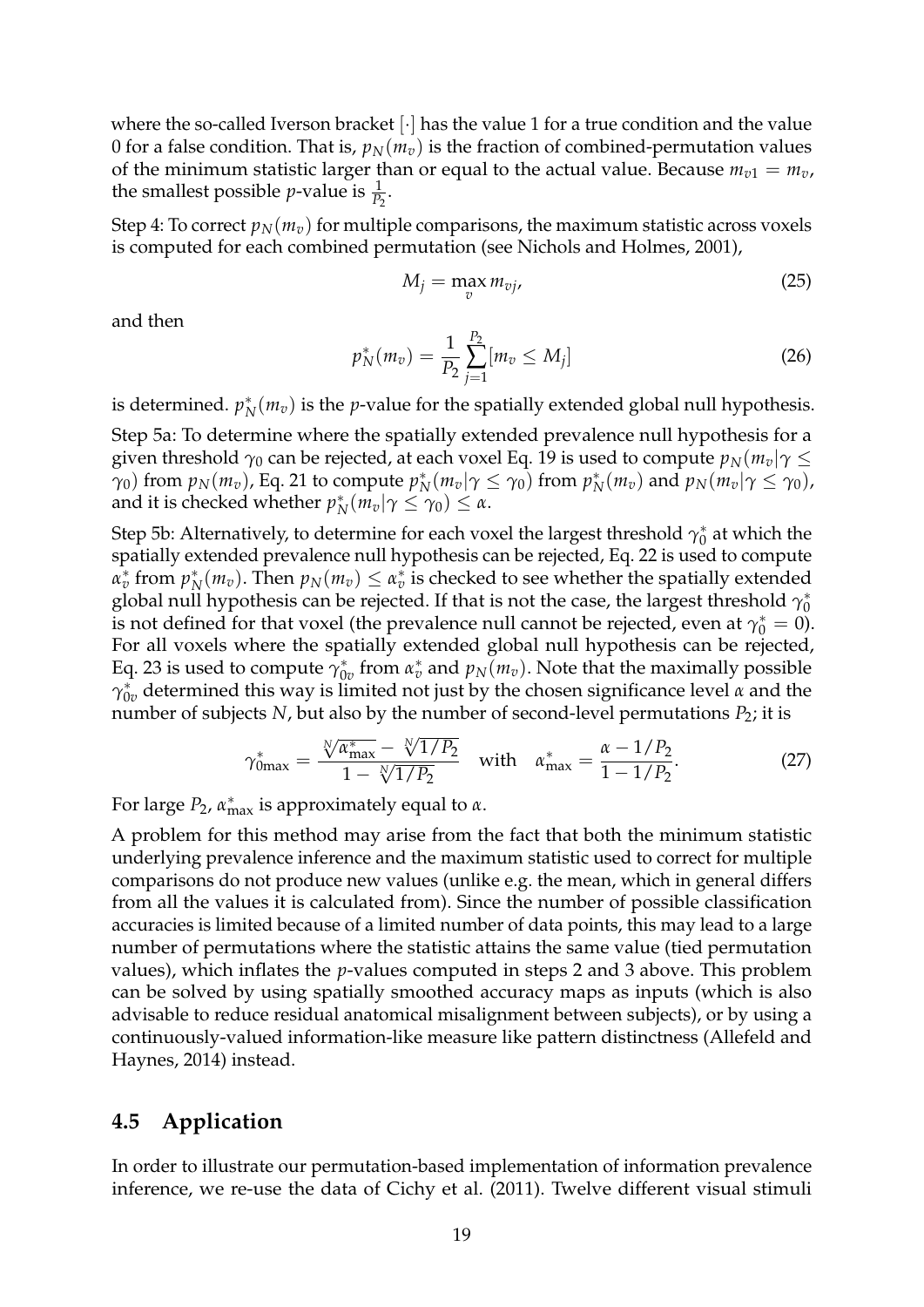where the so-called Iverson bracket  $\lceil \cdot \rceil$  has the value 1 for a true condition and the value 0 for a false condition. That is,  $p_N(m_v)$  is the fraction of combined-permutation values of the minimum statistic larger than or equal to the actual value. Because  $m_{v1} = m_v$ , the smallest possible *p*-value is  $\frac{1}{P_2}$ .

Step 4: To correct  $p_N(m_v)$  for multiple comparisons, the maximum statistic across voxels is computed for each combined permutation (see Nichols and Holmes, 2001),

$$
M_j = \max_v m_{vj},\tag{25}
$$

and then

$$
p_N^*(m_v) = \frac{1}{P_2} \sum_{j=1}^{P_2} [m_v \le M_j]
$$
 (26)

is determined. *p* ∗  $N^*_{N}(m_v)$  is the *p*-value for the spatially extended global null hypothesis. Step 5a: To determine where the spatially extended prevalence null hypothesis for a given threshold  $\gamma_0$  can be rejected, at each voxel Eq. [19](#page-16-0) is used to compute  $p_N(m_v|\gamma \leq 1)$  $\tilde{\gamma}_0$ ) from  $p_N(m_v)$ , Eq. [21](#page-17-0) to compute  $p_N^*$  $\gamma_N^*(m_v|\gamma \leq \gamma_0)$  from  $p_N^*$  $\frac{k}{N}(m_v)$  and  $p_N(m_v|\gamma \leq \gamma_0)$ , and it is checked whether  $p_N^*$  $N^*_{N}(m_v|\gamma \leq \gamma_0) \leq \alpha.$ 

Step 5b: Alternatively, to determine for each voxel the largest threshold  $\gamma_0^*$  $n_0^*$  at which the spatially extended prevalence null hypothesis can be rejected, Eq. [22](#page-17-1) is used to compute  $\alpha_v^*$  from  $p_N^*$  $N_{N}(m_{v})$ . Then  $p_{N}(m_{v}) \leq \alpha_{v}^{*}$  is checked to see whether the spatially extended global null hypothesis can be rejected. If that is not the case, the largest threshold  $\gamma_{0}^{*}$  $\ddot{0}$ is not defined for that voxel (the prevalence null cannot be rejected, even at  $\gamma_0^* = 0$ ). For all voxels where the spatially extended global null hypothesis can be rejected, Eq. [23](#page-17-2) is used to compute  $\gamma_{0}^{*}$  $\gamma_{0v}^*$  from  $\alpha_v^*$  and  $p_N(m_v)$ . Note that the maximally possible *γ* ∗  $^*_{0v}$  determined this way is limited not just by the chosen significance level *α* and the number of subjects *N*, but also by the number of second-level permutations *P*2; it is

<span id="page-18-0"></span>
$$
\gamma_{0\text{max}}^* = \frac{\sqrt[N]{\alpha_{\text{max}}^*} - \sqrt[N]{1/P_2}}{1 - \sqrt[N]{1/P_2}} \quad \text{with} \quad \alpha_{\text{max}}^* = \frac{\alpha - 1/P_2}{1 - 1/P_2}.
$$
 (27)

For large  $P_2$ ,  $\alpha_{\text{max}}^*$  is approximately equal to  $\alpha$ .

A problem for this method may arise from the fact that both the minimum statistic underlying prevalence inference and the maximum statistic used to correct for multiple comparisons do not produce new values (unlike e.g. the mean, which in general differs from all the values it is calculated from). Since the number of possible classification accuracies is limited because of a limited number of data points, this may lead to a large number of permutations where the statistic attains the same value (tied permutation values), which inflates the *p*-values computed in steps 2 and 3 above. This problem can be solved by using spatially smoothed accuracy maps as inputs (which is also advisable to reduce residual anatomical misalignment between subjects), or by using a continuously-valued information-like measure like pattern distinctness (Allefeld and Haynes, 2014) instead.

## **4.5 Application**

In order to illustrate our permutation-based implementation of information prevalence inference, we re-use the data of Cichy et al. (2011). Twelve different visual stimuli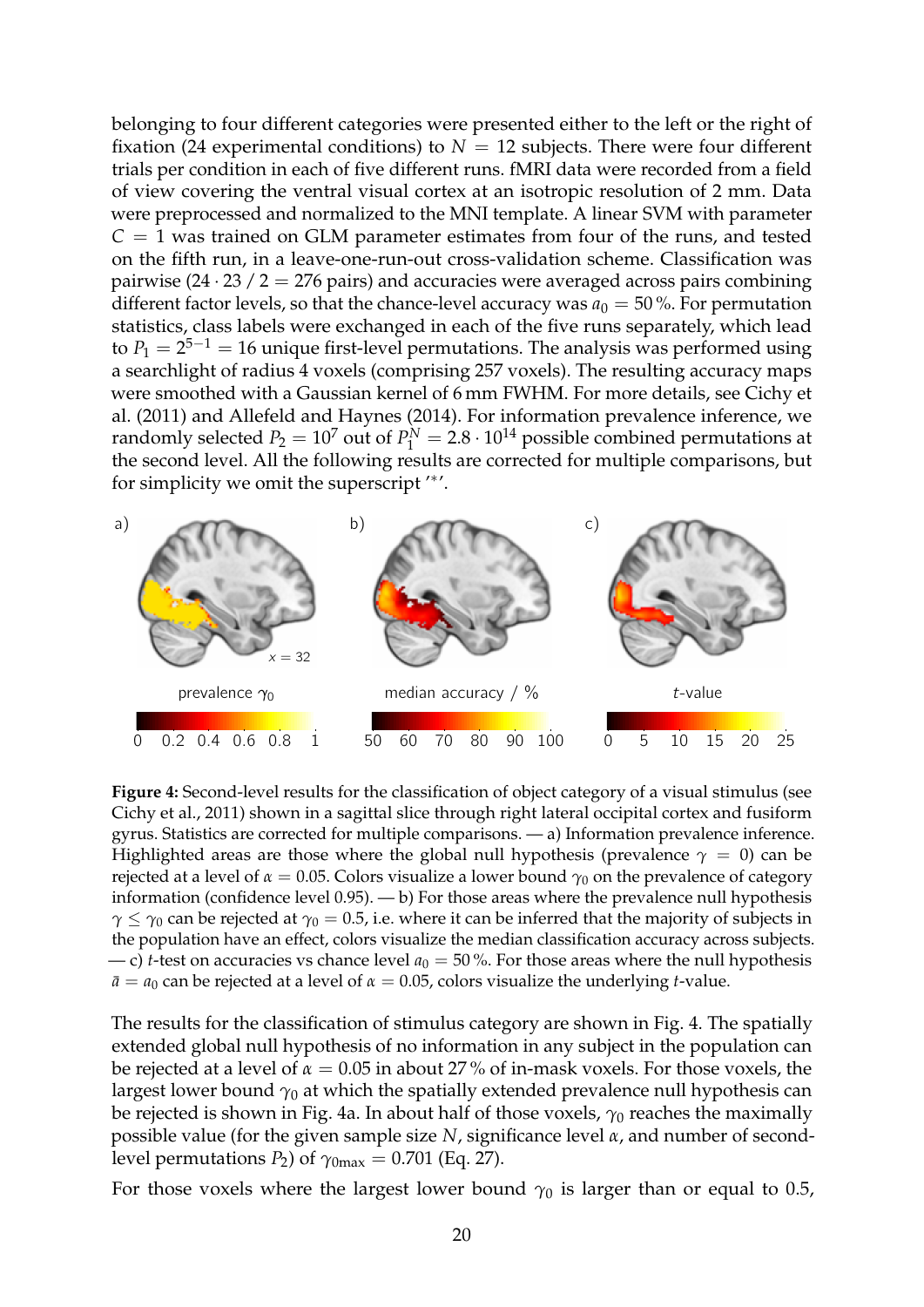belonging to four different categories were presented either to the left or the right of fixation (24 experimental conditions) to  $N = 12$  subjects. There were four different trials per condition in each of five different runs. fMRI data were recorded from a field of view covering the ventral visual cortex at an isotropic resolution of 2 mm. Data were preprocessed and normalized to the MNI template. A linear SVM with parameter  $C = 1$  was trained on GLM parameter estimates from four of the runs, and tested on the fifth run, in a leave-one-run-out cross-validation scheme. Classification was pairwise  $(24 \cdot 23 / 2 = 276$  pairs) and accuracies were averaged across pairs combining different factor levels, so that the chance-level accuracy was  $a_0 = 50$ %. For permutation statistics, class labels were exchanged in each of the five runs separately, which lead to  $P_1 = 2^{5-1} = 16$  unique first-level permutations. The analysis was performed using a searchlight of radius 4 voxels (comprising 257 voxels). The resulting accuracy maps were smoothed with a Gaussian kernel of 6 mm FWHM. For more details, see Cichy et al. (2011) and Allefeld and Haynes (2014). For information prevalence inference, we randomly selected  $P_2 = 10^7$  out of  $P_1^N = 2.8 \cdot 10^{14}$  possible combined permutations at the second level. All the following results are corrected for multiple comparisons, but for simplicity we omit the superscript "\*'.



**Figure 4:** Second-level results for the classification of object category of a visual stimulus (see Cichy et al., 2011) shown in a sagittal slice through right lateral occipital cortex and fusiform gyrus. Statistics are corrected for multiple comparisons. — a) Information prevalence inference. Highlighted areas are those where the global null hypothesis (prevalence  $\gamma = 0$ ) can be rejected at a level of  $α = 0.05$ . Colors visualize a lower bound  $γ_0$  on the prevalence of category information (confidence level 0.95). — b) For those areas where the prevalence null hypothesis  $γ ≤ γ_0$  can be rejected at  $γ_0 = 0.5$ , i.e. where it can be inferred that the majority of subjects in the population have an effect, colors visualize the median classification accuracy across subjects.  $\sim$  c) *t*-test on accuracies vs chance level  $a_0 = 50$ %. For those areas where the null hypothesis  $\bar{a} = a_0$  can be rejected at a level of  $\alpha = 0.05$ , colors visualize the underlying *t*-value.

The results for the classification of stimulus category are shown in Fig. 4. The spatially extended global null hypothesis of no information in any subject in the population can be rejected at a level of  $\alpha = 0.05$  in about 27% of in-mask voxels. For those voxels, the largest lower bound  $\gamma_0$  at which the spatially extended prevalence null hypothesis can be rejected is shown in Fig. 4a. In about half of those voxels,  $γ_0$  reaches the maximally possible value (for the given sample size *N*, significance level *α*, and number of secondlevel permutations  $P_2$ ) of  $\gamma_{0\text{max}} = 0.701$  (Eq. [27\)](#page-18-0).

For those voxels where the largest lower bound  $\gamma_0$  is larger than or equal to 0.5,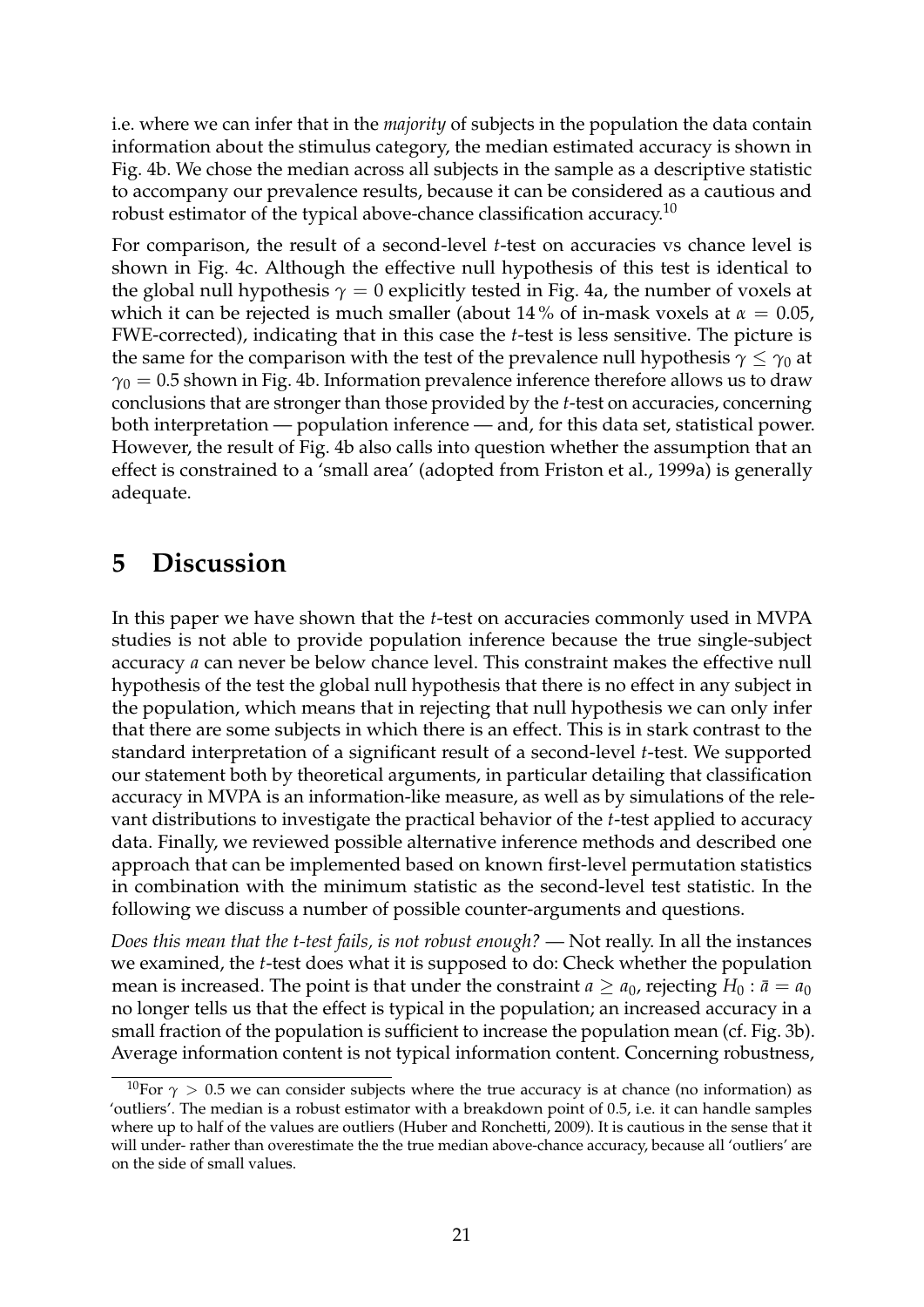i.e. where we can infer that in the *majority* of subjects in the population the data contain information about the stimulus category, the median estimated accuracy is shown in Fig. 4b. We chose the median across all subjects in the sample as a descriptive statistic to accompany our prevalence results, because it can be considered as a cautious and robust estimator of the typical above-chance classification accuracy.[10](#page-0-0)

For comparison, the result of a second-level *t*-test on accuracies vs chance level is shown in Fig. 4c. Although the effective null hypothesis of this test is identical to the global null hypothesis  $\gamma = 0$  explicitly tested in Fig. 4a, the number of voxels at which it can be rejected is much smaller (about 14 % of in-mask voxels at  $\alpha = 0.05$ , FWE-corrected), indicating that in this case the *t*-test is less sensitive. The picture is the same for the comparison with the test of the prevalence null hypothesis  $\gamma \leq \gamma_0$  at  $\gamma_0 = 0.5$  shown in Fig. 4b. Information prevalence inference therefore allows us to draw conclusions that are stronger than those provided by the *t*-test on accuracies, concerning both interpretation — population inference — and, for this data set, statistical power. However, the result of Fig. 4b also calls into question whether the assumption that an effect is constrained to a 'small area' (adopted from Friston et al., 1999a) is generally adequate.

## **5 Discussion**

In this paper we have shown that the *t*-test on accuracies commonly used in MVPA studies is not able to provide population inference because the true single-subject accuracy *a* can never be below chance level. This constraint makes the effective null hypothesis of the test the global null hypothesis that there is no effect in any subject in the population, which means that in rejecting that null hypothesis we can only infer that there are some subjects in which there is an effect. This is in stark contrast to the standard interpretation of a significant result of a second-level *t*-test. We supported our statement both by theoretical arguments, in particular detailing that classification accuracy in MVPA is an information-like measure, as well as by simulations of the relevant distributions to investigate the practical behavior of the *t*-test applied to accuracy data. Finally, we reviewed possible alternative inference methods and described one approach that can be implemented based on known first-level permutation statistics in combination with the minimum statistic as the second-level test statistic. In the following we discuss a number of possible counter-arguments and questions.

*Does this mean that the t-test fails, is not robust enough?* — Not really. In all the instances we examined, the *t*-test does what it is supposed to do: Check whether the population mean is increased. The point is that under the constraint  $a \ge a_0$ , rejecting  $H_0 : \bar{a} = a_0$ no longer tells us that the effect is typical in the population; an increased accuracy in a small fraction of the population is sufficient to increase the population mean (cf. Fig. 3b). Average information content is not typical information content. Concerning robustness,

<sup>&</sup>lt;sup>10</sup>For  $\gamma > 0.5$  we can consider subjects where the true accuracy is at chance (no information) as 'outliers'. The median is a robust estimator with a breakdown point of 0.5, i.e. it can handle samples where up to half of the values are outliers (Huber and Ronchetti, 2009). It is cautious in the sense that it will under- rather than overestimate the the true median above-chance accuracy, because all 'outliers' are on the side of small values.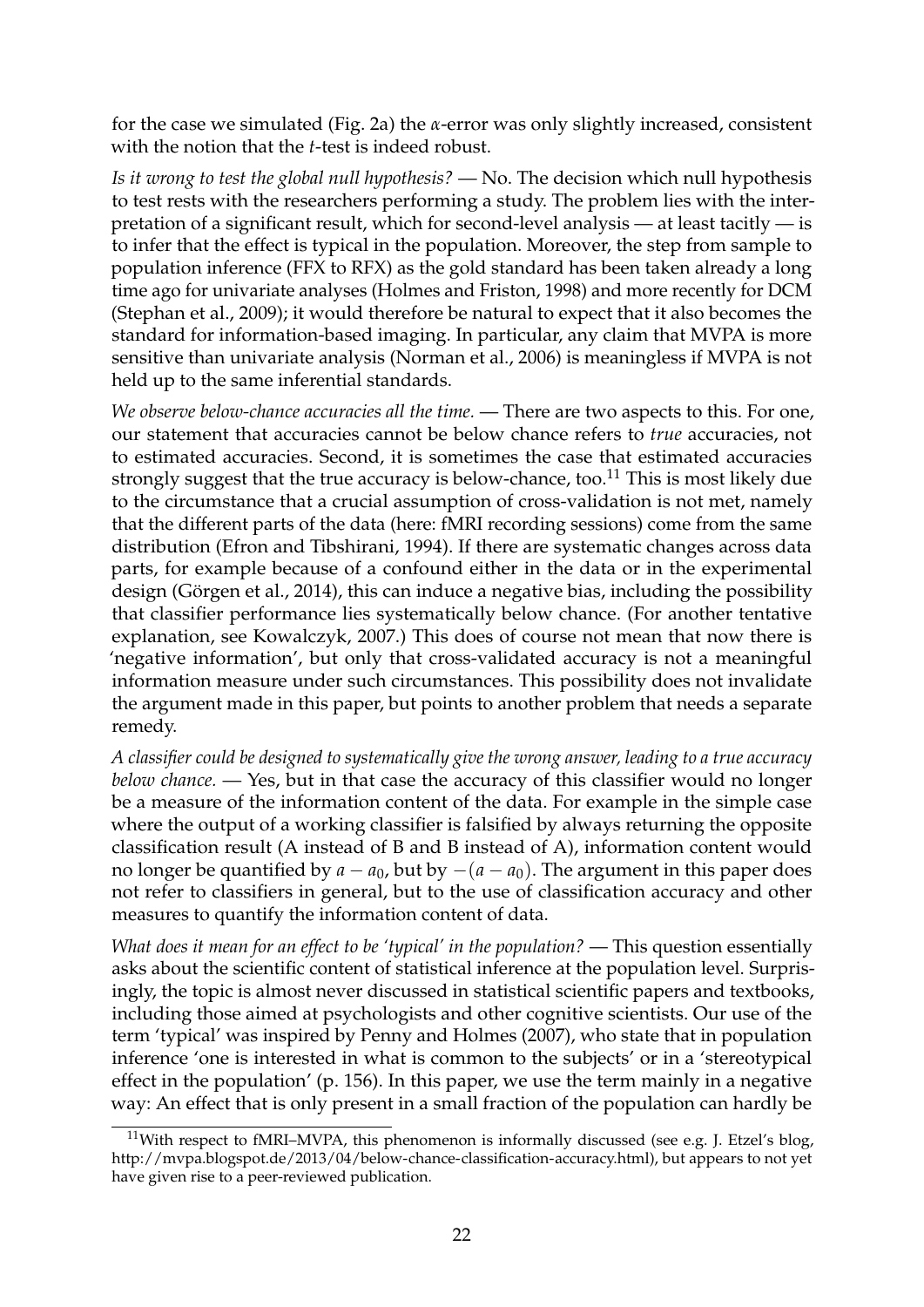for the case we simulated (Fig. 2a) the *α*-error was only slightly increased, consistent with the notion that the *t*-test is indeed robust.

*Is it wrong to test the global null hypothesis?* — No. The decision which null hypothesis to test rests with the researchers performing a study. The problem lies with the interpretation of a significant result, which for second-level analysis — at least tacitly — is to infer that the effect is typical in the population. Moreover, the step from sample to population inference (FFX to RFX) as the gold standard has been taken already a long time ago for univariate analyses (Holmes and Friston, 1998) and more recently for DCM (Stephan et al., 2009); it would therefore be natural to expect that it also becomes the standard for information-based imaging. In particular, any claim that MVPA is more sensitive than univariate analysis (Norman et al., 2006) is meaningless if MVPA is not held up to the same inferential standards.

*We observe below-chance accuracies all the time.* — There are two aspects to this. For one, our statement that accuracies cannot be below chance refers to *true* accuracies, not to estimated accuracies. Second, it is sometimes the case that estimated accuracies strongly suggest that the true accuracy is below-chance, too.<sup>[11](#page-0-0)</sup> This is most likely due to the circumstance that a crucial assumption of cross-validation is not met, namely that the different parts of the data (here: fMRI recording sessions) come from the same distribution (Efron and Tibshirani, 1994). If there are systematic changes across data parts, for example because of a confound either in the data or in the experimental design (Görgen et al., 2014), this can induce a negative bias, including the possibility that classifier performance lies systematically below chance. (For another tentative explanation, see Kowalczyk, 2007.) This does of course not mean that now there is 'negative information', but only that cross-validated accuracy is not a meaningful information measure under such circumstances. This possibility does not invalidate the argument made in this paper, but points to another problem that needs a separate remedy.

*A classifier could be designed to systematically give the wrong answer, leading to a true accuracy below chance.* — Yes, but in that case the accuracy of this classifier would no longer be a measure of the information content of the data. For example in the simple case where the output of a working classifier is falsified by always returning the opposite classification result (A instead of B and B instead of A), information content would no longer be quantified by  $a - a_0$ , but by  $-(a - a_0)$ . The argument in this paper does not refer to classifiers in general, but to the use of classification accuracy and other measures to quantify the information content of data.

*What does it mean for an effect to be 'typical' in the population?* — This question essentially asks about the scientific content of statistical inference at the population level. Surprisingly, the topic is almost never discussed in statistical scientific papers and textbooks, including those aimed at psychologists and other cognitive scientists. Our use of the term 'typical' was inspired by Penny and Holmes (2007), who state that in population inference 'one is interested in what is common to the subjects' or in a 'stereotypical effect in the population' (p. 156). In this paper, we use the term mainly in a negative way: An effect that is only present in a small fraction of the population can hardly be

 $11$ With respect to fMRI–MVPA, this phenomenon is informally discussed (see e.g. J. Etzel's blog, [http://mvpa.blogspot.de/2013/04/below-chance-classification-accuracy.html\)](http://mvpa.blogspot.de/2013/04/below-chance-classification-accuracy.html), but appears to not yet have given rise to a peer-reviewed publication.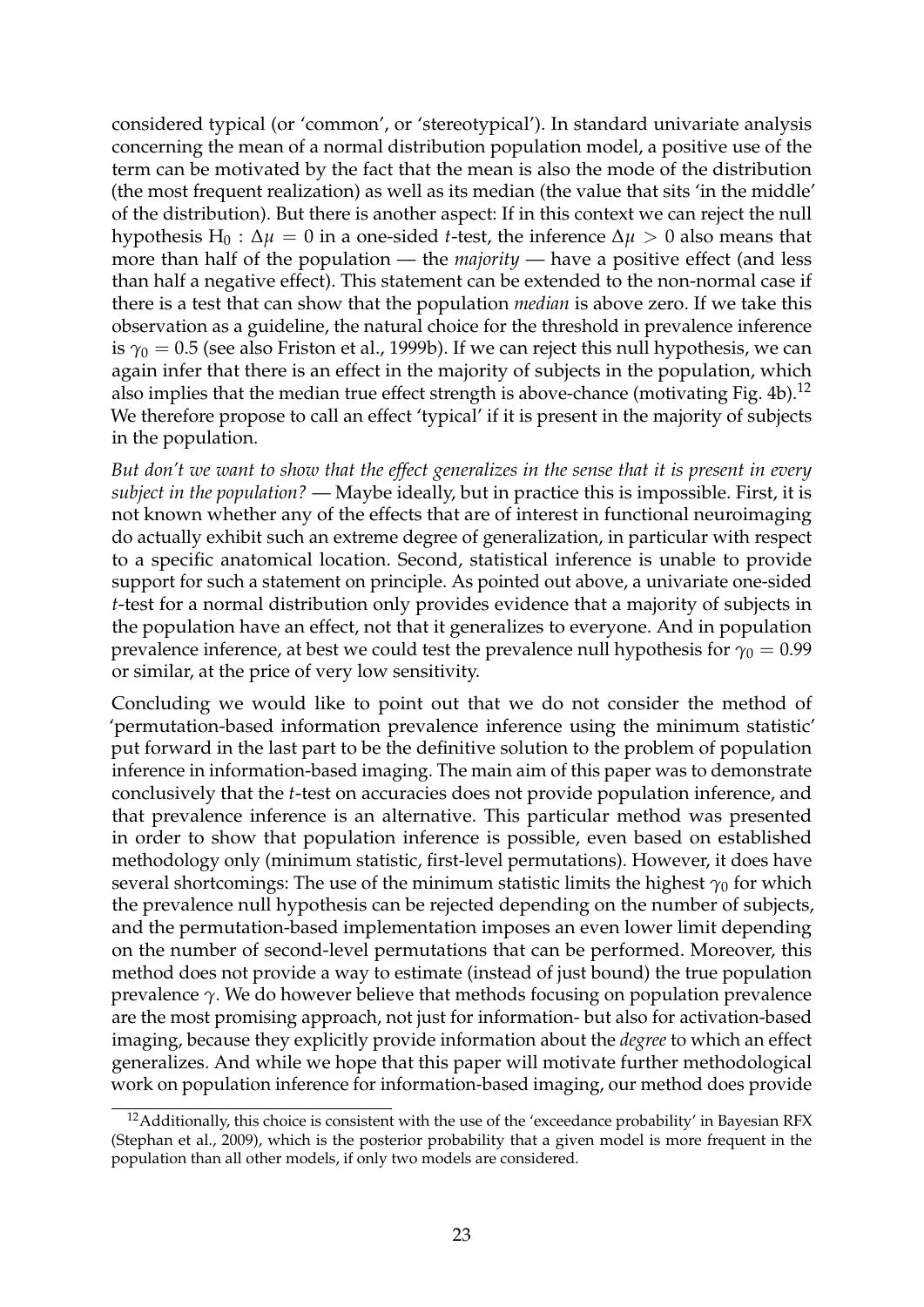considered typical (or 'common', or 'stereotypical'). In standard univariate analysis concerning the mean of a normal distribution population model, a positive use of the term can be motivated by the fact that the mean is also the mode of the distribution (the most frequent realization) as well as its median (the value that sits 'in the middle' of the distribution). But there is another aspect: If in this context we can reject the null hypothesis H<sub>0</sub> :  $\Delta \mu = 0$  in a one-sided *t*-test, the inference  $\Delta \mu > 0$  also means that more than half of the population — the *majority* — have a positive effect (and less than half a negative effect). This statement can be extended to the non-normal case if there is a test that can show that the population *median* is above zero. If we take this observation as a guideline, the natural choice for the threshold in prevalence inference is  $\gamma_0 = 0.5$  (see also Friston et al., 1999b). If we can reject this null hypothesis, we can again infer that there is an effect in the majority of subjects in the population, which also implies that the median true effect strength is above-chance (motivating Fig. 4b).<sup>[12](#page-0-0)</sup> We therefore propose to call an effect 'typical' if it is present in the majority of subjects in the population.

*But don't we want to show that the effect generalizes in the sense that it is present in every subject in the population?* — Maybe ideally, but in practice this is impossible. First, it is not known whether any of the effects that are of interest in functional neuroimaging do actually exhibit such an extreme degree of generalization, in particular with respect to a specific anatomical location. Second, statistical inference is unable to provide support for such a statement on principle. As pointed out above, a univariate one-sided *t*-test for a normal distribution only provides evidence that a majority of subjects in the population have an effect, not that it generalizes to everyone. And in population prevalence inference, at best we could test the prevalence null hypothesis for  $\gamma_0 = 0.99$ or similar, at the price of very low sensitivity.

Concluding we would like to point out that we do not consider the method of 'permutation-based information prevalence inference using the minimum statistic' put forward in the last part to be the definitive solution to the problem of population inference in information-based imaging. The main aim of this paper was to demonstrate conclusively that the *t*-test on accuracies does not provide population inference, and that prevalence inference is an alternative. This particular method was presented in order to show that population inference is possible, even based on established methodology only (minimum statistic, first-level permutations). However, it does have several shortcomings: The use of the minimum statistic limits the highest  $\gamma_0$  for which the prevalence null hypothesis can be rejected depending on the number of subjects, and the permutation-based implementation imposes an even lower limit depending on the number of second-level permutations that can be performed. Moreover, this method does not provide a way to estimate (instead of just bound) the true population prevalence *γ*. We do however believe that methods focusing on population prevalence are the most promising approach, not just for information- but also for activation-based imaging, because they explicitly provide information about the *degree* to which an effect generalizes. And while we hope that this paper will motivate further methodological work on population inference for information-based imaging, our method does provide

<sup>&</sup>lt;sup>12</sup> Additionally, this choice is consistent with the use of the 'exceedance probability' in Bayesian RFX (Stephan et al., 2009), which is the posterior probability that a given model is more frequent in the population than all other models, if only two models are considered.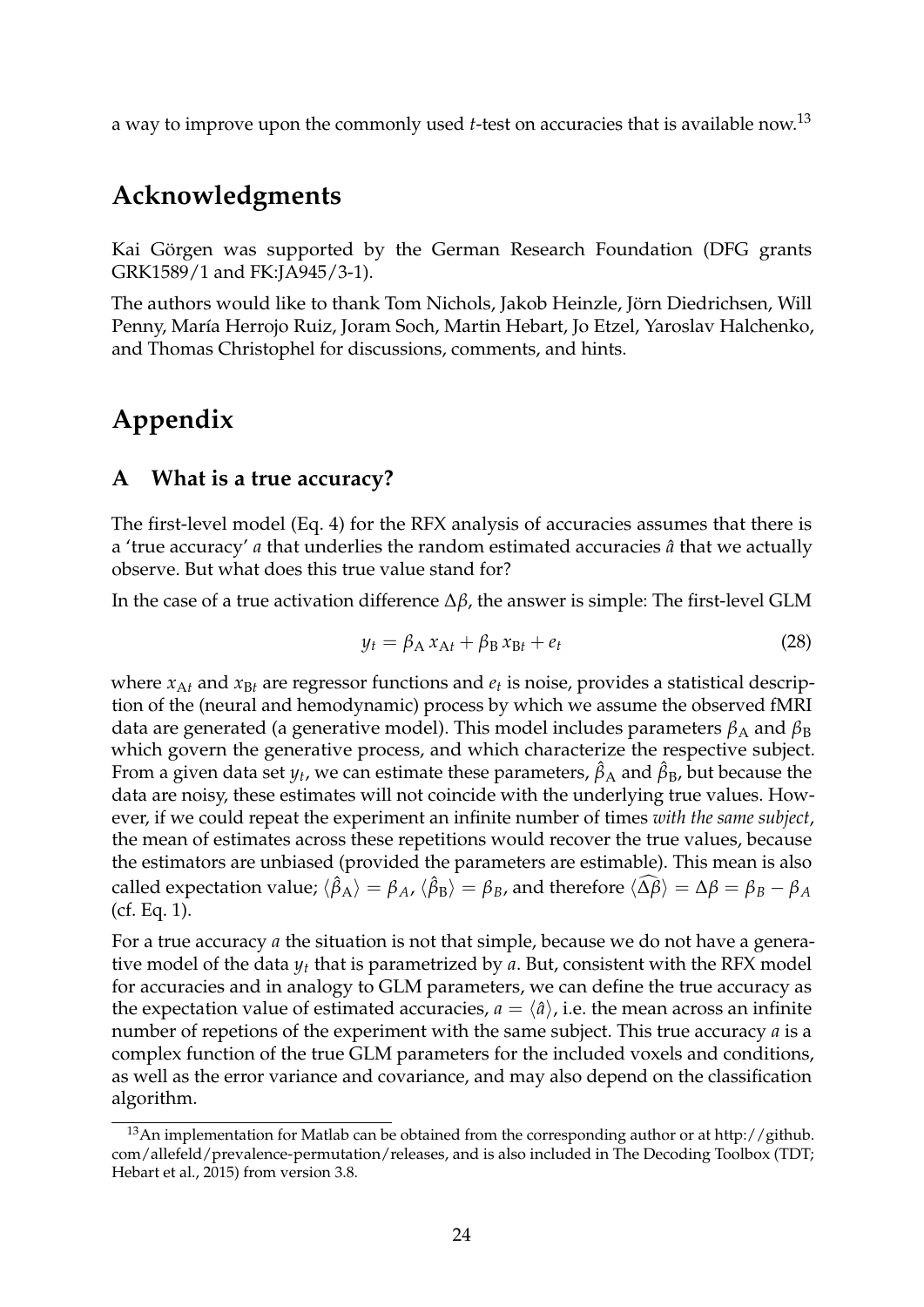a way to improve upon the commonly used *t*-test on accuracies that is available now.[13](#page-0-0)

## **Acknowledgments**

Kai Görgen was supported by the German Research Foundation (DFG grants GRK1589/1 and FK:JA945/3-1).

The authors would like to thank Tom Nichols, Jakob Heinzle, Jörn Diedrichsen, Will Penny, María Herrojo Ruiz, Joram Soch, Martin Hebart, Jo Etzel, Yaroslav Halchenko, and Thomas Christophel for discussions, comments, and hints.

## **Appendix**

### <span id="page-23-0"></span>**A What is a true accuracy?**

The first-level model (Eq. [4\)](#page-4-0) for the RFX analysis of accuracies assumes that there is a 'true accuracy' *a* that underlies the random estimated accuracies *a*ˆ that we actually observe. But what does this true value stand for?

In the case of a true activation difference ∆*β*, the answer is simple: The first-level GLM

<span id="page-23-1"></span>
$$
y_t = \beta_A x_{At} + \beta_B x_{Bt} + e_t \tag{28}
$$

where  $x_{\text{A}t}$  and  $x_{\text{B}t}$  are regressor functions and  $e_t$  is noise, provides a statistical description of the (neural and hemodynamic) process by which we assume the observed fMRI data are generated (a generative model). This model includes parameters  $\beta_A$  and  $\beta_B$ which govern the generative process, and which characterize the respective subject. From a given data set  $y_t$ , we can estimate these parameters,  $\hat{\beta}_A$  and  $\hat{\beta}_B$ , but because the data are noisy, these estimates will not coincide with the underlying true values. However, if we could repeat the experiment an infinite number of times *with the same subject*, the mean of estimates across these repetitions would recover the true values, because the estimators are unbiased (provided the parameters are estimable). This mean is also called expectation value;  $\langle \hat{\beta}_A \rangle = \beta_A$ ,  $\langle \hat{\beta}_B \rangle = \beta_B$ , and therefore  $\langle \widehat{\Delta \beta} \rangle = \Delta \beta = \beta_B - \beta_A$ (cf. Eq. [1\)](#page-3-2).

For a true accuracy *a* the situation is not that simple, because we do not have a generative model of the data *y<sup>t</sup>* that is parametrized by *a*. But, consistent with the RFX model for accuracies and in analogy to GLM parameters, we can define the true accuracy as the expectation value of estimated accuracies,  $a = \langle \hat{a} \rangle$ , i.e. the mean across an infinite number of repetions of the experiment with the same subject. This true accuracy *a* is a complex function of the true GLM parameters for the included voxels and conditions, as well as the error variance and covariance, and may also depend on the classification algorithm.

<sup>&</sup>lt;sup>13</sup>An implementation for Matlab can be obtained from the corresponding author or at [http://github.](http://github.com/allefeld/prevalence-permutation/releases) [com/allefeld/prevalence-permutation/releases,](http://github.com/allefeld/prevalence-permutation/releases) and is also included in The Decoding Toolbox (TDT; Hebart et al., 2015) from version 3.8.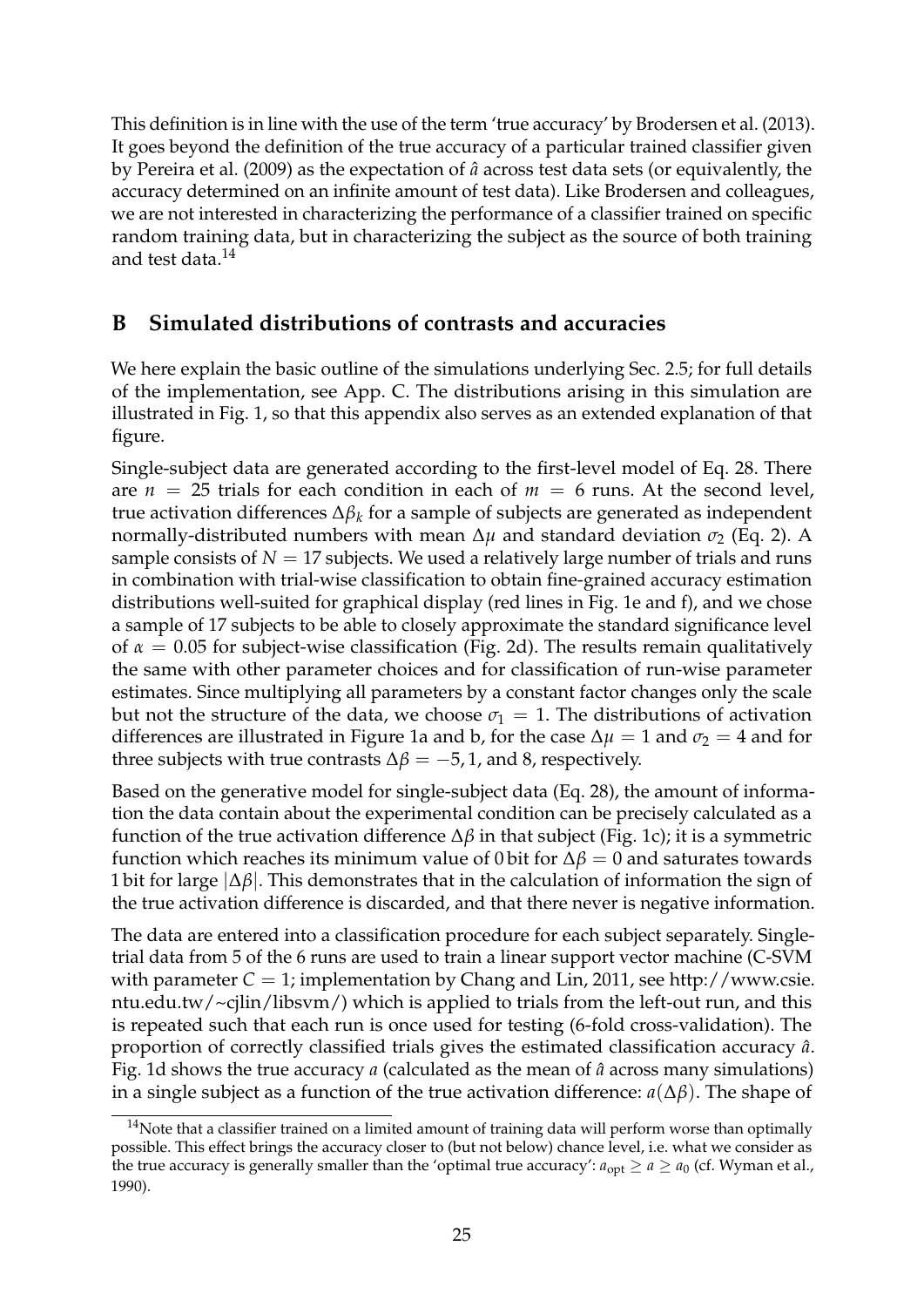This definition is in line with the use of the term 'true accuracy' by Brodersen et al. (2013). It goes beyond the definition of the true accuracy of a particular trained classifier given by Pereira et al. (2009) as the expectation of *a*ˆ across test data sets (or equivalently, the accuracy determined on an infinite amount of test data). Like Brodersen and colleagues, we are not interested in characterizing the performance of a classifier trained on specific random training data, but in characterizing the subject as the source of both training and test data.<sup>[14](#page-0-0)</sup>

## <span id="page-24-0"></span>**B Simulated distributions of contrasts and accuracies**

We here explain the basic outline of the simulations underlying Sec. [2.5;](#page-7-0) for full details of the implementation, see App. [C.](#page-25-0) The distributions arising in this simulation are illustrated in Fig. 1, so that this appendix also serves as an extended explanation of that figure.

Single-subject data are generated according to the first-level model of Eq. [28.](#page-23-1) There are  $n = 25$  trials for each condition in each of  $m = 6$  runs. At the second level, true activation differences ∆*β<sup>k</sup>* for a sample of subjects are generated as independent normally-distributed numbers with mean  $\Delta \mu$  and standard deviation  $\sigma_2$  (Eq. [2\)](#page-3-1). A sample consists of  $N = 17$  subjects. We used a relatively large number of trials and runs in combination with trial-wise classification to obtain fine-grained accuracy estimation distributions well-suited for graphical display (red lines in Fig. 1e and f), and we chose a sample of 17 subjects to be able to closely approximate the standard significance level of  $\alpha = 0.05$  for subject-wise classification (Fig. 2d). The results remain qualitatively the same with other parameter choices and for classification of run-wise parameter estimates. Since multiplying all parameters by a constant factor changes only the scale but not the structure of the data, we choose  $\sigma_1 = 1$ . The distributions of activation differences are illustrated in Figure 1a and b, for the case  $\Delta \mu = 1$  and  $\sigma_2 = 4$  and for three subjects with true contrasts  $\Delta \beta = -5$ , 1, and 8, respectively.

Based on the generative model for single-subject data (Eq. [28\)](#page-23-1), the amount of information the data contain about the experimental condition can be precisely calculated as a function of the true activation difference ∆*β* in that subject (Fig. 1c); it is a symmetric function which reaches its minimum value of 0 bit for  $\Delta\beta = 0$  and saturates towards 1 bit for large |∆*β*|. This demonstrates that in the calculation of information the sign of the true activation difference is discarded, and that there never is negative information.

The data are entered into a classification procedure for each subject separately. Singletrial data from 5 of the 6 runs are used to train a linear support vector machine (C-SVM with parameter  $C = 1$ ; implementation by Chang and Lin, 2011, see [http://www.csie.](http://www.csie.ntu.edu.tw/~cjlin/libsvm/) [ntu.edu.tw/~cjlin/libsvm/\)](http://www.csie.ntu.edu.tw/~cjlin/libsvm/) which is applied to trials from the left-out run, and this is repeated such that each run is once used for testing (6-fold cross-validation). The proportion of correctly classified trials gives the estimated classification accuracy  $\hat{a}$ . Fig. 1d shows the true accuracy *a* (calculated as the mean of  $\hat{a}$  across many simulations) in a single subject as a function of the true activation difference: *a*(∆*β*). The shape of

<sup>&</sup>lt;sup>14</sup>Note that a classifier trained on a limited amount of training data will perform worse than optimally possible. This effect brings the accuracy closer to (but not below) chance level, i.e. what we consider as the true accuracy is generally smaller than the 'optimal true accuracy':  $a_{opt} \ge a \ge a_0$  (cf. Wyman et al., 1990).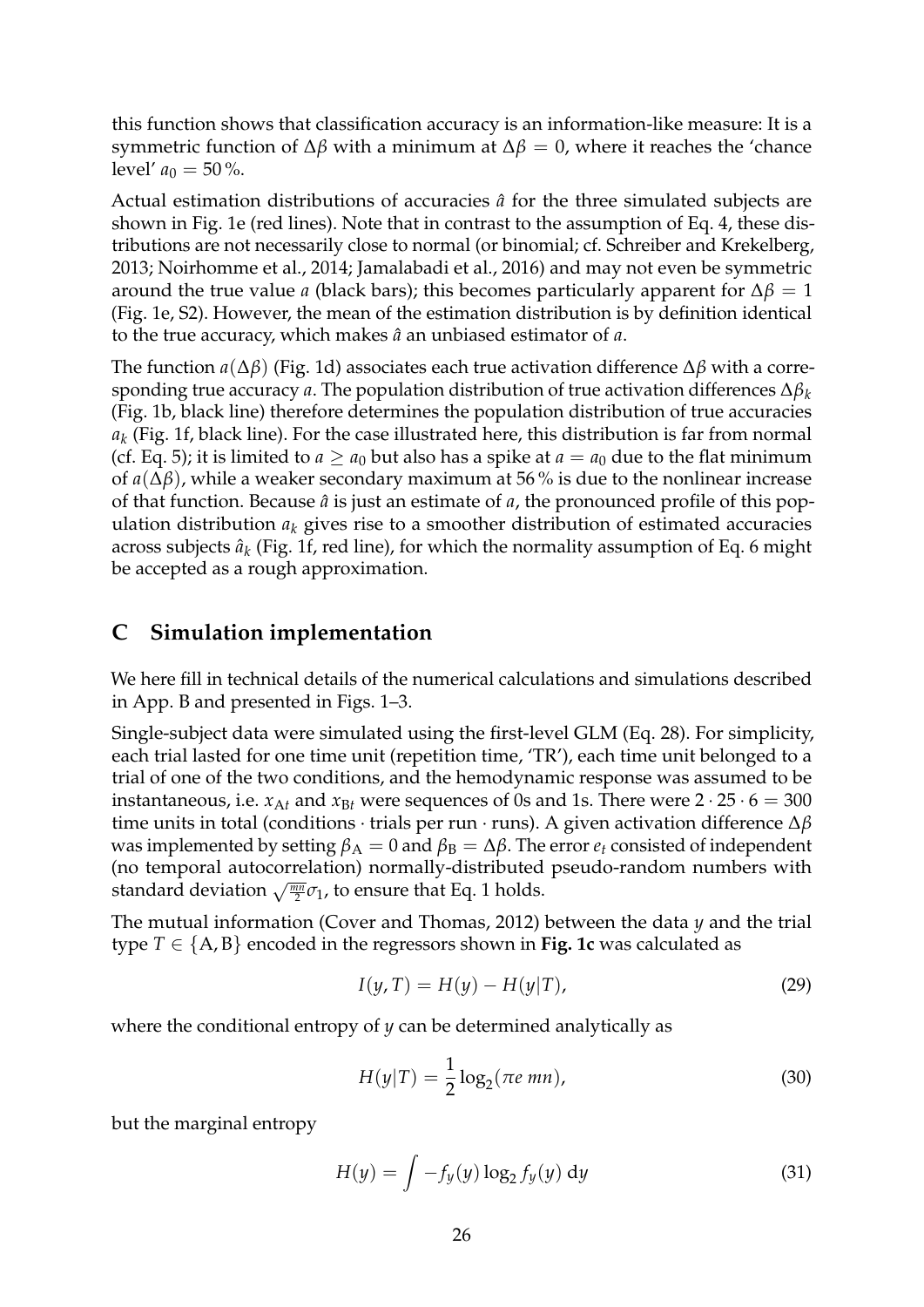this function shows that classification accuracy is an information-like measure: It is a symmetric function of  $\Delta \beta$  with a minimum at  $\Delta \beta = 0$ , where it reaches the 'chance level'  $a_0 = 50\%$ .

Actual estimation distributions of accuracies  $\hat{a}$  for the three simulated subjects are shown in Fig. 1e (red lines). Note that in contrast to the assumption of Eq. [4,](#page-4-0) these distributions are not necessarily close to normal (or binomial; cf. Schreiber and Krekelberg, 2013; Noirhomme et al., 2014; Jamalabadi et al., 2016) and may not even be symmetric around the true value *a* (black bars); this becomes particularly apparent for  $\Delta \beta = 1$ (Fig. 1e, S2). However, the mean of the estimation distribution is by definition identical to the true accuracy, which makes *a*ˆ an unbiased estimator of *a*.

The function *a*(∆*β*) (Fig. 1d) associates each true activation difference ∆*β* with a corresponding true accuracy *a*. The population distribution of true activation differences ∆*β<sup>k</sup>* (Fig. 1b, black line) therefore determines the population distribution of true accuracies *ak* (Fig. 1f, black line). For the case illustrated here, this distribution is far from normal (cf. Eq. [5\)](#page-4-1); it is limited to  $a \ge a_0$  but also has a spike at  $a = a_0$  due to the flat minimum of *a*(∆*β*), while a weaker secondary maximum at 56 % is due to the nonlinear increase of that function. Because  $\hat{a}$  is just an estimate of *a*, the pronounced profile of this population distribution  $a_k$  gives rise to a smoother distribution of estimated accuracies across subjects *a*ˆ*<sup>k</sup>* (Fig. 1f, red line), for which the normality assumption of Eq. [6](#page-4-2) might be accepted as a rough approximation.

### <span id="page-25-0"></span>**C Simulation implementation**

We here fill in technical details of the numerical calculations and simulations described in App. [B](#page-24-0) and presented in Figs. 1–3.

Single-subject data were simulated using the first-level GLM (Eq. [28\)](#page-23-1). For simplicity, each trial lasted for one time unit (repetition time, 'TR'), each time unit belonged to a trial of one of the two conditions, and the hemodynamic response was assumed to be instantaneous, i.e.  $x_{\text{A}t}$  and  $x_{\text{B}t}$  were sequences of 0s and 1s. There were  $2 \cdot 25 \cdot 6 = 300$ time units in total (conditions · trials per run · runs). A given activation difference ∆*β* was implemented by setting  $\beta_A = 0$  and  $\beta_B = \Delta \beta$ . The error  $e_t$  consisted of independent (no temporal autocorrelation) normally-distributed pseudo-random numbers with (no temporar autocorrelation) normally-custinuted<br>standard deviation  $\sqrt{\frac{mn}{2}}\sigma_1$ , to ensure that Eq. [1](#page-3-2) holds.

The mutual information (Cover and Thomas, 2012) between the data *y* and the trial type  $T \in \{A, B\}$  encoded in the regressors shown in **Fig. 1c** was calculated as

$$
I(y, T) = H(y) - H(y|T),
$$
\n(29)

where the conditional entropy of *y* can be determined analytically as

$$
H(y|T) = \frac{1}{2} \log_2(\pi e \, mn),\tag{30}
$$

but the marginal entropy

$$
H(y) = \int -f_y(y) \log_2 f_y(y) dy
$$
 (31)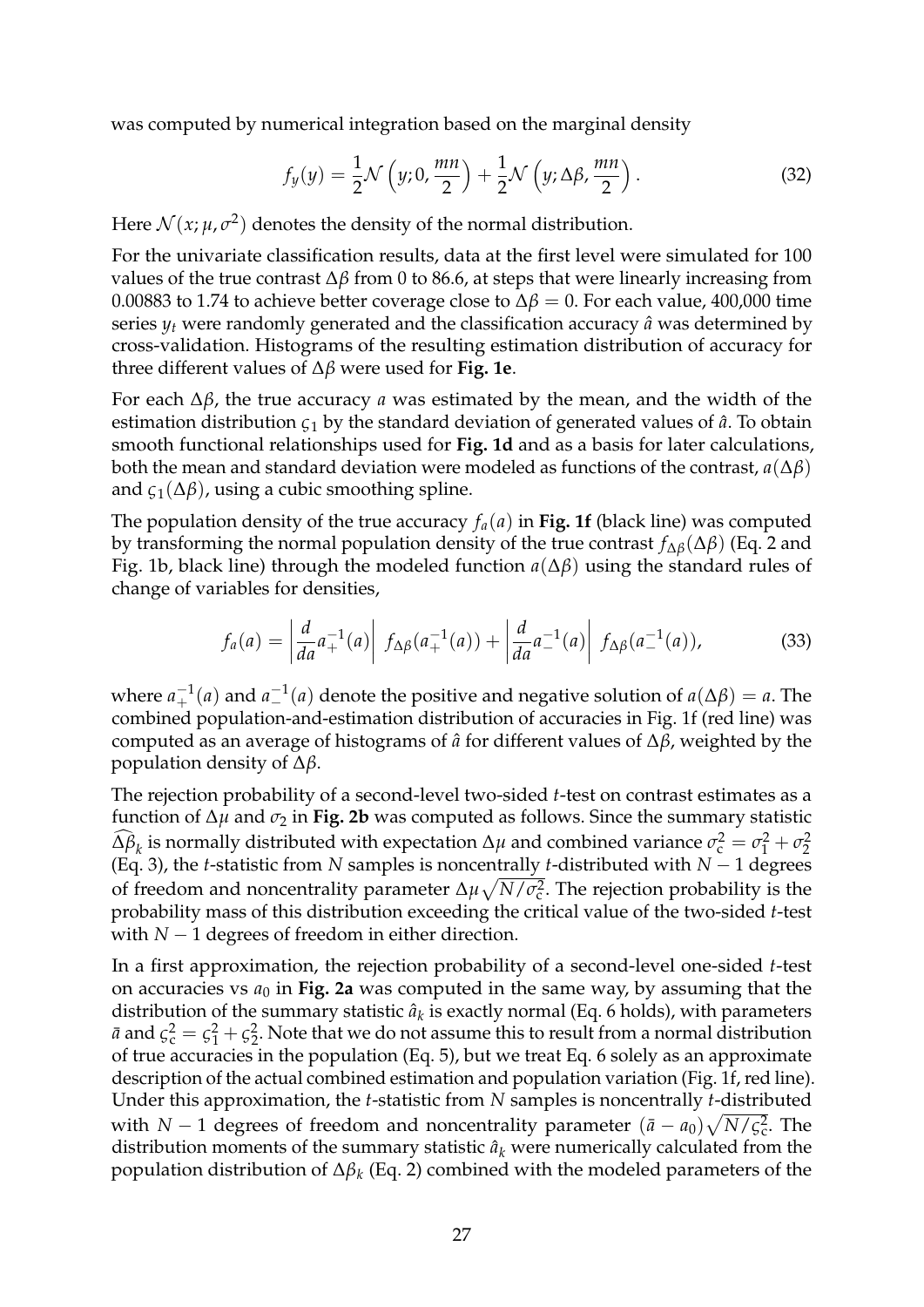was computed by numerical integration based on the marginal density

$$
f_y(y) = \frac{1}{2}\mathcal{N}\left(y, 0, \frac{mn}{2}\right) + \frac{1}{2}\mathcal{N}\left(y, \Delta\beta, \frac{mn}{2}\right). \tag{32}
$$

Here  $\mathcal{N}(x; \mu, \sigma^2)$  denotes the density of the normal distribution.

For the univariate classification results, data at the first level were simulated for 100 values of the true contrast ∆*β* from 0 to 86.6, at steps that were linearly increasing from 0.00883 to 1.74 to achieve better coverage close to  $\Delta \beta = 0$ . For each value, 400,000 time series  $y_t$  were randomly generated and the classification accuracy  $\hat{a}$  was determined by cross-validation. Histograms of the resulting estimation distribution of accuracy for three different values of ∆*β* were used for **Fig. 1e**.

For each ∆*β*, the true accuracy *a* was estimated by the mean, and the width of the estimation distribution  $\zeta_1$  by the standard deviation of generated values of  $\hat{a}$ . To obtain smooth functional relationships used for **Fig. 1d** and as a basis for later calculations, both the mean and standard deviation were modeled as functions of the contrast, *a*(∆*β*) and  $\zeta_1(\Delta\beta)$ , using a cubic smoothing spline.

The population density of the true accuracy  $f_a(a)$  in Fig. 1f (black line) was computed by transforming the normal population density of the true contrast *f*∆*β*(∆*β*) (Eq. [2](#page-3-1) and Fig. 1b, black line) through the modeled function *a*(∆*β*) using the standard rules of change of variables for densities,

$$
f_a(a) = \left| \frac{d}{da} a_+^{-1}(a) \right| f_{\Delta\beta}(a_+^{-1}(a)) + \left| \frac{d}{da} a_-^{-1}(a) \right| f_{\Delta\beta}(a_-^{-1}(a)), \tag{33}
$$

where  $a_+^{-1}(a)$  and  $a_-^{-1}(a)$  denote the positive and negative solution of  $a(\Delta \beta) = a$ . The combined population-and-estimation distribution of accuracies in Fig. 1f (red line) was computed as an average of histograms of  $\hat{a}$  for different values of  $\Delta\beta$ , weighted by the population density of ∆*β*.

The rejection probability of a second-level two-sided *t*-test on contrast estimates as a function of  $\Delta\mu$  and  $\sigma_2$  in **Fig. 2b** was computed as follows. Since the summary statistic  $\Delta \beta_k$  is normally distributed with expectation  $\Delta \mu$  and combined variance  $\sigma_c^2 = \sigma_1^2 + \sigma_2^2$ 2 (Eq. [3\)](#page-3-3), the *t*-statistic from *N* samples is noncentrally *t*-distributed with *N* − 1 degrees of freedom and noncentrality parameter  $\Delta \mu \sqrt{N/\sigma_{\rm c}^2}$ . The rejection probability is the probability mass of this distribution exceeding the critical value of the two-sided *t*-test with  $N-1$  degrees of freedom in either direction.

In a first approximation, the rejection probability of a second-level one-sided *t*-test on accuracies vs  $a_0$  in **Fig. 2a** was computed in the same way, by assuming that the distribution of the summary statistic  $\hat{a}_k$  is exactly normal (Eq. [6](#page-4-2) holds), with parameters  $\bar{a}$  and  $\zeta_c^2 = \zeta_1^2 + \zeta_2^2$  $\frac{2}{2}$ . Note that we do not assume this to result from a normal distribution of true accuracies in the population (Eq. [5\)](#page-4-1), but we treat Eq. [6](#page-4-2) solely as an approximate description of the actual combined estimation and population variation (Fig. 1f, red line). Under this approximation, the *t*-statistic from *N* samples is noncentrally *t*-distributed with *N* − 1 degrees of freedom and noncentrality parameter  $(\bar{a} - a_0) \sqrt{N/\varsigma_c^2}$ . The distribution moments of the summary statistic  $\hat{a}_k$  were numerically calculated from the population distribution of ∆*β<sup>k</sup>* (Eq. [2\)](#page-3-1) combined with the modeled parameters of the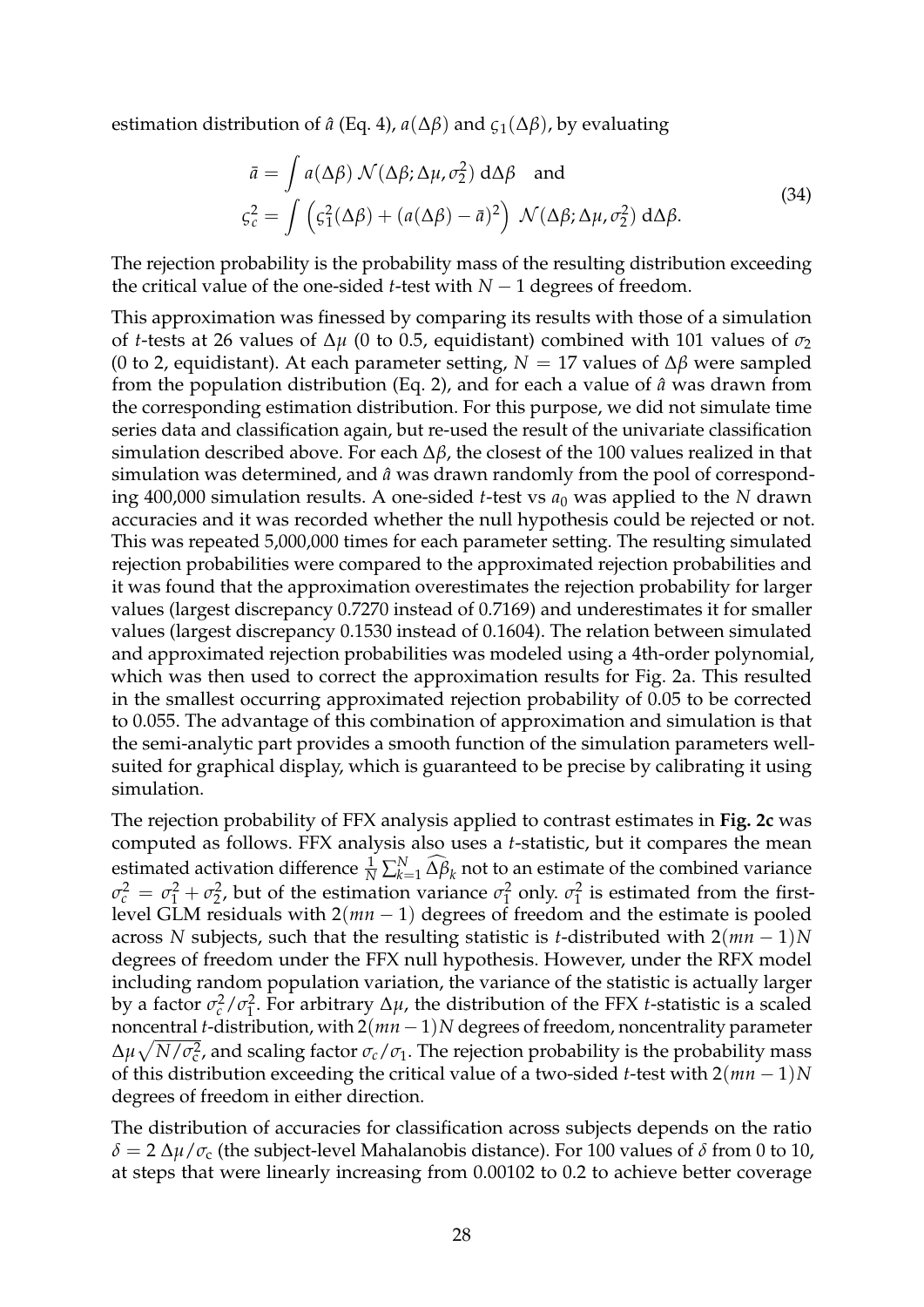estimation distribution of  $\hat{a}$  (Eq. [4\)](#page-4-0),  $a(\Delta\beta)$  and  $\zeta_1(\Delta\beta)$ , by evaluating

$$
\bar{a} = \int a(\Delta\beta) \mathcal{N}(\Delta\beta; \Delta\mu, \sigma_2^2) d\Delta\beta \text{ and}
$$
  

$$
\varsigma_c^2 = \int \left( \varsigma_1^2 (\Delta\beta) + (a(\Delta\beta) - \bar{a})^2 \right) \mathcal{N}(\Delta\beta; \Delta\mu, \sigma_2^2) d\Delta\beta.
$$
 (34)

The rejection probability is the probability mass of the resulting distribution exceeding the critical value of the one-sided *t*-test with  $N-1$  degrees of freedom.

This approximation was finessed by comparing its results with those of a simulation of *t*-tests at 26 values of  $\Delta \mu$  (0 to 0.5, equidistant) combined with 101 values of  $\sigma_2$ (0 to 2, equidistant). At each parameter setting, *N* = 17 values of ∆*β* were sampled from the population distribution (Eq. [2\)](#page-3-1), and for each a value of  $\hat{a}$  was drawn from the corresponding estimation distribution. For this purpose, we did not simulate time series data and classification again, but re-used the result of the univariate classification simulation described above. For each ∆*β*, the closest of the 100 values realized in that simulation was determined, and  $\hat{a}$  was drawn randomly from the pool of corresponding 400,000 simulation results. A one-sided *t*-test vs  $a<sub>0</sub>$  was applied to the *N* drawn accuracies and it was recorded whether the null hypothesis could be rejected or not. This was repeated 5,000,000 times for each parameter setting. The resulting simulated rejection probabilities were compared to the approximated rejection probabilities and it was found that the approximation overestimates the rejection probability for larger values (largest discrepancy 0.7270 instead of 0.7169) and underestimates it for smaller values (largest discrepancy 0.1530 instead of 0.1604). The relation between simulated and approximated rejection probabilities was modeled using a 4th-order polynomial, which was then used to correct the approximation results for Fig. 2a. This resulted in the smallest occurring approximated rejection probability of 0.05 to be corrected to 0.055. The advantage of this combination of approximation and simulation is that the semi-analytic part provides a smooth function of the simulation parameters wellsuited for graphical display, which is guaranteed to be precise by calibrating it using simulation.

The rejection probability of FFX analysis applied to contrast estimates in **Fig. 2c** was computed as follows. FFX analysis also uses a *t*-statistic, but it compares the mean estimated activation difference  $\frac{1}{N}\sum_{k=1}^{N}\widehat{\Delta\beta}_k$  not to an estimate of the combined variance  $\sigma_c^2 = \sigma_1^2 + \sigma_2^2$  $\frac{2}{2}$ , but of the estimation variance  $\sigma_1^2$  $\frac{2}{1}$  only.  $\sigma_1^2$  $\frac{1}{1}$  is estimated from the firstlevel GLM residuals with 2(*mn* − 1) degrees of freedom and the estimate is pooled across *N* subjects, such that the resulting statistic is *t*-distributed with 2(*mn* − 1)*N* degrees of freedom under the FFX null hypothesis. However, under the RFX model including random population variation, the variance of the statistic is actually larger by a factor  $\sigma_c^2/\sigma_1^2$ 1 . For arbitrary ∆*µ*, the distribution of the FFX *t*-statistic is a scaled noncentral *t*-distribution, with 2(*mn* −1)*N* degrees of freedom, noncentrality parameter  $\Delta \mu \sqrt{N/\sigma_{\rm c}^2}$ , and scaling factor  $\sigma_{\rm c}/\sigma_1$ . The rejection probability is the probability mass of this distribution exceeding the critical value of a two-sided *t*-test with 2(*mn* − 1)*N* degrees of freedom in either direction.

The distribution of accuracies for classification across subjects depends on the ratio *δ* = 2 ∆*µ*/*σ*<sup>c</sup> (the subject-level Mahalanobis distance). For 100 values of *δ* from 0 to 10, at steps that were linearly increasing from 0.00102 to 0.2 to achieve better coverage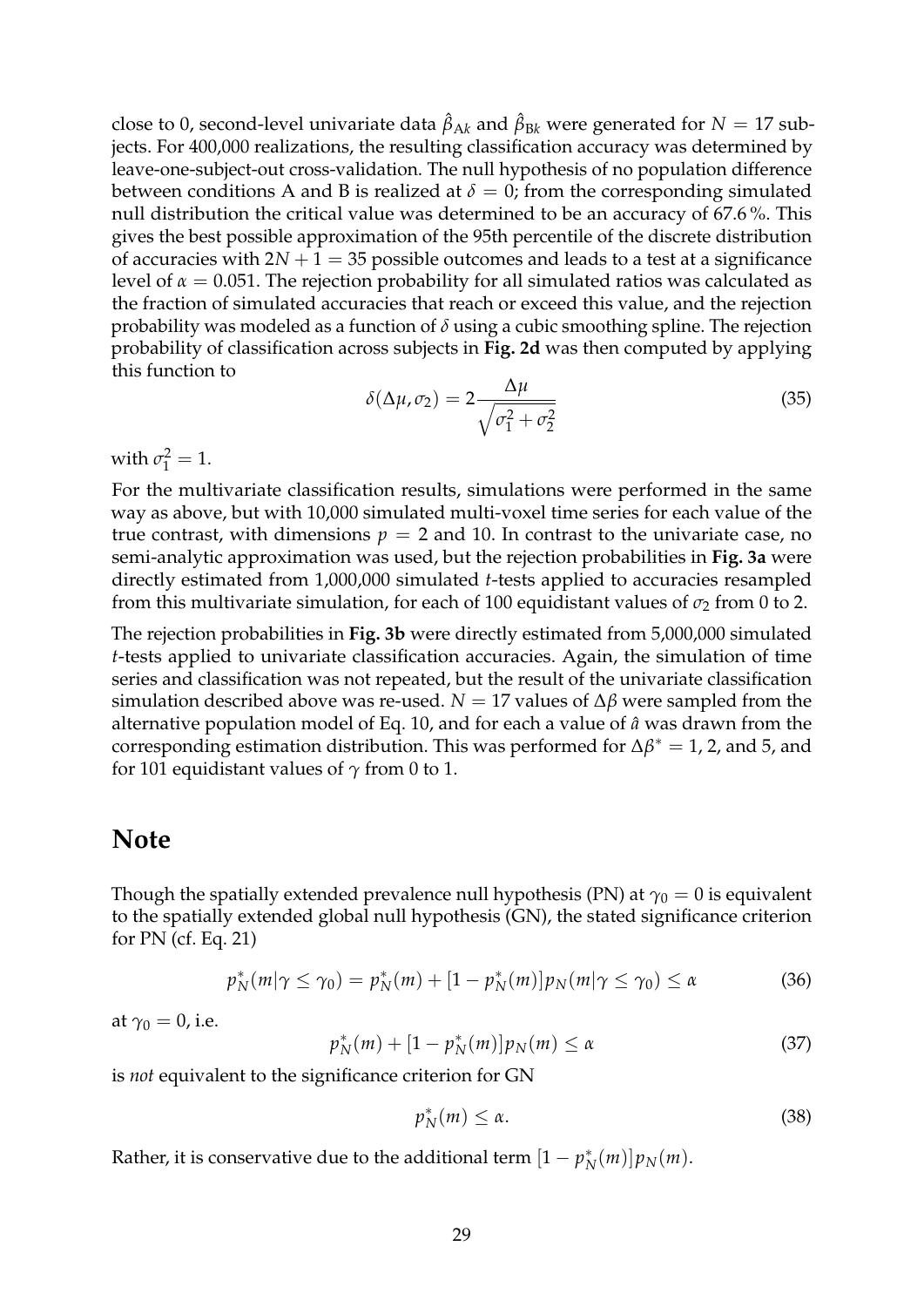close to 0, second-level univariate data  $\hat{\beta}_{\mathrm{A}k}$  and  $\hat{\beta}_{\mathrm{B}k}$  were generated for  $N=17$  subjects. For 400,000 realizations, the resulting classification accuracy was determined by leave-one-subject-out cross-validation. The null hypothesis of no population difference between conditions A and B is realized at  $\delta = 0$ ; from the corresponding simulated null distribution the critical value was determined to be an accuracy of 67.6 %. This gives the best possible approximation of the 95th percentile of the discrete distribution of accuracies with  $2N + 1 = 35$  possible outcomes and leads to a test at a significance level of  $\alpha = 0.051$ . The rejection probability for all simulated ratios was calculated as the fraction of simulated accuracies that reach or exceed this value, and the rejection probability was modeled as a function of *δ* using a cubic smoothing spline. The rejection probability of classification across subjects in **Fig. 2d** was then computed by applying this function to

$$
\delta(\Delta\mu, \sigma_2) = 2 \frac{\Delta\mu}{\sqrt{\sigma_1^2 + \sigma_2^2}}
$$
\n(35)

with  $\sigma_1^2 = 1$ .

For the multivariate classification results, simulations were performed in the same way as above, but with 10,000 simulated multi-voxel time series for each value of the true contrast, with dimensions  $p = 2$  and 10. In contrast to the univariate case, no semi-analytic approximation was used, but the rejection probabilities in **Fig. 3a** were directly estimated from 1,000,000 simulated *t*-tests applied to accuracies resampled from this multivariate simulation, for each of 100 equidistant values of  $\sigma_2$  from 0 to 2.

The rejection probabilities in **Fig. 3b** were directly estimated from 5,000,000 simulated *t*-tests applied to univariate classification accuracies. Again, the simulation of time series and classification was not repeated, but the result of the univariate classification simulation described above was re-used. *N* = 17 values of  $\Delta \beta$  were sampled from the alternative population model of Eq. [10,](#page-12-1) and for each a value of *a*ˆ was drawn from the corresponding estimation distribution. This was performed for Δ $β$ <sup>\*</sup> = 1, 2, and 5, and for 101 equidistant values of  $\gamma$  from 0 to 1.

## **Note**

Though the spatially extended prevalence null hypothesis (PN) at  $\gamma_0 = 0$  is equivalent to the spatially extended global null hypothesis (GN), the stated significance criterion for PN (cf. Eq. [21\)](#page-17-0)

$$
p_N^*(m|\gamma \le \gamma_0) = p_N^*(m) + [1 - p_N^*(m)]p_N(m|\gamma \le \gamma_0) \le \alpha
$$
 (36)

at  $\gamma_0 = 0$ , i.e.

<span id="page-28-0"></span>
$$
p_N^*(m) + [1 - p_N^*(m)]p_N(m) \le \alpha \tag{37}
$$

is *not* equivalent to the significance criterion for GN

$$
p_N^*(m) \le \alpha. \tag{38}
$$

Rather, it is conservative due to the additional term  $[1-p_N^*]$  $N^*(m)$ ] $p_N(m)$ .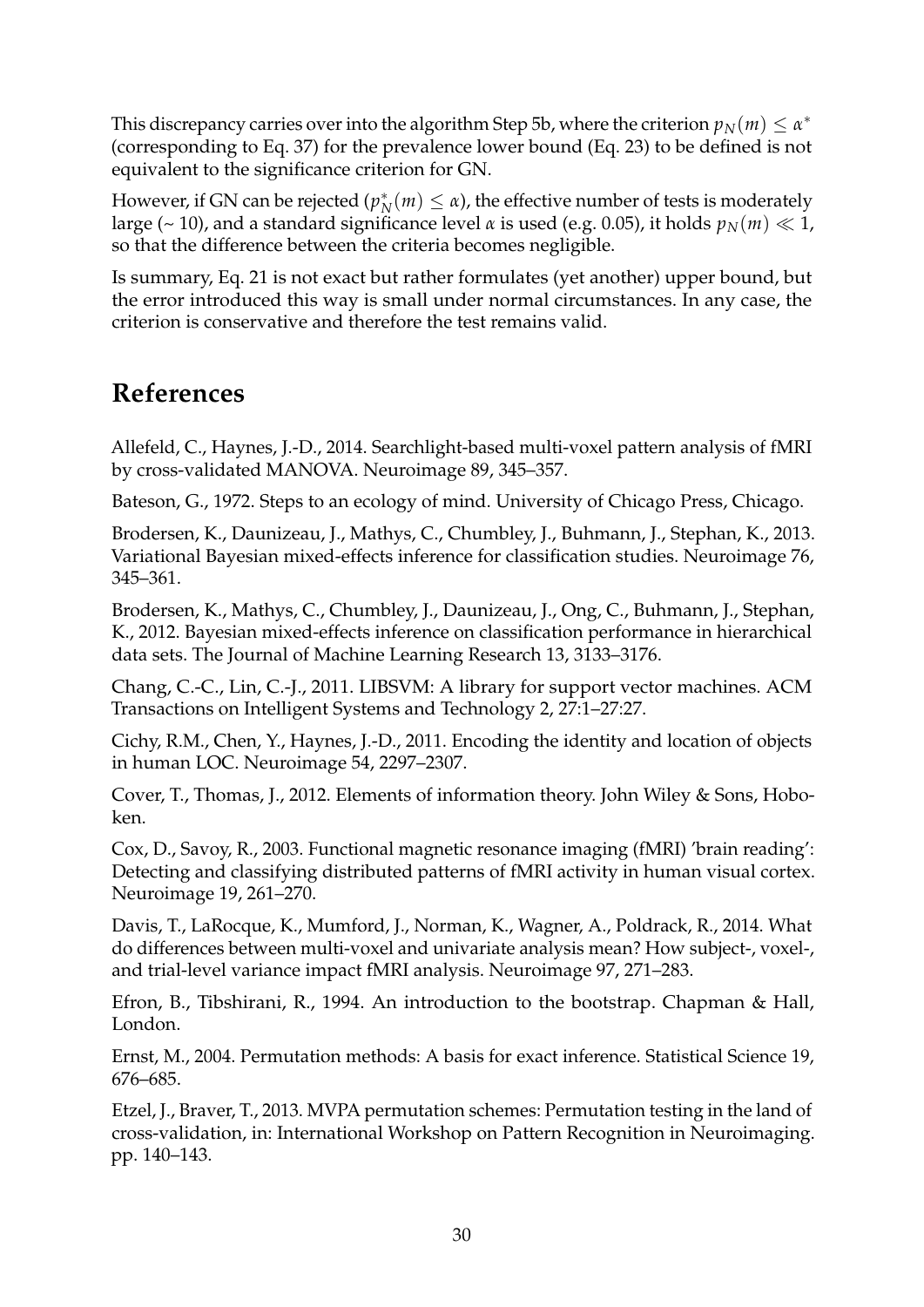This discrepancy carries over into the algorithm Step 5b, where the criterion  $p_N(m) \leq \alpha^*$ (corresponding to Eq. [37\)](#page-28-0) for the prevalence lower bound (Eq. [23\)](#page-17-2) to be defined is not equivalent to the significance criterion for GN.

However, if GN can be rejected (*p* ∗  $N_N^*(m) \leq \alpha$ ), the effective number of tests is moderately large (~ 10), and a standard significance level  $\alpha$  is used (e.g. 0.05), it holds  $p_N(m) \ll 1$ , so that the difference between the criteria becomes negligible.

Is summary, Eq. [21](#page-17-0) is not exact but rather formulates (yet another) upper bound, but the error introduced this way is small under normal circumstances. In any case, the criterion is conservative and therefore the test remains valid.

## **References**

Allefeld, C., Haynes, J.-D., 2014. Searchlight-based multi-voxel pattern analysis of fMRI by cross-validated MANOVA. Neuroimage 89, 345–357.

Bateson, G., 1972. Steps to an ecology of mind. University of Chicago Press, Chicago.

Brodersen, K., Daunizeau, J., Mathys, C., Chumbley, J., Buhmann, J., Stephan, K., 2013. Variational Bayesian mixed-effects inference for classification studies. Neuroimage 76, 345–361.

Brodersen, K., Mathys, C., Chumbley, J., Daunizeau, J., Ong, C., Buhmann, J., Stephan, K., 2012. Bayesian mixed-effects inference on classification performance in hierarchical data sets. The Journal of Machine Learning Research 13, 3133–3176.

Chang, C.-C., Lin, C.-J., 2011. LIBSVM: A library for support vector machines. ACM Transactions on Intelligent Systems and Technology 2, 27:1–27:27.

Cichy, R.M., Chen, Y., Haynes, J.-D., 2011. Encoding the identity and location of objects in human LOC. Neuroimage 54, 2297–2307.

Cover, T., Thomas, J., 2012. Elements of information theory. John Wiley & Sons, Hoboken.

Cox, D., Savoy, R., 2003. Functional magnetic resonance imaging (fMRI) 'brain reading': Detecting and classifying distributed patterns of fMRI activity in human visual cortex. Neuroimage 19, 261–270.

Davis, T., LaRocque, K., Mumford, J., Norman, K., Wagner, A., Poldrack, R., 2014. What do differences between multi-voxel and univariate analysis mean? How subject-, voxel-, and trial-level variance impact fMRI analysis. Neuroimage 97, 271–283.

Efron, B., Tibshirani, R., 1994. An introduction to the bootstrap. Chapman & Hall, London.

Ernst, M., 2004. Permutation methods: A basis for exact inference. Statistical Science 19, 676–685.

Etzel, J., Braver, T., 2013. MVPA permutation schemes: Permutation testing in the land of cross-validation, in: International Workshop on Pattern Recognition in Neuroimaging. pp. 140–143.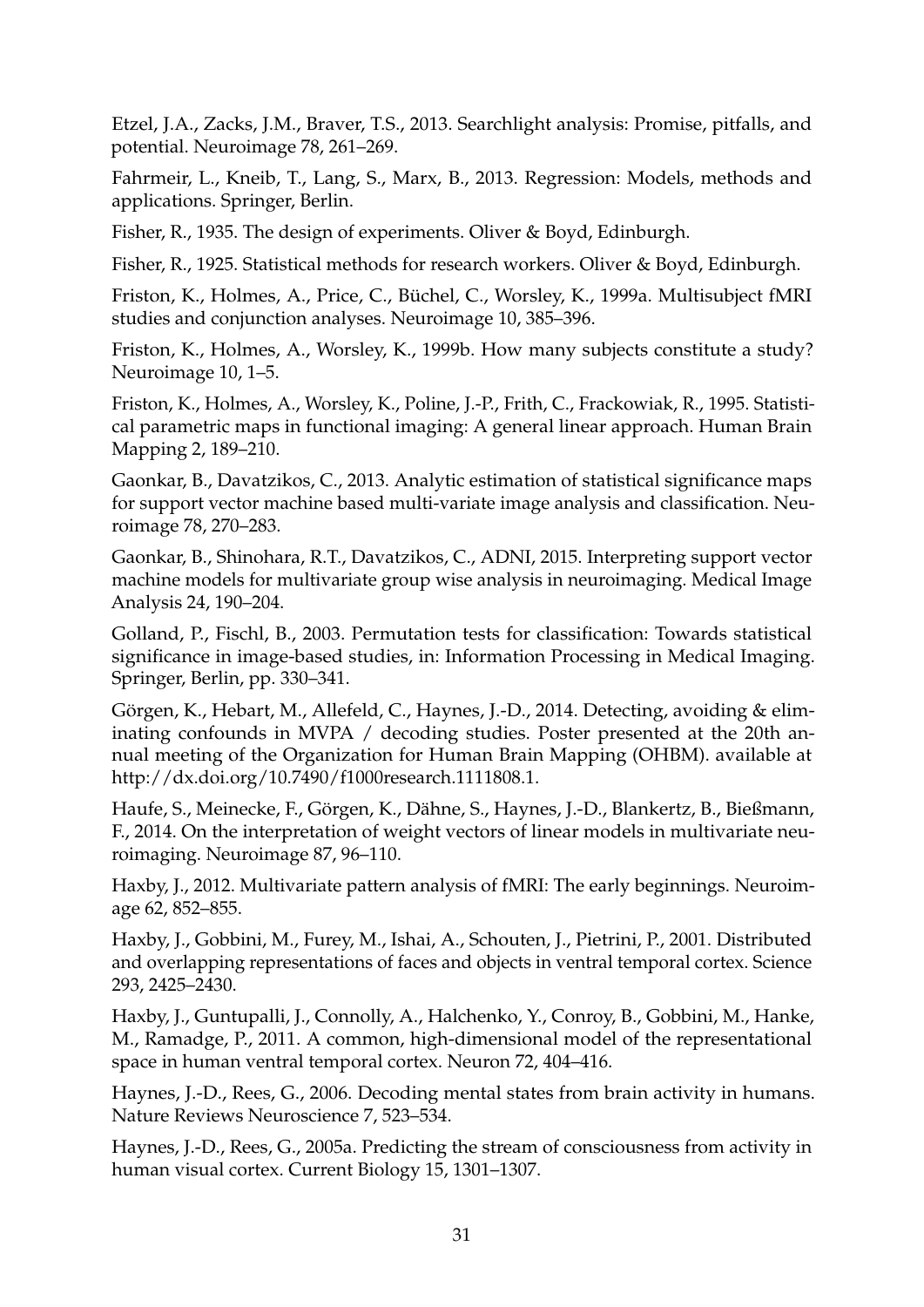Etzel, J.A., Zacks, J.M., Braver, T.S., 2013. Searchlight analysis: Promise, pitfalls, and potential. Neuroimage 78, 261–269.

Fahrmeir, L., Kneib, T., Lang, S., Marx, B., 2013. Regression: Models, methods and applications. Springer, Berlin.

Fisher, R., 1935. The design of experiments. Oliver & Boyd, Edinburgh.

Fisher, R., 1925. Statistical methods for research workers. Oliver & Boyd, Edinburgh.

Friston, K., Holmes, A., Price, C., Büchel, C., Worsley, K., 1999a. Multisubject fMRI studies and conjunction analyses. Neuroimage 10, 385–396.

Friston, K., Holmes, A., Worsley, K., 1999b. How many subjects constitute a study? Neuroimage 10, 1–5.

Friston, K., Holmes, A., Worsley, K., Poline, J.-P., Frith, C., Frackowiak, R., 1995. Statistical parametric maps in functional imaging: A general linear approach. Human Brain Mapping 2, 189–210.

Gaonkar, B., Davatzikos, C., 2013. Analytic estimation of statistical significance maps for support vector machine based multi-variate image analysis and classification. Neuroimage 78, 270–283.

Gaonkar, B., Shinohara, R.T., Davatzikos, C., ADNI, 2015. Interpreting support vector machine models for multivariate group wise analysis in neuroimaging. Medical Image Analysis 24, 190–204.

Golland, P., Fischl, B., 2003. Permutation tests for classification: Towards statistical significance in image-based studies, in: Information Processing in Medical Imaging. Springer, Berlin, pp. 330–341.

Görgen, K., Hebart, M., Allefeld, C., Haynes, J.-D., 2014. Detecting, avoiding & eliminating confounds in MVPA / decoding studies. Poster presented at the 20th annual meeting of the Organization for Human Brain Mapping (OHBM). available at http://dx.doi.org/10.7490/f1000research.1111808.1.

Haufe, S., Meinecke, F., Görgen, K., Dähne, S., Haynes, J.-D., Blankertz, B., Bießmann, F., 2014. On the interpretation of weight vectors of linear models in multivariate neuroimaging. Neuroimage 87, 96–110.

Haxby, J., 2012. Multivariate pattern analysis of fMRI: The early beginnings. Neuroimage 62, 852–855.

Haxby, J., Gobbini, M., Furey, M., Ishai, A., Schouten, J., Pietrini, P., 2001. Distributed and overlapping representations of faces and objects in ventral temporal cortex. Science 293, 2425–2430.

Haxby, J., Guntupalli, J., Connolly, A., Halchenko, Y., Conroy, B., Gobbini, M., Hanke, M., Ramadge, P., 2011. A common, high-dimensional model of the representational space in human ventral temporal cortex. Neuron 72, 404–416.

Haynes, J.-D., Rees, G., 2006. Decoding mental states from brain activity in humans. Nature Reviews Neuroscience 7, 523–534.

Haynes, J.-D., Rees, G., 2005a. Predicting the stream of consciousness from activity in human visual cortex. Current Biology 15, 1301–1307.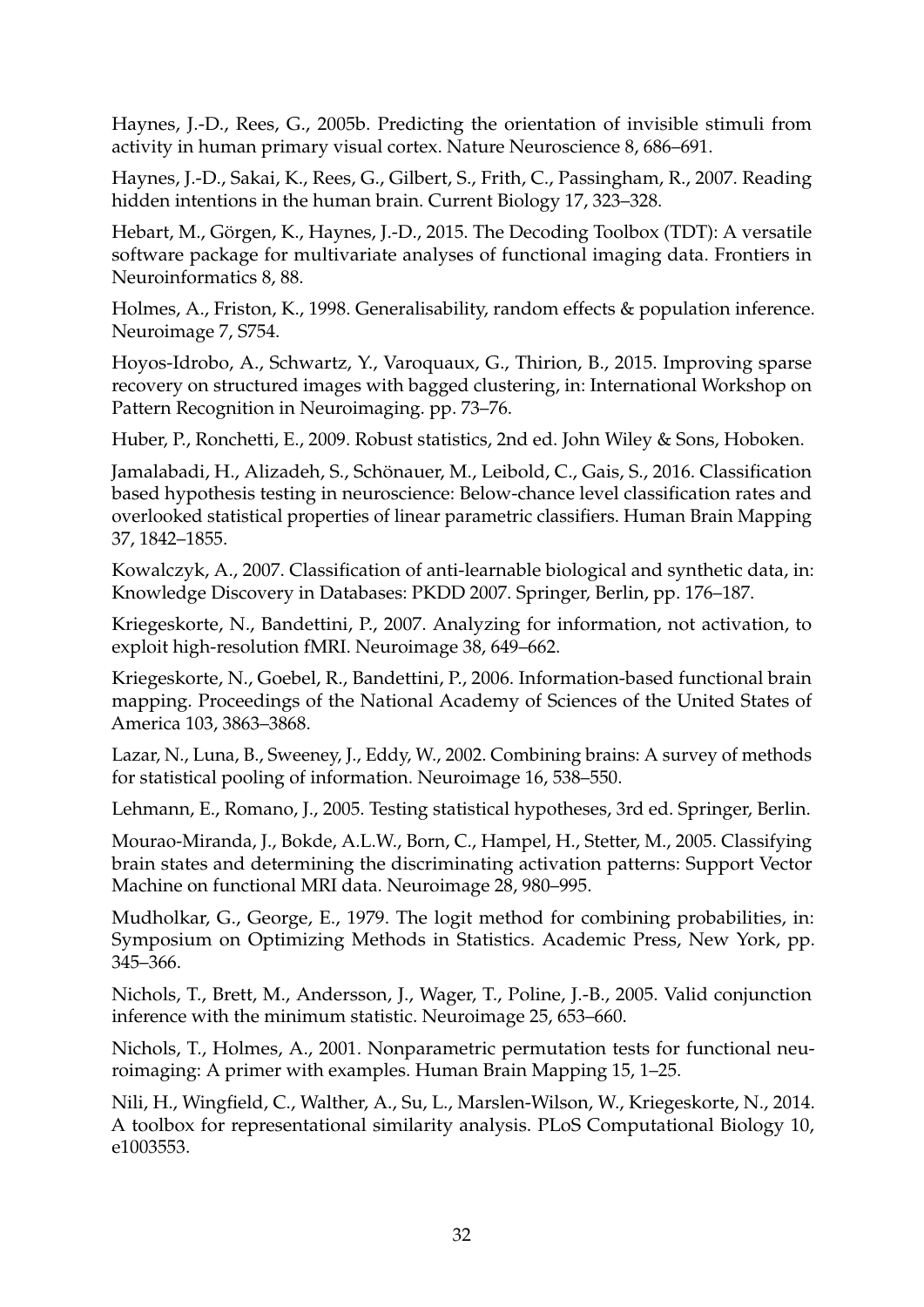Haynes, J.-D., Rees, G., 2005b. Predicting the orientation of invisible stimuli from activity in human primary visual cortex. Nature Neuroscience 8, 686–691.

Haynes, J.-D., Sakai, K., Rees, G., Gilbert, S., Frith, C., Passingham, R., 2007. Reading hidden intentions in the human brain. Current Biology 17, 323–328.

Hebart, M., Görgen, K., Haynes, J.-D., 2015. The Decoding Toolbox (TDT): A versatile software package for multivariate analyses of functional imaging data. Frontiers in Neuroinformatics 8, 88.

Holmes, A., Friston, K., 1998. Generalisability, random effects & population inference. Neuroimage 7, S754.

Hoyos-Idrobo, A., Schwartz, Y., Varoquaux, G., Thirion, B., 2015. Improving sparse recovery on structured images with bagged clustering, in: International Workshop on Pattern Recognition in Neuroimaging. pp. 73–76.

Huber, P., Ronchetti, E., 2009. Robust statistics, 2nd ed. John Wiley & Sons, Hoboken.

Jamalabadi, H., Alizadeh, S., Schönauer, M., Leibold, C., Gais, S., 2016. Classification based hypothesis testing in neuroscience: Below-chance level classification rates and overlooked statistical properties of linear parametric classifiers. Human Brain Mapping 37, 1842–1855.

Kowalczyk, A., 2007. Classification of anti-learnable biological and synthetic data, in: Knowledge Discovery in Databases: PKDD 2007. Springer, Berlin, pp. 176–187.

Kriegeskorte, N., Bandettini, P., 2007. Analyzing for information, not activation, to exploit high-resolution fMRI. Neuroimage 38, 649–662.

Kriegeskorte, N., Goebel, R., Bandettini, P., 2006. Information-based functional brain mapping. Proceedings of the National Academy of Sciences of the United States of America 103, 3863–3868.

Lazar, N., Luna, B., Sweeney, J., Eddy, W., 2002. Combining brains: A survey of methods for statistical pooling of information. Neuroimage 16, 538–550.

Lehmann, E., Romano, J., 2005. Testing statistical hypotheses, 3rd ed. Springer, Berlin.

Mourao-Miranda, J., Bokde, A.L.W., Born, C., Hampel, H., Stetter, M., 2005. Classifying brain states and determining the discriminating activation patterns: Support Vector Machine on functional MRI data. Neuroimage 28, 980–995.

Mudholkar, G., George, E., 1979. The logit method for combining probabilities, in: Symposium on Optimizing Methods in Statistics. Academic Press, New York, pp. 345–366.

Nichols, T., Brett, M., Andersson, J., Wager, T., Poline, J.-B., 2005. Valid conjunction inference with the minimum statistic. Neuroimage 25, 653–660.

Nichols, T., Holmes, A., 2001. Nonparametric permutation tests for functional neuroimaging: A primer with examples. Human Brain Mapping 15, 1–25.

Nili, H., Wingfield, C., Walther, A., Su, L., Marslen-Wilson, W., Kriegeskorte, N., 2014. A toolbox for representational similarity analysis. PLoS Computational Biology 10, e1003553.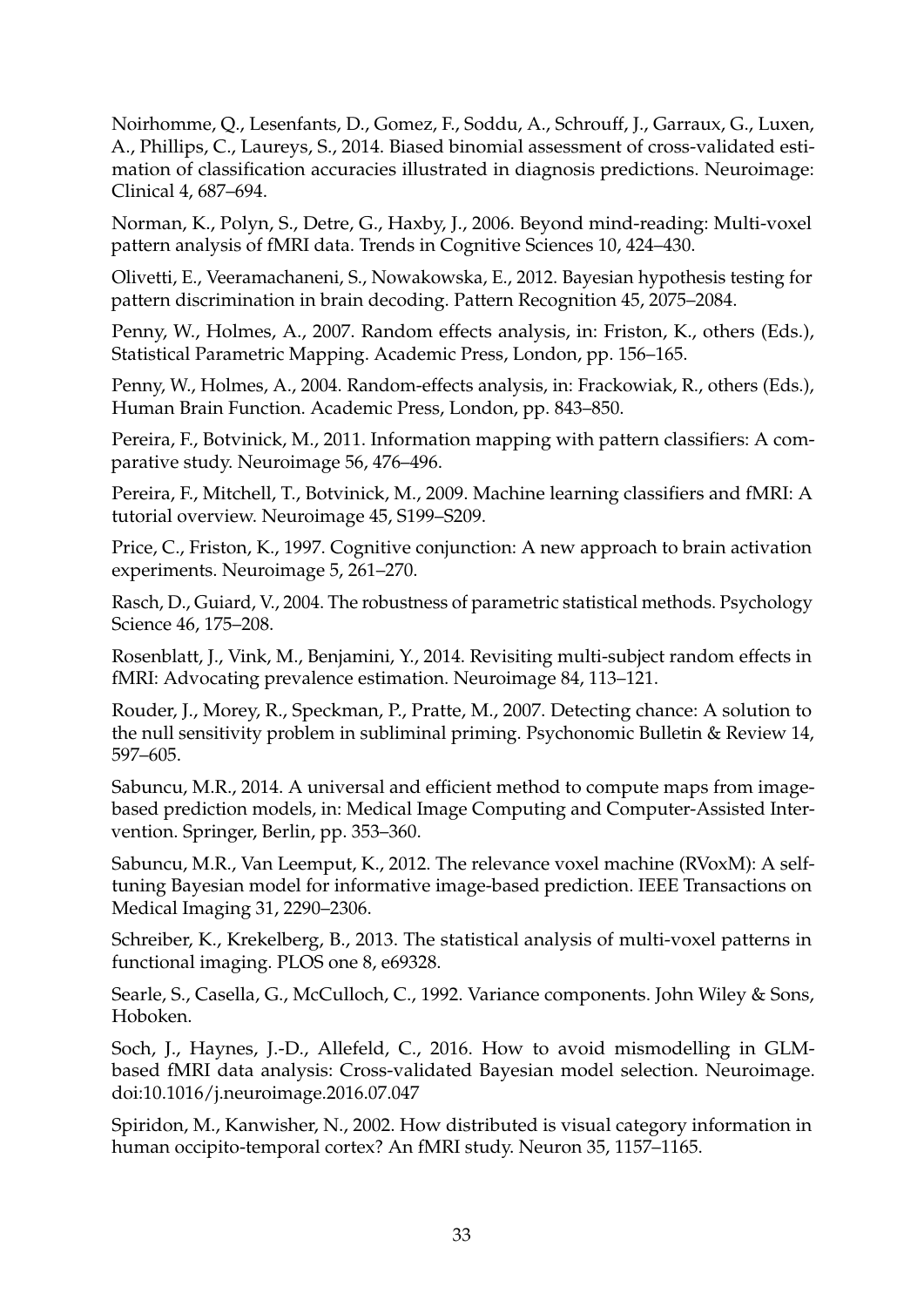Noirhomme, Q., Lesenfants, D., Gomez, F., Soddu, A., Schrouff, J., Garraux, G., Luxen, A., Phillips, C., Laureys, S., 2014. Biased binomial assessment of cross-validated estimation of classification accuracies illustrated in diagnosis predictions. Neuroimage: Clinical 4, 687–694.

Norman, K., Polyn, S., Detre, G., Haxby, J., 2006. Beyond mind-reading: Multi-voxel pattern analysis of fMRI data. Trends in Cognitive Sciences 10, 424–430.

Olivetti, E., Veeramachaneni, S., Nowakowska, E., 2012. Bayesian hypothesis testing for pattern discrimination in brain decoding. Pattern Recognition 45, 2075–2084.

Penny, W., Holmes, A., 2007. Random effects analysis, in: Friston, K., others (Eds.), Statistical Parametric Mapping. Academic Press, London, pp. 156–165.

Penny, W., Holmes, A., 2004. Random-effects analysis, in: Frackowiak, R., others (Eds.), Human Brain Function. Academic Press, London, pp. 843–850.

Pereira, F., Botvinick, M., 2011. Information mapping with pattern classifiers: A comparative study. Neuroimage 56, 476–496.

Pereira, F., Mitchell, T., Botvinick, M., 2009. Machine learning classifiers and fMRI: A tutorial overview. Neuroimage 45, S199–S209.

Price, C., Friston, K., 1997. Cognitive conjunction: A new approach to brain activation experiments. Neuroimage 5, 261–270.

Rasch, D., Guiard, V., 2004. The robustness of parametric statistical methods. Psychology Science 46, 175–208.

Rosenblatt, J., Vink, M., Benjamini, Y., 2014. Revisiting multi-subject random effects in fMRI: Advocating prevalence estimation. Neuroimage 84, 113–121.

Rouder, J., Morey, R., Speckman, P., Pratte, M., 2007. Detecting chance: A solution to the null sensitivity problem in subliminal priming. Psychonomic Bulletin & Review 14, 597–605.

Sabuncu, M.R., 2014. A universal and efficient method to compute maps from imagebased prediction models, in: Medical Image Computing and Computer-Assisted Intervention. Springer, Berlin, pp. 353–360.

Sabuncu, M.R., Van Leemput, K., 2012. The relevance voxel machine (RVoxM): A selftuning Bayesian model for informative image-based prediction. IEEE Transactions on Medical Imaging 31, 2290–2306.

Schreiber, K., Krekelberg, B., 2013. The statistical analysis of multi-voxel patterns in functional imaging. PLOS one 8, e69328.

Searle, S., Casella, G., McCulloch, C., 1992. Variance components. John Wiley & Sons, Hoboken.

Soch, J., Haynes, J.-D., Allefeld, C., 2016. How to avoid mismodelling in GLMbased fMRI data analysis: Cross-validated Bayesian model selection. Neuroimage. doi[:10.1016/j.neuroimage.2016.07.047](http://doi.org/10.1016/j.neuroimage.2016.07.047)

Spiridon, M., Kanwisher, N., 2002. How distributed is visual category information in human occipito-temporal cortex? An fMRI study. Neuron 35, 1157–1165.